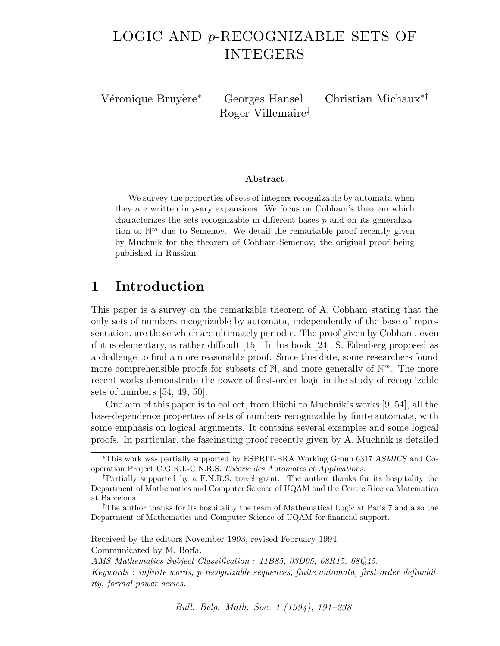# LOGIC AND p-RECOGNIZABLE SETS OF INTEGERS

Roger Villemaire‡

Véronique Bruyère<sup>∗</sup> Georges Hansel Christian Michaux<sup>∗†</sup>

#### **Abstract**

We survey the properties of sets of integers recognizable by automata when they are written in  $p$ -ary expansions. We focus on Cobham's theorem which characterizes the sets recognizable in different bases  $p$  and on its generalization to  $\mathbb{N}^m$  due to Semenov. We detail the remarkable proof recently given by Muchnik for the theorem of Cobham-Semenov, the original proof being published in Russian.

# **1 Introduction**

This paper is a survey on the remarkable theorem of A. Cobham stating that the only sets of numbers recognizable by automata, independently of the base of representation, are those which are ultimately periodic. The proof given by Cobham, even if it is elementary, is rather difficult [15]. In his book [24], S. Eilenberg proposed as a challenge to find a more reasonable proof. Since this date, some researchers found more comprehensible proofs for subsets of N, and more generally of  $\mathbb{N}^m$ . The more recent works demonstrate the power of first-order logic in the study of recognizable sets of numbers [54, 49, 50].

One aim of this paper is to collect, from Büchi to Muchnik's works  $[9, 54]$ , all the base-dependence properties of sets of numbers recognizable by finite automata, with some emphasis on logical arguments. It contains several examples and some logical proofs. In particular, the fascinating proof recently given by A. Muchnik is detailed

Received by the editors November 1993, revised February 1994. Communicated by M. Boffa.

Bull. Belg. Math. Soc. 1 (1994), 191–238

<sup>∗</sup>This work was partially supported by ESPRIT-BRA Working Group 6317 *ASMICS* and Cooperation Project C.G.R.I.-C.N.R.S. *Th´eorie des Automates et Applications*.

<sup>†</sup>Partially supported by a F.N.R.S. travel grant. The author thanks for its hospitality the Department of Mathematics and Computer Science of UQAM and the Centre Ricerca Matematica at Barcelona.

<sup>‡</sup>The author thanks for its hospitality the team of Mathematical Logic at Paris 7 and also the Department of Mathematics and Computer Science of UQAM for financial support.

AMS Mathematics Subject Classification : 11B85, 03D05, 68R15, 68Q45.

Keywords : infinite words, p-recognizable sequences, finite automata, first-order definability, formal power series.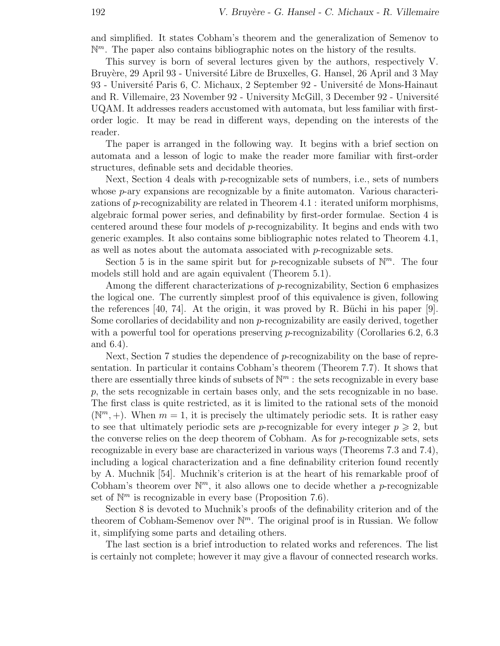and simplified. It states Cobham's theorem and the generalization of Semenov to  $\mathbb{N}^m$ . The paper also contains bibliographic notes on the history of the results.

This survey is born of several lectures given by the authors, respectively V. Bruyère, 29 April 93 - Université Libre de Bruxelles, G. Hansel, 26 April and 3 May 93 - Université Paris 6, C. Michaux, 2 September 92 - Université de Mons-Hainaut and R. Villemaire, 23 November 92 - University McGill, 3 December 92 - Université UQAM. It addresses readers accustomed with automata, but less familiar with firstorder logic. It may be read in different ways, depending on the interests of the reader.

The paper is arranged in the following way. It begins with a brief section on automata and a lesson of logic to make the reader more familiar with first-order structures, definable sets and decidable theories.

Next, Section 4 deals with *p*-recognizable sets of numbers, i.e., sets of numbers whose *p*-ary expansions are recognizable by a finite automaton. Various characterizations of  $p$ -recognizability are related in Theorem 4.1 : iterated uniform morphisms, algebraic formal power series, and definability by first-order formulae. Section 4 is centered around these four models of p-recognizability. It begins and ends with two generic examples. It also contains some bibliographic notes related to Theorem 4.1, as well as notes about the automata associated with p-recognizable sets.

Section 5 is in the same spirit but for *p*-recognizable subsets of  $\mathbb{N}^m$ . The four models still hold and are again equivalent (Theorem 5.1).

Among the different characterizations of  $p$ -recognizability, Section 6 emphasizes the logical one. The currently simplest proof of this equivalence is given, following the references  $[40, 74]$ . At the origin, it was proved by R. Büchi in his paper  $[9]$ . Some corollaries of decidability and non p-recognizability are easily derived, together with a powerful tool for operations preserving *p*-recognizability (Corollaries 6.2, 6.3) and 6.4).

Next, Section 7 studies the dependence of p-recognizability on the base of representation. In particular it contains Cobham's theorem (Theorem 7.7). It shows that there are essentially three kinds of subsets of  $\mathbb{N}^m$ : the sets recognizable in every base p, the sets recognizable in certain bases only, and the sets recognizable in no base. The first class is quite restricted, as it is limited to the rational sets of the monoid  $(N^m, +)$ . When  $m = 1$ , it is precisely the ultimately periodic sets. It is rather easy to see that ultimately periodic sets are *p*-recognizable for every integer  $p \geqslant 2$ , but the converse relies on the deep theorem of Cobham. As for  $p$ -recognizable sets, sets recognizable in every base are characterized in various ways (Theorems 7.3 and 7.4), including a logical characterization and a fine definability criterion found recently by A. Muchnik [54]. Muchnik's criterion is at the heart of his remarkable proof of Cobham's theorem over  $\mathbb{N}^m$ , it also allows one to decide whether a *p*-recognizable set of  $\mathbb{N}^m$  is recognizable in every base (Proposition 7.6).

Section 8 is devoted to Muchnik's proofs of the definability criterion and of the theorem of Cobham-Semenov over  $\mathbb{N}^m$ . The original proof is in Russian. We follow it, simplifying some parts and detailing others.

The last section is a brief introduction to related works and references. The list is certainly not complete; however it may give a flavour of connected research works.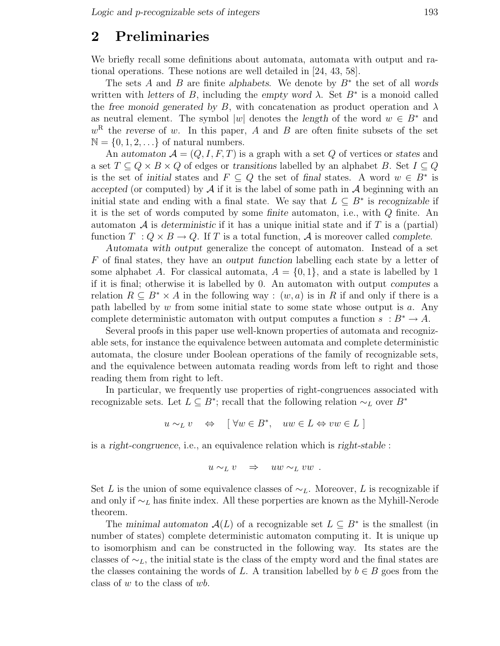## **2 Preliminaries**

We briefly recall some definitions about automata, automata with output and rational operations. These notions are well detailed in [24, 43, 58].

The sets A and B are finite *alphabets*. We denote by B<sup>∗</sup> the set of all *words* written with *letters* of B, including the *empty word*  $\lambda$ . Set  $B^*$  is a monoid called the *free monoid generated by B*, with concatenation as product operation and  $\lambda$ as neutral element. The symbol |w| denotes the *length* of the word  $w \in B^*$  and  $w<sup>R</sup>$  the *reverse* of w. In this paper, A and B are often finite subsets of the set  $\mathbb{N} = \{0, 1, 2, \ldots\}$  of natural numbers.

An *automaton*  $\mathcal{A} = (Q, I, F, T)$  is a graph with a set Q of vertices or *states* and a set  $T \subseteq Q \times B \times Q$  of edges or *transitions* labelled by an alphabet B. Set  $I \subseteq Q$ is the set of *initial* states and  $F \subseteq Q$  the set of *final* states. A word  $w \in B^*$  is *accepted* (or computed) by  $A$  if it is the label of some path in  $A$  beginning with an initial state and ending with a final state. We say that  $L \subseteq B^*$  is *recognizable* if it is the set of words computed by some *finite* automaton, i.e., with Q finite. An automaton  $A$  is *deterministic* if it has a unique initial state and if  $T$  is a (partial) function  $T: Q \times B \to Q$ . If T is a total function, A is moreover called *complete*.

*Automata with output* generalize the concept of automaton. Instead of a set F of final states, they have an *output function* labelling each state by a letter of some alphabet A. For classical automata,  $A = \{0, 1\}$ , and a state is labelled by 1 if it is final; otherwise it is labelled by 0. An automaton with output *computes* a relation  $R \subseteq B^* \times A$  in the following way :  $(w, a)$  is in R if and only if there is a path labelled by  $w$  from some initial state to some state whose output is  $a$ . Any complete deterministic automaton with output computes a function  $s : B^* \to A$ .

Several proofs in this paper use well-known properties of automata and recognizable sets, for instance the equivalence between automata and complete deterministic automata, the closure under Boolean operations of the family of recognizable sets, and the equivalence between automata reading words from left to right and those reading them from right to left.

In particular, we frequently use properties of right-congruences associated with recognizable sets. Let  $L \subseteq B^*$ ; recall that the following relation  $\sim_L$  over  $B^*$ 

$$
u \sim_L v \quad \Leftrightarrow \quad [\ \forall w \in B^*, \quad uw \in L \Leftrightarrow vw \in L \ ]
$$

is a *right-congruence*, i.e., an equivalence relation which is *right-stable* :

$$
u \sim_L v \quad \Rightarrow \quad uw \sim_L vw \; .
$$

Set L is the union of some equivalence classes of  $\sim_L$ . Moreover, L is recognizable if and only if  $\sim_L$  has finite index. All these porperties are known as the Myhill-Nerode theorem.

The *minimal automaton*  $\mathcal{A}(L)$  of a recognizable set  $L \subseteq B^*$  is the smallest (in number of states) complete deterministic automaton computing it. It is unique up to isomorphism and can be constructed in the following way. Its states are the classes of  $\sim_L$ , the initial state is the class of the empty word and the final states are the classes containing the words of L. A transition labelled by  $b \in B$  goes from the class of  $w$  to the class of  $wb$ .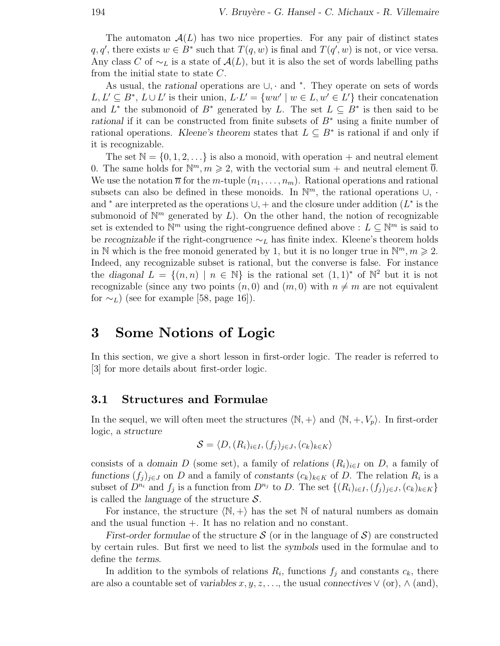The automaton  $\mathcal{A}(L)$  has two nice properties. For any pair of distinct states  $q, q'$ , there exists  $w \in B^*$  such that  $T(q, w)$  is final and  $T(q', w)$  is not, or vice versa. Any class C of  $\sim_L$  is a state of  $\mathcal{A}(L)$ , but it is also the set of words labelling paths from the initial state to state  $C$ .

As usual, the *rational* operations are ∪, · and <sup>∗</sup>. They operate on sets of words  $L, L' \subseteq B^*, L \cup L'$  is their union,  $L \cdot L' = \{ww' \mid w \in L, w' \in L'\}$  their concatenation and  $L^*$  the submonoid of  $B^*$  generated by L. The set  $L \subseteq B^*$  is then said to be *rational* if it can be constructed from finite subsets of B<sup>∗</sup> using a finite number of rational operations. *Kleene's theorem* states that  $L \subseteq B^*$  is rational if and only if it is recognizable.

The set  $\mathbb{N} = \{0, 1, 2, \ldots\}$  is also a monoid, with operation + and neutral element 0. The same holds for  $\mathbb{N}^m$ ,  $m \geqslant 2$ , with the vectorial sum + and neutral element 0. We use the notation  $\overline{n}$  for the *m*-tuple  $(n_1,\ldots,n_m)$ . Rational operations and rational subsets can also be defined in these monoids. In  $\mathbb{N}^m$ , the rational operations  $\cup$ , · and  $*$  are interpreted as the operations  $\cup$ , + and the closure under addition (L $*$  is the submonoid of  $\mathbb{N}^m$  generated by L). On the other hand, the notion of recognizable set is extended to  $\mathbb{N}^m$  using the right-congruence defined above :  $L \subseteq \mathbb{N}^m$  is said to be *recognizable* if the right-congruence  $\sim_L$  has finite index. Kleene's theorem holds in N which is the free monoid generated by 1, but it is no longer true in  $\mathbb{N}^m, m \geq 2$ . Indeed, any recognizable subset is rational, but the converse is false. For instance the *diagonal*  $L = \{(n, n) \mid n \in \mathbb{N}\}\$ is the rational set  $(1, 1)^*$  of  $\mathbb{N}^2$  but it is not recognizable (since any two points  $(n, 0)$  and  $(m, 0)$  with  $n \neq m$  are not equivalent for  $\sim_L$ ) (see for example [58, page 16]).

# **3 Some Notions of Logic**

In this section, we give a short lesson in first-order logic. The reader is referred to [3] for more details about first-order logic.

### **3.1 Structures and Formulae**

In the sequel, we will often meet the structures  $\langle \mathbb{N}, + \rangle$  and  $\langle \mathbb{N}, +, V_p \rangle$ . In first-order logic, a *structure*

$$
\mathcal{S} = \langle D, (R_i)_{i \in I}, (f_j)_{j \in J}, (c_k)_{k \in K} \rangle
$$

consists of a *domain* D (some set), a family of *relations*  $(R_i)_{i \in I}$  on D, a family of *functions*  $(f_j)_{j\in J}$  on D and a family of *constants*  $(c_k)_{k\in K}$  of D. The relation  $R_i$  is a subset of  $D^{n_i}$  and  $f_j$  is a function from  $D^{n_j}$  to D. The set  $\{(R_i)_{i\in I},(f_j)_{j\in J},(c_k)_{k\in K}\}\$ is called the *language* of the structure S.

For instance, the structure  $\langle \mathbb{N}, + \rangle$  has the set N of natural numbers as domain and the usual function +. It has no relation and no constant.

*First-order formulae* of the structure  $S$  (or in the language of  $S$ ) are constructed by certain rules. But first we need to list the *symbols* used in the formulae and to define the *terms*.

In addition to the symbols of relations  $R_i$ , functions  $f_j$  and constants  $c_k$ , there are also a countable set of *variables*  $x, y, z, \ldots$ , the usual *connectives*  $\vee$  (or),  $\wedge$  (and),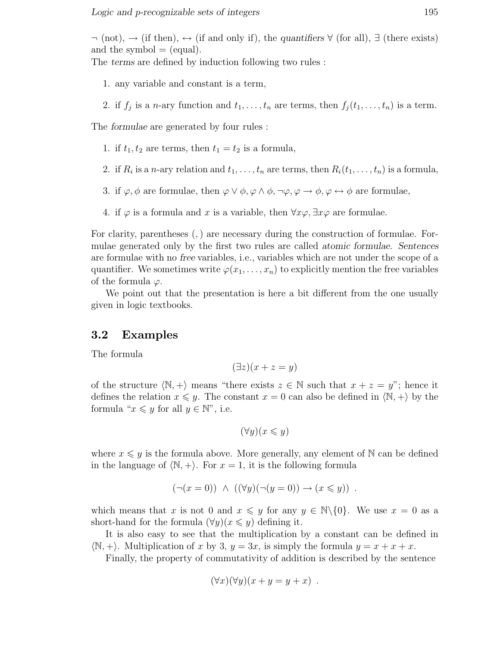¬ (not), → (if then), ↔ (if and only if), the *quantifiers* ∀ (for all), ∃ (there exists) and the symbol  $=$  (equal).

The *terms* are defined by induction following two rules :

- 1. any variable and constant is a term,
- 2. if  $f_j$  is a n-ary function and  $t_1,\ldots,t_n$  are terms, then  $f_j(t_1,\ldots,t_n)$  is a term.

The *formulae* are generated by four rules :

- 1. if  $t_1, t_2$  are terms, then  $t_1 = t_2$  is a formula,
- 2. if  $R_i$  is a n-ary relation and  $t_1,\ldots,t_n$  are terms, then  $R_i(t_1,\ldots,t_n)$  is a formula,
- 3. if  $\varphi, \phi$  are formulae, then  $\varphi \lor \phi, \varphi \land \phi, \neg \varphi, \varphi \to \phi, \varphi \leftrightarrow \phi$  are formulae,
- 4. if  $\varphi$  is a formula and x is a variable, then  $\forall x \varphi$ ,  $\exists x \varphi$  are formulae.

For clarity, parentheses (,) are necessary during the construction of formulae. Formulae generated only by the first two rules are called *atomic formulae*. *Sentences* are formulae with no *free* variables, i.e., variables which are not under the scope of a quantifier. We sometimes write  $\varphi(x_1,\ldots,x_n)$  to explicitly mention the free variables of the formula  $\varphi$ .

We point out that the presentation is here a bit different from the one usually given in logic textbooks.

### **3.2 Examples**

The formula

$$
(\exists z)(x + z = y)
$$

of the structure  $\langle \mathbb{N}, + \rangle$  means "there exists  $z \in \mathbb{N}$  such that  $x + z = y$ "; hence it defines the relation  $x \leq y$ . The constant  $x = 0$  can also be defined in  $\langle \mathbb{N}, + \rangle$  by the formula " $x \leq y$  for all  $y \in \mathbb{N}$ ", i.e.

$$
(\forall y)(x \leqslant y)
$$

where  $x \leq y$  is the formula above. More generally, any element of N can be defined in the language of  $\langle \mathbb{N}, + \rangle$ . For  $x = 1$ , it is the following formula

$$
(\neg(x = 0)) \ \land \ ((\forall y)(\neg(y = 0)) \rightarrow (x \leq y)) \ .
$$

which means that x is not 0 and  $x \leq y$  for any  $y \in \mathbb{N}\backslash\{0\}$ . We use  $x = 0$  as a short-hand for the formula  $(\forall y)(x \leq y)$  defining it.

It is also easy to see that the multiplication by a constant can be defined in  $\langle \mathbb{N}, + \rangle$ . Multiplication of x by 3,  $y = 3x$ , is simply the formula  $y = x + x + x$ .

Finally, the property of commutativity of addition is described by the sentence

$$
(\forall x)(\forall y)(x+y=y+x) .
$$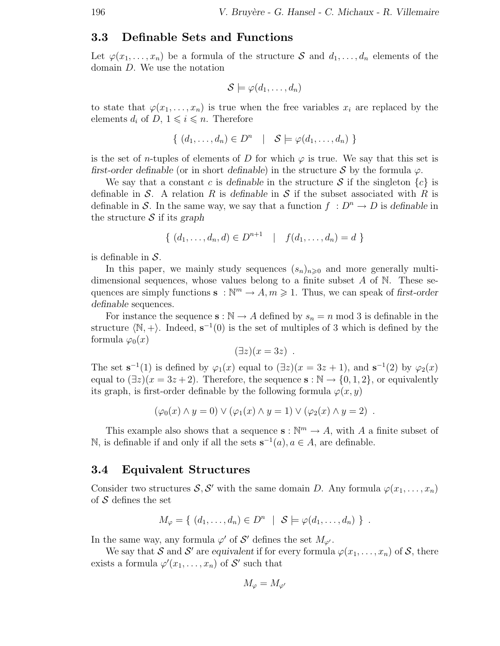### **3.3 Definable Sets and Functions**

Let  $\varphi(x_1,\ldots,x_n)$  be a formula of the structure S and  $d_1,\ldots,d_n$  elements of the domain D. We use the notation

$$
\mathcal{S} \models \varphi(d_1, \ldots, d_n)
$$

to state that  $\varphi(x_1,\ldots,x_n)$  is true when the free variables  $x_i$  are replaced by the elements  $d_i$  of  $D, 1 \leq i \leq n$ . Therefore

$$
\{ (d_1, \ldots, d_n) \in D^n \mid S \models \varphi(d_1, \ldots, d_n) \}
$$

is the set of *n*-tuples of elements of D for which  $\varphi$  is true. We say that this set is *first-order definable* (or in short *definable*) in the structure S by the formula  $\varphi$ .

We say that a constant c is definable in the structure S if the singleton  $\{c\}$  is definable in S. A relation R is *definable* in S if the subset associated with R is definable in S. In the same way, we say that a function  $f : D^n \to D$  is *definable* in the structure S if its *graph*

$$
\{ (d_1, \ldots, d_n, d) \in D^{n+1} \mid f(d_1, \ldots, d_n) = d \}
$$

is definable in  $S$ .

In this paper, we mainly study sequences  $(s_n)_{n\geq 0}$  and more generally multidimensional sequences, whose values belong to a finite subset  $A$  of  $N$ . These sequences are simply functions  $\mathbf{s} : \mathbb{N}^m \to A, m \geq 1$ . Thus, we can speak of *first-order definable* sequences.

For instance the sequence  $\mathbf{s} : \mathbb{N} \to A$  defined by  $s_n = n \text{ mod } 3$  is definable in the structure  $\langle \mathbb{N}, + \rangle$ . Indeed,  $\mathbf{s}^{-1}(0)$  is the set of multiples of 3 which is defined by the formula  $\varphi_0(x)$ 

$$
(\exists z)(x=3z) .
$$

The set  $\mathbf{s}^{-1}(1)$  is defined by  $\varphi_1(x)$  equal to  $(\exists z)(x = 3z + 1)$ , and  $\mathbf{s}^{-1}(2)$  by  $\varphi_2(x)$ equal to  $(\exists z)(x = 3z + 2)$ . Therefore, the sequence  $\mathbf{s} : \mathbb{N} \to \{0, 1, 2\}$ , or equivalently its graph, is first-order definable by the following formula  $\varphi(x,y)$ 

$$
(\varphi_0(x) \wedge y = 0) \vee (\varphi_1(x) \wedge y = 1) \vee (\varphi_2(x) \wedge y = 2) .
$$

This example also shows that a sequence  $\mathbf{s}: \mathbb{N}^m \to A$ , with A a finite subset of N, is definable if and only if all the sets  $\mathbf{s}^{-1}(a)$ ,  $a \in A$ , are definable.

### **3.4 Equivalent Structures**

Consider two structures  $S, S'$  with the same domain D. Any formula  $\varphi(x_1, \ldots, x_n)$ of  $\mathcal S$  defines the set

$$
M_{\varphi} = \{ (d_1, \ldots, d_n) \in D^n \mid S \models \varphi(d_1, \ldots, d_n) \} .
$$

In the same way, any formula  $\varphi'$  of  $\mathcal{S}'$  defines the set  $M_{\varphi'}$ .

We say that S and S' are *equivalent* if for every formula  $\varphi(x_1,\ldots,x_n)$  of S, there exists a formula  $\varphi'(x_1,\ldots,x_n)$  of  $\mathcal{S}'$  such that

$$
M_{\varphi} = M_{\varphi'}
$$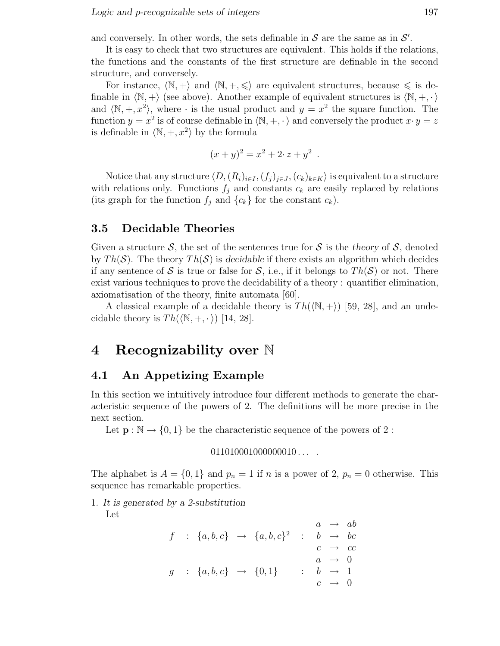and conversely. In other words, the sets definable in  $S$  are the same as in  $S'$ .

It is easy to check that two structures are equivalent. This holds if the relations, the functions and the constants of the first structure are definable in the second structure, and conversely.

For instance,  $\langle \mathbb{N}, + \rangle$  and  $\langle \mathbb{N}, +, \leq \rangle$  are equivalent structures, because  $\leq$  is definable in  $\langle \mathbb{N}, +\rangle$  (see above). Another example of equivalent structures is  $\langle \mathbb{N}, +, \cdot \rangle$ and  $\langle \mathbb{N}, +, x^2 \rangle$ , where  $\cdot$  is the usual product and  $y = x^2$  the square function. The function  $y = x^2$  is of course definable in  $\langle \mathbb{N}, +, \cdot \rangle$  and conversely the product  $x \cdot y = z$ is definable in  $\langle \mathbb{N}, +, x^2 \rangle$  by the formula

$$
(x+y)^2 = x^2 + 2 \cdot z + y^2 \, .
$$

Notice that any structure  $\langle D,(R_i)_{i\in I},(f_j)_{j\in J},(c_k)_{k\in K}\rangle$  is equivalent to a structure with relations only. Functions  $f_j$  and constants  $c_k$  are easily replaced by relations (its graph for the function  $f_j$  and  $\{c_k\}$  for the constant  $c_k$ ).

## **3.5 Decidable Theories**

Given a structure S, the set of the sentences true for S is the *theory* of S, denoted by  $Th(\mathcal{S})$ . The theory  $Th(\mathcal{S})$  is *decidable* if there exists an algorithm which decides if any sentence of S is true or false for S, i.e., if it belongs to  $Th(\mathcal{S})$  or not. There exist various techniques to prove the decidability of a theory : quantifier elimination, axiomatisation of the theory, finite automata [60].

A classical example of a decidable theory is  $Th(\langle\mathbb{N}, +\rangle)$  [59, 28], and an undecidable theory is  $Th(\langle \mathbb{N}, +, \cdot \rangle)$  [14, 28].

## **4 Recognizability over** N

### **4.1 An Appetizing Example**

In this section we intuitively introduce four different methods to generate the characteristic sequence of the powers of 2. The definitions will be more precise in the next section.

Let  $\mathbf{p} : \mathbb{N} \to \{0,1\}$  be the characteristic sequence of the powers of 2 :

$$
011010001000000010\dots
$$

The alphabet is  $A = \{0, 1\}$  and  $p_n = 1$  if n is a power of 2,  $p_n = 0$  otherwise. This sequence has remarkable properties.

1. *It is generated by a 2-substitution*

Let

$$
f : \{a, b, c\} \rightarrow \{a, b, c\}^2 : \begin{array}{ccc} a & \rightarrow & ab \\ b & \rightarrow & bc \\ c & \rightarrow & cc \\ g & \vdots & \{a, b, c\} \rightarrow \{0, 1\} \end{array}
$$
\n
$$
g : \{a, b, c\} \rightarrow \{0, 1\} \begin{array}{ccc} a & \rightarrow & ab \\ b & \rightarrow & 1 \\ c & \rightarrow & 0 \end{array}
$$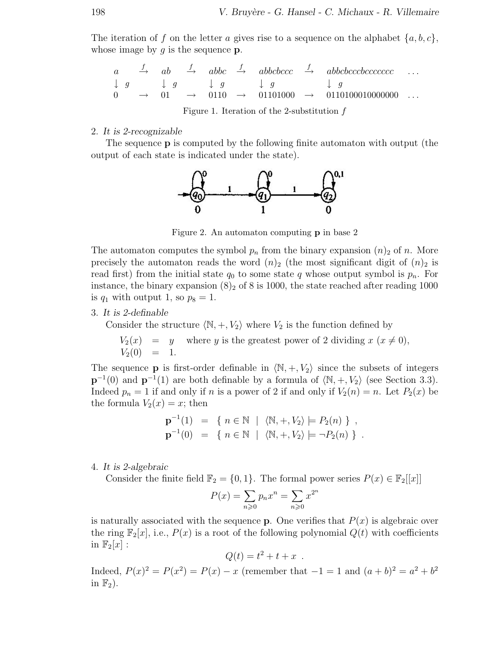The iteration of f on the letter a gives rise to a sequence on the alphabet  $\{a, b, c\}$ , whose image by  $q$  is the sequence  $p$ .

$$
\begin{array}{ccccccccc}\na & \xrightarrow{f} & ab & \xrightarrow{f} & abbc & \xrightarrow{f} & abbcbcccc & \xrightarrow{f} & abbcbccccbcbcbcbccccccccc & \dots \\
\downarrow g & & \downarrow g & & \downarrow g & & \downarrow g & & \downarrow g & \\
0 & \rightarrow & 01 & \rightarrow & 0110 & \rightarrow & 01101000 & \rightarrow & 011010001000000 & \dots\n\end{array}
$$

Figure 1. Iteration of the 2-substitution  $f$ 

#### 2. *It is 2-recognizable*

The sequence **p** is computed by the following finite automaton with output (the output of each state is indicated under the state).



Figure 2. An automaton computing **p** in base 2

The automaton computes the symbol  $p_n$  from the binary expansion  $(n)_2$  of n. More precisely the automaton reads the word  $(n)_2$  (the most significant digit of  $(n)_2$  is read first) from the initial state  $q_0$  to some state q whose output symbol is  $p_n$ . For instance, the binary expansion  $(8)_2$  of 8 is 1000, the state reached after reading 1000 is  $q_1$  with output 1, so  $p_8 = 1$ .

#### 3. *It is 2-definable*

Consider the structure  $\langle \mathbb{N}, +, V_2 \rangle$  where  $V_2$  is the function defined by

$$
V_2(x) = y
$$
 where y is the greatest power of 2 dividing  $x$  ( $x \neq 0$ ),  
 $V_2(0) = 1$ .

The sequence **p** is first-order definable in  $\langle \mathbb{N}, +, V_2 \rangle$  since the subsets of integers  $p^{-1}(0)$  and  $p^{-1}(1)$  are both definable by a formula of  $\langle N, +, V_2 \rangle$  (see Section 3.3). Indeed  $p_n = 1$  if and only if n is a power of 2 if and only if  $V_2(n) = n$ . Let  $P_2(x)$  be the formula  $V_2(x) = x$ ; then

$$
\mathbf{p}^{-1}(1) = \{ n \in \mathbb{N} \mid \langle \mathbb{N}, +, V_2 \rangle \models P_2(n) \},
$$
  

$$
\mathbf{p}^{-1}(0) = \{ n \in \mathbb{N} \mid \langle \mathbb{N}, +, V_2 \rangle \models \neg P_2(n) \}.
$$

#### 4. *It is 2-algebraic*

Consider the finite field  $\mathbb{F}_2 = \{0, 1\}$ . The formal power series  $P(x) \in \mathbb{F}_2[[x]]$ 

$$
P(x) = \sum_{n \geq 0} p_n x^n = \sum_{n \geq 0} x^{2^n}
$$

is naturally associated with the sequence **p**. One verifies that  $P(x)$  is algebraic over the ring  $\mathbb{F}_2[x]$ , i.e.,  $P(x)$  is a root of the following polynomial  $Q(t)$  with coefficients in  $\mathbb{F}_2[x]$  :

$$
Q(t) = t^2 + t + x
$$
.

Indeed,  $P(x)^2 = P(x^2) = P(x) - x$  (remember that  $-1 = 1$  and  $(a + b)^2 = a^2 + b^2$ in  $\mathbb{F}_2$ ).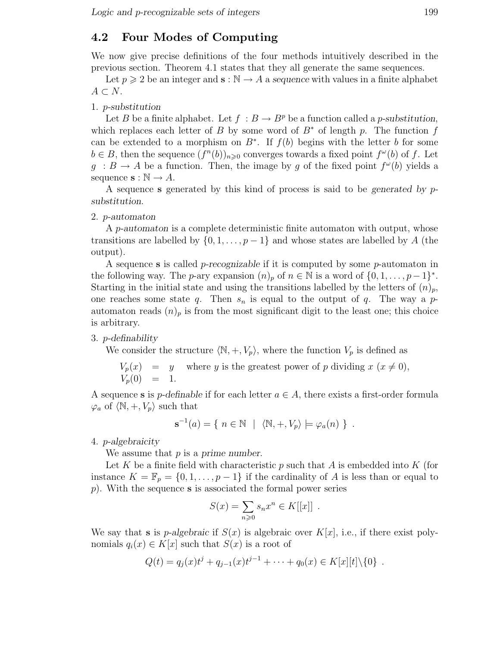## **4.2 Four Modes of Computing**

We now give precise definitions of the four methods intuitively described in the previous section. Theorem 4.1 states that they all generate the same sequences.

Let  $p \geqslant 2$  be an integer and  $\mathbf{s} : \mathbb{N} \to A$  a *sequence* with values in a finite alphabet  $A \subset N$ .

### 1. p*-substitution*

Let B be a finite alphabet. Let  $f : B \to B^p$  be a function called a p-substitution, which replaces each letter of B by some word of  $B^*$  of length p. The function f can be extended to a morphism on  $B^*$ . If  $f(b)$  begins with the letter b for some  $b \in B$ , then the sequence  $(f^{n}(b))_{n\geq 0}$  converges towards a fixed point  $f^{\omega}(b)$  of f. Let  $g : B \to A$  be a function. Then, the image by g of the fixed point  $f^{\omega}(b)$  yields a sequence  $\mathbf{s} : \mathbb{N} \to A$ .

A sequence **s** generated by this kind of process is said to be *generated by* p*substitution*.

### 2. p*-automaton*

A p*-automaton* is a complete deterministic finite automaton with output, whose transitions are labelled by  $\{0, 1, \ldots, p-1\}$  and whose states are labelled by A (the output).

A sequence **s** is called p*-recognizable* if it is computed by some p-automaton in the following way. The *p*-ary expansion  $(n)_p$  of  $n \in \mathbb{N}$  is a word of  $\{0, 1, \ldots, p-1\}^*$ . Starting in the initial state and using the transitions labelled by the letters of  $(n)_p$ , one reaches some state q. Then  $s_n$  is equal to the output of q. The way a pautomaton reads  $(n)_p$  is from the most significant digit to the least one; this choice is arbitrary.

### 3. p*-definability*

We consider the structure  $\langle \mathbb{N}, +, V_p \rangle$ , where the function  $V_p$  is defined as

$$
V_p(x) = y
$$
 where y is the greatest power of p dividing x (x \neq 0),  

$$
V_p(0) = 1.
$$

A sequence **s** is *p*-definable if for each letter  $a \in A$ , there exists a first-order formula  $\varphi_a$  of  $\langle \mathbb{N}, +, V_p \rangle$  such that

$$
\mathbf{s}^{-1}(a) = \{ n \in \mathbb{N} \mid \langle \mathbb{N}, +, V_p \rangle \models \varphi_a(n) \} .
$$

4. p*-algebraicity*

We assume that p is a *prime number*.

Let K be a finite field with characteristic p such that A is embedded into K (for instance  $K = \mathbb{F}_p = \{0, 1, \ldots, p-1\}$  if the cardinality of A is less than or equal to p). With the sequence **s** is associated the formal power series

$$
S(x) = \sum_{n \geqslant 0} s_n x^n \in K[[x]] .
$$

We say that **s** is *p*-algebraic if  $S(x)$  is algebraic over  $K[x]$ , i.e., if there exist polynomials  $q_i(x) \in K[x]$  such that  $S(x)$  is a root of

$$
Q(t) = q_j(x)t^{j} + q_{j-1}(x)t^{j-1} + \cdots + q_0(x) \in K[x][t] \setminus \{0\} .
$$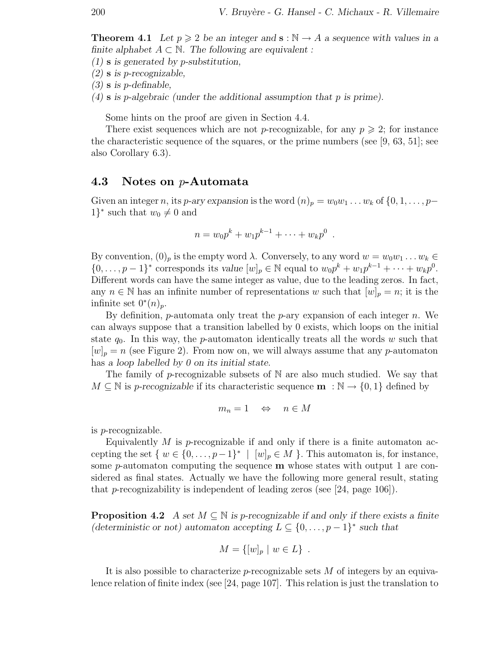**Theorem 4.1** *Let*  $p \ge 2$  *be an integer and*  $\mathbf{s} : \mathbb{N} \to A$  *a sequence with values in a finite alphabet* A ⊂ N*. The following are equivalent :*

*(1)* **s** *is generated by* p*-substitution,*

*(2)* **s** *is* p*-recognizable,*

*(3)* **s** *is* p*-definable,*

*(4)* **s** *is* p*-algebraic (under the additional assumption that* p *is prime).*

Some hints on the proof are given in Section 4.4.

There exist sequences which are not p-recognizable, for any  $p \geqslant 2$ ; for instance the characteristic sequence of the squares, or the prime numbers (see [9, 63, 51]; see also Corollary 6.3).

### **4.3 Notes on** p**-Automata**

Given an integer *n*, its *p*-ary expansion is the word  $(n)_p = w_0w_1 \dots w_k$  of  $\{0, 1, \dots, p-1\}$ 1}<sup>\*</sup> such that  $w_0 \neq 0$  and

$$
n = w_0 p^k + w_1 p^{k-1} + \dots + w_k p^0 .
$$

By convention,  $(0)_p$  is the empty word  $\lambda$ . Conversely, to any word  $w = w_0w_1 \ldots w_k \in$  $\{0,\ldots,p-1\}^*$  corresponds its *value*  $[w]_p \in \mathbb{N}$  equal to  $w_0p^k + w_1p^{k-1} + \cdots + w_kp^0$ . Different words can have the same integer as value, due to the leading zeros. In fact, any  $n \in \mathbb{N}$  has an infinite number of representations w such that  $[w]_p = n$ ; it is the infinite set  $0^*(n)_p$ .

By definition,  $p$ -automata only treat the  $p$ -ary expansion of each integer  $n$ . We can always suppose that a transition labelled by 0 exists, which loops on the initial state  $q_0$ . In this way, the *p*-automaton identically treats all the words w such that  $[w]_p = n$  (see Figure 2). From now on, we will always assume that any p-automaton has *a loop labelled by 0 on its initial state*.

The family of p-recognizable subsets of  $N$  are also much studied. We say that  $M \subseteq \mathbb{N}$  is *p*-recognizable if its characteristic sequence  $\mathbf{m} : \mathbb{N} \to \{0, 1\}$  defined by

$$
m_n = 1 \quad \Leftrightarrow \quad n \in M
$$

is p-recognizable.

Equivalently  $M$  is p-recognizable if and only if there is a finite automaton accepting the set  $\{ w \in \{0, \ldots, p-1\}^* \mid [w]_p \in M \}$ . This automaton is, for instance, some p-automaton computing the sequence **m** whose states with output 1 are considered as final states. Actually we have the following more general result, stating that *p*-recognizability is independent of leading zeros (see [24, page 106]).

**Proposition 4.2** *A set*  $M \subseteq \mathbb{N}$  *is p-recognizable if and only if there exists a finite (deterministic or not) automaton accepting*  $L \subseteq \{0, \ldots, p-1\}^*$  *such that* 

$$
M = \{ [w]_p \mid w \in L \} .
$$

It is also possible to characterize  $p$ -recognizable sets M of integers by an equivalence relation of finite index (see [24, page 107]. This relation is just the translation to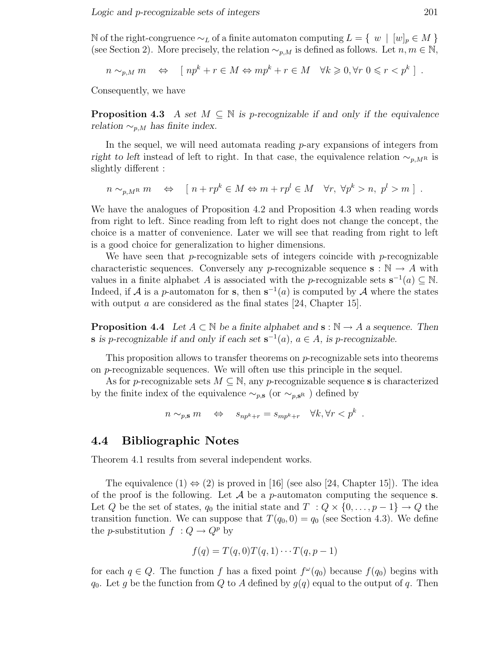N of the right-congruence  $\sim_L$  of a finite automaton computing  $L = \{ w \mid [w]_p \in M \}$ (see Section 2). More precisely, the relation  $\sim_{p,M}$  is defined as follows. Let  $n, m \in \mathbb{N}$ ,

 $n \sim_{p,M} m \Leftrightarrow \int np^k + r \in M \Leftrightarrow mp^k + r \in M \quad \forall k \geqslant 0, \forall r \in N \leqslant r < p^k$ .

Consequently, we have

**Proposition 4.3** *A set*  $M \subseteq \mathbb{N}$  *is p-recognizable if and only if the equivalence relation*  $\sim_{p,M}$  *has finite index.* 

In the sequel, we will need automata reading  $p$ -ary expansions of integers from *right to left* instead of left to right. In that case, the equivalence relation  $\sim_{p,M^R}$  is slightly different :

$$
n \sim_{p,M^R} m \quad \Leftrightarrow \quad [n+rp^k \in M \Leftrightarrow m+rp^l \in M \quad \forall r, \ \forall p^k > n, \ p^l > m].
$$

We have the analogues of Proposition 4.2 and Proposition 4.3 when reading words from right to left. Since reading from left to right does not change the concept, the choice is a matter of convenience. Later we will see that reading from right to left is a good choice for generalization to higher dimensions.

We have seen that p-recognizable sets of integers coincide with p-recognizable characteristic sequences. Conversely any p-recognizable sequence  $\mathbf{s} : \mathbb{N} \to A$  with values in a finite alphabet A is associated with the p-recognizable sets  $\mathbf{s}^{-1}(a) \subseteq \mathbb{N}$ . Indeed, if A is a p-automaton for **s**, then  $s^{-1}(a)$  is computed by A where the states with output a are considered as the final states [24, Chapter 15].

**Proposition 4.4** *Let*  $A \subset \mathbb{N}$  *be a finite alphabet and*  $\mathbf{s} : \mathbb{N} \to A$  *a sequence. Then* **s** is p-recognizable if and only if each set  $\mathbf{s}^{-1}(a)$ ,  $a \in A$ , is p-recognizable.

This proposition allows to transfer theorems on  $p$ -recognizable sets into theorems on p-recognizable sequences. We will often use this principle in the sequel.

As for p-recognizable sets  $M \subseteq \mathbb{N}$ , any p-recognizable sequence **s** is characterized by the finite index of the equivalence  $\sim_{p,\mathbf{s}}$  (or  $\sim_{p,\mathbf{s}^R}$ ) defined by

$$
n \sim_{p,\mathbf{s}} m \quad \Leftrightarrow \quad s_{np^k+r} = s_{mp^k+r} \quad \forall k, \forall r < p^k \ .
$$

### **4.4 Bibliographic Notes**

Theorem 4.1 results from several independent works.

The equivalence  $(1) \Leftrightarrow (2)$  is proved in [16] (see also [24, Chapter 15]). The idea of the proof is the following. Let  $\mathcal A$  be a p-automaton computing the sequence **s**. Let Q be the set of states,  $q_0$  the initial state and  $T : Q \times \{0, \ldots, p-1\} \to Q$  the transition function. We can suppose that  $T(q_0, 0) = q_0$  (see Section 4.3). We define the *p*-substitution  $f : Q \to Q^p$  by

$$
f(q) = T(q, 0)T(q, 1)\cdots T(q, p-1)
$$

for each  $q \in Q$ . The function f has a fixed point  $f^{\omega}(q_0)$  because  $f(q_0)$  begins with  $q_0$ . Let g be the function from Q to A defined by  $g(q)$  equal to the output of q. Then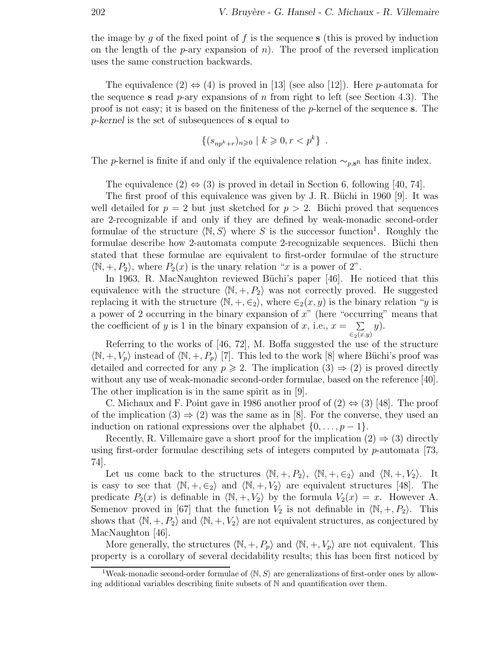the image by q of the fixed point of f is the sequence **s** (this is proved by induction on the length of the *p*-ary expansion of *n*). The proof of the reversed implication uses the same construction backwards.

The equivalence  $(2) \Leftrightarrow (4)$  is proved in [13] (see also [12]). Here *p*-automata for the sequence **s** read  $p$ -ary expansions of n from right to left (see Section 4.3). The proof is not easy; it is based on the finiteness of the p-kernel of the sequence **s**. The p*-kernel* is the set of subsequences of **s** equal to

$$
\{(s_{np^k+r})_{n\geq 0} \mid k \geq 0, r < p^k\} .
$$

The p-kernel is finite if and only if the equivalence relation  $\sim_{p,\mathbf{s}^R}$  has finite index.

The equivalence  $(2) \Leftrightarrow (3)$  is proved in detail in Section 6, following [40, 74].

The first proof of this equivalence was given by J. R. Büchi in 1960 [9]. It was well detailed for  $p = 2$  but just sketched for  $p > 2$ . Büchi proved that sequences are 2-recognizable if and only if they are defined by weak-monadic second-order formulae of the structure  $\langle N, S \rangle$  where S is the successor function<sup>1</sup>. Roughly the formulae describe how 2-automata compute 2-recognizable sequences. Büchi then stated that these formulae are equivalent to first-order formulae of the structure  $\langle \mathbb{N}, +, P_2 \rangle$ , where  $P_2(x)$  is the unary relation "x is a power of 2".

In 1963, R. MacNaughton reviewed Büchi's paper [46]. He noticed that this equivalence with the structure  $\langle \mathbb{N}, +, P_2 \rangle$  was not correctly proved. He suggested replacing it with the structure  $\langle N, +, \in_2 \rangle$ , where  $\in_2(x, y)$  is the binary relation "y is a power of 2 occurring in the binary expansion of  $x^{\prime\prime}$  (here "occurring" means that the coefficient of y is 1 in the binary expansion of x, i.e.,  $x = \sum$  $\in_2(x,y)$  $y).$ 

Referring to the works of [46, 72], M. Boffa suggested the use of the structure  $\langle \mathbb{N}, +, V_p \rangle$  instead of  $\langle \mathbb{N}, +, P_p \rangle$  [7]. This led to the work [8] where Büchi's proof was detailed and corrected for any  $p \ge 2$ . The implication  $(3) \Rightarrow (2)$  is proved directly without any use of weak-monadic second-order formulae, based on the reference [40]. The other implication is in the same spirit as in [9].

C. Michaux and F. Point gave in 1986 another proof of  $(2) \Leftrightarrow (3)$  [48]. The proof of the implication  $(3) \Rightarrow (2)$  was the same as in [8]. For the converse, they used an induction on rational expressions over the alphabet  $\{0,\ldots,p-1\}$ .

Recently, R. Villemaire gave a short proof for the implication  $(2) \Rightarrow (3)$  directly using first-order formulae describing sets of integers computed by  $p$ -automata [73, 74].

Let us come back to the structures  $\langle \mathbb{N}, +, P_2 \rangle$ ,  $\langle \mathbb{N}, +, \in_2 \rangle$  and  $\langle \mathbb{N}, +, V_2 \rangle$ . It is easy to see that  $\langle \mathbb{N}, +, \in_2 \rangle$  and  $\langle \mathbb{N}, +, V_2 \rangle$  are equivalent structures [48]. The predicate  $P_2(x)$  is definable in  $\langle \mathbb{N}, +, V_2 \rangle$  by the formula  $V_2(x) = x$ . However A. Semenov proved in [67] that the function  $V_2$  is not definable in  $\langle \mathbb{N}, +, P_2 \rangle$ . This shows that  $\langle \mathbb{N}, +, P_2 \rangle$  and  $\langle \mathbb{N}, +, V_2 \rangle$  are not equivalent structures, as conjectured by MacNaughton [46].

More generally, the structures  $\langle \mathbb{N}, +, P_p \rangle$  and  $\langle \mathbb{N}, +, V_p \rangle$  are not equivalent. This property is a corollary of several decidability results; this has been first noticed by

<sup>&</sup>lt;sup>1</sup>Weak-monadic second-order formulae of  $\langle N, S \rangle$  are generalizations of first-order ones by allowing additional variables describing finite subsets of N and quantification over them.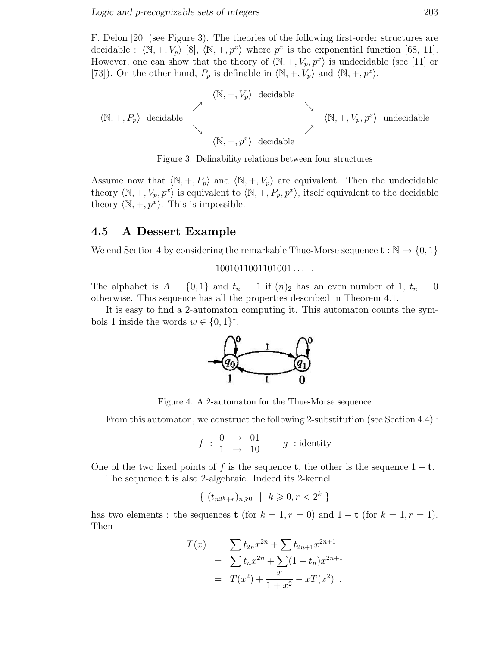F. Delon [20] (see Figure 3). The theories of the following first-order structures are decidable :  $\langle \mathbb{N}, +, V_p \rangle$  [8],  $\langle \mathbb{N}, +, p^x \rangle$  where  $p^x$  is the exponential function [68, 11]. However, one can show that the theory of  $\langle \mathbb{N}, +, V_p, p^x \rangle$  is undecidable (see [11] or [73]). On the other hand,  $P_p$  is definable in  $\langle \mathbb{N}, +, V_p \rangle$  and  $\langle \mathbb{N}, +, p^x \rangle$ .

$$
\langle \mathbb{N}, +, V_p \rangle \begin{array}{ccc} & & & \\ & & \searrow & & \\ & & & \searrow & & \\ & & & \searrow & & \\ & & & \searrow & & \\ & & & \searrow & & \\ & & & \searrow & & \\ & & & \searrow & & \\ & & & & \nearrow & & \\ & & & & \searrow & & \\ & & & & \nearrow & & \\ & & & & & \nearrow & & \\ & & & & & \nearrow & & \\ & & & & & \nearrow & & \\ & & & & & \nearrow & & \\ & & & & & \searrow & & \\ & & & & & \nearrow & & & \\ \end{array} \right.
$$

Figure 3. Definability relations between four structures

Assume now that  $\langle \mathbb{N}, +, P_p \rangle$  and  $\langle \mathbb{N}, +, V_p \rangle$  are equivalent. Then the undecidable theory  $\langle \mathbb{N}, +, V_p, p^x \rangle$  is equivalent to  $\langle \mathbb{N}, +, P_p, p^x \rangle$ , itself equivalent to the decidable theory  $\langle \mathbb{N}, +, p^x \rangle$ . This is impossible.

### **4.5 A Dessert Example**

We end Section 4 by considering the remarkable Thue-Morse sequence  $\mathbf{t} : \mathbb{N} \to \{0, 1\}$ 

1001011001101001 ... .

The alphabet is  $A = \{0, 1\}$  and  $t_n = 1$  if  $(n)_2$  has an even number of 1,  $t_n = 0$ otherwise. This sequence has all the properties described in Theorem 4.1.

It is easy to find a 2-automaton computing it. This automaton counts the symbols 1 inside the words  $w \in \{0,1\}^*$ .



Figure 4. A 2-automaton for the Thue-Morse sequence

From this automaton, we construct the following 2-substitution (see Section 4.4) :

$$
f : \begin{array}{c} 0 \rightarrow 01 \\ 1 \rightarrow 10 \end{array} \qquad g \text{ : identity}
$$

One of the two fixed points of f is the sequence **t**, the other is the sequence  $1 - t$ .

The sequence **t** is also 2-algebraic. Indeed its 2-kernel

$$
\{ (t_{n2^k+r})_{n\geqslant 0} \mid k \geqslant 0, r < 2^k \}
$$

has two elements : the sequences **t** (for  $k = 1, r = 0$ ) and  $1 - \mathbf{t}$  (for  $k = 1, r = 1$ ). Then

$$
T(x) = \sum t_{2n}x^{2n} + \sum t_{2n+1}x^{2n+1}
$$
  
=  $\sum t_nx^{2n} + \sum (1-t_n)x^{2n+1}$   
=  $T(x^2) + \frac{x}{1+x^2} - xT(x^2)$ .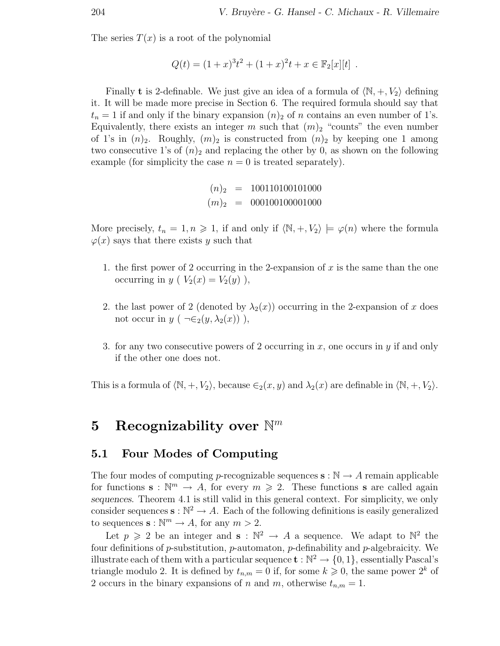The series  $T(x)$  is a root of the polynomial

$$
Q(t) = (1+x)^{3}t^{2} + (1+x)^{2}t + x \in \mathbb{F}_{2}[x][t].
$$

Finally **t** is 2-definable. We just give an idea of a formula of  $\langle \mathbb{N}, +, V_2 \rangle$  defining it. It will be made more precise in Section 6. The required formula should say that  $t_n = 1$  if and only if the binary expansion  $(n)_2$  of n contains an even number of 1's. Equivalently, there exists an integer m such that  $(m)_2$  "counts" the even number of 1's in  $(n)_2$ . Roughly,  $(m)_2$  is constructed from  $(n)_2$  by keeping one 1 among two consecutive 1's of  $(n)_2$  and replacing the other by 0, as shown on the following example (for simplicity the case  $n = 0$  is treated separately).

$$
\begin{array}{rcl}\n(n)_2 &=& 100110100101000 \\
(m)_2 &=& 000100100001000\n\end{array}
$$

More precisely,  $t_n = 1, n \geq 1$ , if and only if  $\langle \mathbb{N}, +, V_2 \rangle \models \varphi(n)$  where the formula  $\varphi(x)$  says that there exists y such that

- 1. the first power of 2 occurring in the 2-expansion of x is the same than the one occurring in  $y$  (  $V_2(x) = V_2(y)$ ),
- 2. the last power of 2 (denoted by  $\lambda_2(x)$ ) occurring in the 2-expansion of x does not occur in  $y \in \neg \in_2(y, \lambda_2(x))$ ,
- 3. for any two consecutive powers of 2 occurring in x, one occurs in  $y$  if and only if the other one does not.

This is a formula of  $\langle \mathbb{N}, +, V_2 \rangle$ , because  $\in_2(x, y)$  and  $\lambda_2(x)$  are definable in  $\langle \mathbb{N}, +, V_2 \rangle$ .

# **5** Recognizability over  $\mathbb{N}^m$

### **5.1 Four Modes of Computing**

The four modes of computing p-recognizable sequences  $\mathbf{s} : \mathbb{N} \to A$  remain applicable for functions  $\mathbf{s}: \mathbb{N}^m \to A$ , for every  $m \geq 2$ . These functions **s** are called again *sequences*. Theorem 4.1 is still valid in this general context. For simplicity, we only consider sequences  $\mathbf{s} : \mathbb{N}^2 \to A$ . Each of the following definitions is easily generalized to sequences  $\mathbf{s} : \mathbb{N}^m \to A$ , for any  $m > 2$ .

Let  $p \geq 2$  be an integer and  $\mathbf{s} : \mathbb{N}^2 \to A$  a sequence. We adapt to  $\mathbb{N}^2$  the four definitions of  $p$ -substitution,  $p$ -automaton,  $p$ -definability and  $p$ -algebraicity. We illustrate each of them with a particular sequence  $\mathbf{t} : \mathbb{N}^2 \to \{0, 1\}$ , essentially Pascal's triangle modulo 2. It is defined by  $t_{n,m} = 0$  if, for some  $k \geq 0$ , the same power  $2^k$  of 2 occurs in the binary expansions of n and m, otherwise  $t_{n,m} = 1$ .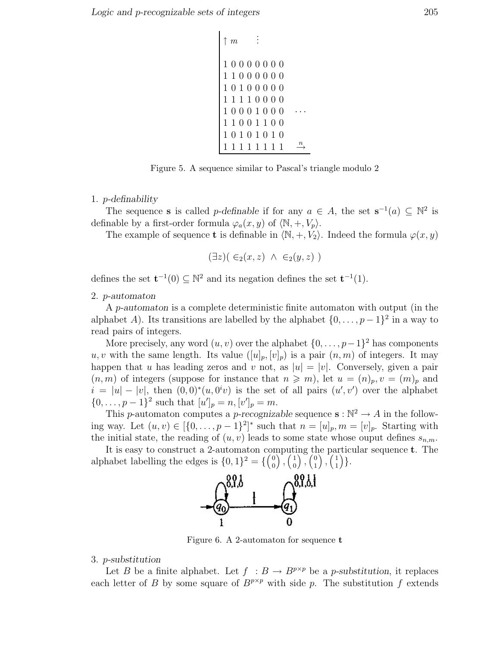```
\uparrow m :
10000000
11000000
10100000
11110000
10001000 ···
11001100
10101010
 11111111 n
                \stackrel{n}{\longrightarrow}
```
Figure 5. A sequence similar to Pascal's triangle modulo 2

#### 1. p*-definability*

The sequence **s** is called p-definable if for any  $a \in A$ , the set  $\mathbf{s}^{-1}(a) \subseteq \mathbb{N}^2$  is definable by a first-order formula  $\varphi_a(x, y)$  of  $\langle \mathbb{N}, +, V_p \rangle$ .

The example of sequence **t** is definable in  $\langle \mathbb{N}, +, V_2 \rangle$ . Indeed the formula  $\varphi(x, y)$ 

 $(\exists z)(\in_2(x,z)\land\in_2(y,z))$ 

defines the set  $\mathbf{t}^{-1}(0) \subseteq \mathbb{N}^2$  and its negation defines the set  $\mathbf{t}^{-1}(1)$ .

#### 2. p*-automaton*

A p*-automaton* is a complete deterministic finite automaton with output (in the alphabet A). Its transitions are labelled by the alphabet  $\{0,\ldots,p-1\}^2$  in a way to read pairs of integers.

More precisely, any word  $(u, v)$  over the alphabet  $\{0, \ldots, p-1\}^2$  has components u, v with the same length. Its value  $([u]_p, [v]_p)$  is a pair  $(n, m)$  of integers. It may happen that u has leading zeros and v not, as  $|u| = |v|$ . Conversely, given a pair  $(n, m)$  of integers (suppose for instance that  $n \geq m$ ), let  $u = (n)_p, v = (m)_p$  and  $i = |u| - |v|$ , then  $(0,0)^*(u,0^iv)$  is the set of all pairs  $(u',v')$  over the alphabet  $\{0, \ldots, p-1\}^2$  such that  $[u']_p = n, [v']_p = m$ .

This *p*-automaton computes a *p-recognizable* sequence **s** :  $\mathbb{N}^2 \to A$  in the following way. Let  $(u, v) \in \{0, \ldots, p-1\}^2$  such that  $n = [u]_p, m = [v]_p$ . Starting with the initial state, the reading of  $(u, v)$  leads to some state whose ouput defines  $s_{n,m}$ .

It is easy to construct a 2-automaton computing the particular sequence **t**. The alphabet labelling the edges is  $\{0, 1\}^2 = \{\begin{pmatrix} 0 \\ 0 \end{pmatrix}, \begin{pmatrix} 1 \\ 0 \end{pmatrix}, \begin{pmatrix} 0 \\ 1 \end{pmatrix}, \begin{pmatrix} 1 \\ 1 \end{pmatrix}\}.$ 



Figure 6. A 2-automaton for sequence **t**

#### 3. p*-substitution*

Let B be a finite alphabet. Let  $f : B \to B^{p \times p}$  be a p-substitution, it replaces each letter of B by some square of  $B^{p\times p}$  with side p. The substitution f extends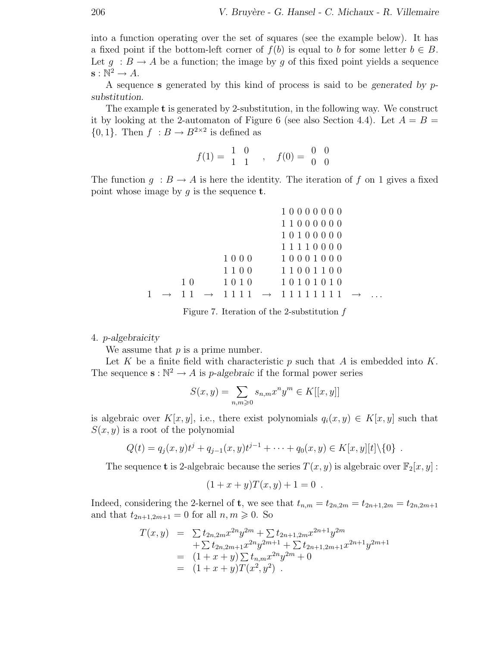into a function operating over the set of squares (see the example below). It has a fixed point if the bottom-left corner of  $f(b)$  is equal to b for some letter  $b \in B$ . Let  $g : B \to A$  be a function; the image by g of this fixed point yields a sequence  $\mathbf{s}: \mathbb{N}^2 \to A$ .

A sequence **s** generated by this kind of process is said to be *generated by* p*substitution*.

The example **t** is generated by 2-substitution, in the following way. We construct it by looking at the 2-automaton of Figure 6 (see also Section 4.4). Let  $A = B =$  ${0, 1}$ . Then  $f : B \to B^{2\times 2}$  is defined as

$$
f(1) = \begin{bmatrix} 1 & 0 \\ 1 & 1 \end{bmatrix}, \quad f(0) = \begin{bmatrix} 0 & 0 \\ 0 & 0 \end{bmatrix}
$$

The function  $q : B \to A$  is here the identity. The iteration of f on 1 gives a fixed point whose image by g is the sequence **t**.

|  |    |      | 10000000                                               |  |
|--|----|------|--------------------------------------------------------|--|
|  |    |      | 11000000                                               |  |
|  |    |      | 10100000                                               |  |
|  |    |      | 11110000                                               |  |
|  |    | 1000 | 10001000                                               |  |
|  |    |      | 1 1 0 0 0 1 1 0 0 1 1 0 0                              |  |
|  | 10 |      | 1010 10101010                                          |  |
|  |    |      | $11 \rightarrow 1111 \rightarrow 11111111 \rightarrow$ |  |
|  |    |      |                                                        |  |

Figure 7. Iteration of the 2-substitution f

4. p*-algebraicity*

We assume that  $p$  is a prime number.

Let K be a finite field with characteristic  $p$  such that A is embedded into  $K$ . The sequence  $\mathbf{s} : \mathbb{N}^2 \to A$  is *p*-algebraic if the formal power series

$$
S(x,y) = \sum_{n,m \geqslant 0} s_{n,m} x^n y^m \in K[[x,y]]
$$

is algebraic over  $K[x,y]$ , i.e., there exist polynomials  $q_i(x,y) \in K[x,y]$  such that  $S(x, y)$  is a root of the polynomial

$$
Q(t) = q_j(x, y)t^{j} + q_{j-1}(x, y)t^{j-1} + \cdots + q_0(x, y) \in K[x, y][t] \setminus \{0\}.
$$

The sequence **t** is 2-algebraic because the series  $T(x, y)$  is algebraic over  $\mathbb{F}_2[x, y]$ :

$$
(1 + x + y)T(x, y) + 1 = 0.
$$

Indeed, considering the 2-kernel of **t**, we see that  $t_{n,m} = t_{2n,2m} = t_{2n+1,2m} = t_{2n,2m+1}$ and that  $t_{2n+1,2m+1} = 0$  for all  $n, m \geq 0$ . So

$$
T(x,y) = \sum t_{2n,2m} x^{2n} y^{2m} + \sum t_{2n+1,2m} x^{2n+1} y^{2m}
$$
  
+  $\sum t_{2n,2m+1} x^{2n} y^{2m+1} + \sum t_{2n+1,2m+1} x^{2n+1} y^{2m+1}$   
=  $(1+x+y) \sum t_{n,m} x^{2n} y^{2m} + 0$   
=  $(1+x+y) T(x^2, y^2)$ .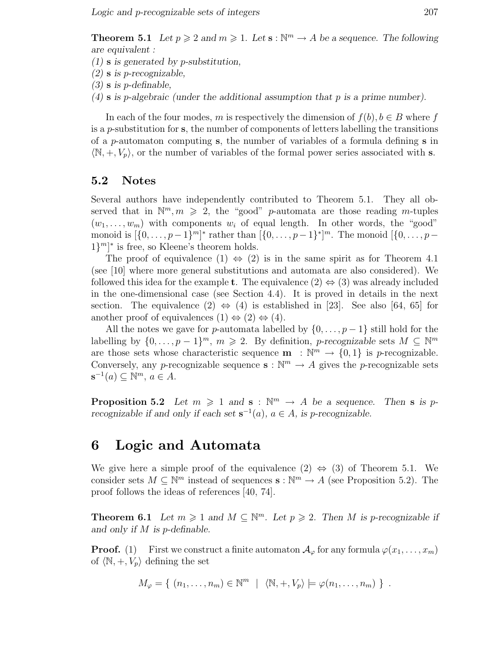**Theorem 5.1** *Let*  $p \ge 2$  *and*  $m \ge 1$ *. Let*  $s : \mathbb{N}^m \to A$  *be a sequence. The following are equivalent :*

- *(1)* **s** *is generated by* p*-substitution,*
- *(2)* **s** *is* p*-recognizable,*
- *(3)* **s** *is* p*-definable,*
- *(4)* **s** *is* p*-algebraic (under the additional assumption that* p *is a prime number).*

In each of the four modes, m is respectively the dimension of  $f(b), b \in B$  where f is a  $p$ -substitution for **s**, the number of components of letters labelling the transitions of a p-automaton computing **s**, the number of variables of a formula defining **s** in  $\langle \mathbb{N}, +, V_p \rangle$ , or the number of variables of the formal power series associated with **s**.

## **5.2 Notes**

Several authors have independently contributed to Theorem 5.1. They all observed that in  $\mathbb{N}^m, m \geq 2$ , the "good" p-automata are those reading m-tuples  $(w_1,\ldots,w_m)$  with components  $w_i$  of equal length. In other words, the "good" monoid is  $[\{0,\ldots,p-1\}^m]^*$  rather than  $[\{0,\ldots,p-1\}^*]^m$ . The monoid  $[\{0,\ldots,p-1\}^m]$  $1\}^m$ <sup>\*</sup> is free, so Kleene's theorem holds.

The proof of equivalence (1)  $\Leftrightarrow$  (2) is in the same spirit as for Theorem 4.1 (see [10] where more general substitutions and automata are also considered). We followed this idea for the example **t**. The equivalence  $(2) \Leftrightarrow (3)$  was already included in the one-dimensional case (see Section 4.4). It is proved in details in the next section. The equivalence  $(2) \Leftrightarrow (4)$  is established in [23]. See also [64, 65] for another proof of equivalences  $(1) \Leftrightarrow (2) \Leftrightarrow (4)$ .

All the notes we gave for p-automata labelled by  $\{0,\ldots,p-1\}$  still hold for the labelling by  $\{0,\ldots,p-1\}^m$ ,  $m \geq 2$ . By definition, *p-recognizable* sets  $M \subseteq \mathbb{N}^m$ are those sets whose characteristic sequence **m** :  $\mathbb{N}^m \to \{0, 1\}$  is *p*-recognizable. Conversely, any p-recognizable sequence  $\mathbf{s}: \mathbb{N}^m \to A$  gives the p-recognizable sets  $\mathbf{s}^{-1}(a)$  ⊆  $\mathbb{N}^m$ ,  $a \in A$ .

**Proposition 5.2** *Let*  $m \geq 1$  *and* **s** :  $\mathbb{N}^m \rightarrow A$  *be a sequence. Then* **s** *is* p*recognizable if and only if each set*  $s^{-1}(a)$ *,*  $a \in A$ *, is p-recognizable.* 

## **6 Logic and Automata**

We give here a simple proof of the equivalence  $(2) \Leftrightarrow (3)$  of Theorem 5.1. We consider sets  $M \subseteq \mathbb{N}^m$  instead of sequences  $\mathbf{s} : \mathbb{N}^m \to A$  (see Proposition 5.2). The proof follows the ideas of references [40, 74].

**Theorem 6.1** *Let*  $m \geq 1$  *and*  $M \subseteq \mathbb{N}^m$ *. Let*  $p \geq 2$ *. Then M is p*-recognizable if *and only if* M *is* p*-definable.*

**Proof.** (1) First we construct a finite automaton  $\mathcal{A}_{\varphi}$  for any formula  $\varphi(x_1,\ldots,x_m)$ of  $\langle \mathbb{N}, +, V_p \rangle$  defining the set

$$
M_{\varphi} = \{ (n_1, \ldots, n_m) \in \mathbb{N}^m \mid \langle \mathbb{N}, +, V_p \rangle \models \varphi(n_1, \ldots, n_m) \} .
$$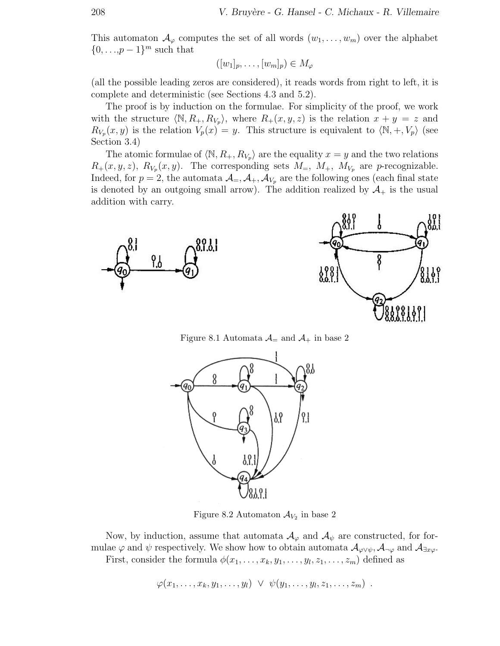This automaton  $\mathcal{A}_{\varphi}$  computes the set of all words  $(w_1,\ldots,w_m)$  over the alphabet  $\{0,\ldots,p-1\}^m$  such that

$$
([w_1]_p, \ldots, [w_m]_p) \in M_\varphi
$$

(all the possible leading zeros are considered), it reads words from right to left, it is complete and deterministic (see Sections 4.3 and 5.2).

The proof is by induction on the formulae. For simplicity of the proof, we work with the structure  $\langle N, R_+, R_{V_p} \rangle$ , where  $R_+(x,y,z)$  is the relation  $x + y = z$  and  $R_{V_p}(x,y)$  is the relation  $V_p(x) = y$ . This structure is equivalent to  $\langle \mathbb{N}, +, V_p \rangle$  (see Section 3.4)

The atomic formulae of  $\langle \mathbb{N}, R_+, R_{V_p} \rangle$  are the equality  $x = y$  and the two relations  $R_+(x,y,z)$ ,  $R_{V_p}(x,y)$ . The corresponding sets  $M_-, M_+, M_{V_p}$  are p-recognizable. Indeed, for  $p = 2$ , the automata  $\mathcal{A}_{=}, \mathcal{A}_{+}, \mathcal{A}_{V_p}$  are the following ones (each final state is denoted by an outgoing small arrow). The addition realized by  $\mathcal{A}_+$  is the usual addition with carry.





Figure 8.1 Automata  $\mathcal{A}_{=}$  and  $\mathcal{A}_{+}$  in base 2



Figure 8.2 Automaton  $\mathcal{A}_{V_2}$  in base 2

Now, by induction, assume that automata  $\mathcal{A}_{\varphi}$  and  $\mathcal{A}_{\psi}$  are constructed, for formulae  $\varphi$  and  $\psi$  respectively. We show how to obtain automata  $\mathcal{A}_{\varphi \lor \psi}$ ,  $\mathcal{A}_{\neg \varphi}$  and  $\mathcal{A}_{\exists x \varphi}$ . First, consider the formula  $\phi(x_1,\ldots,x_k,y_1,\ldots,y_l,z_1,\ldots,z_m)$  defined as

$$
\varphi(x_1,\ldots,x_k,y_1,\ldots,y_l) \ \vee \ \psi(y_1,\ldots,y_l,z_1,\ldots,z_m) \ .
$$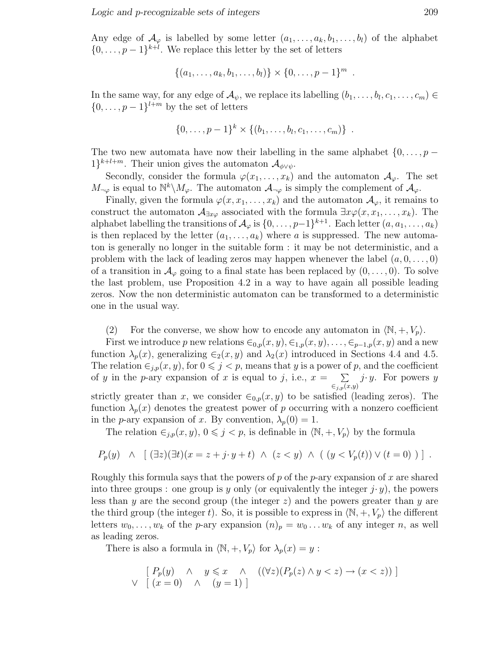Any edge of  $\mathcal{A}_{\varphi}$  is labelled by some letter  $(a_1,\ldots,a_k,b_1,\ldots,b_l)$  of the alphabet  $\{0,\ldots,p-1\}^{k+l}$ . We replace this letter by the set of letters

$$
\{(a_1,\ldots,a_k,b_1,\ldots,b_l)\}\times\{0,\ldots,p-1\}^m.
$$

In the same way, for any edge of  $\mathcal{A}_{\psi}$ , we replace its labelling  $(b_1,\ldots,b_l,c_1,\ldots,c_m) \in$  $\{0,\ldots,p-1\}^{l+m}$  by the set of letters

$$
\{0,\ldots,p-1\}^k \times \{(b_1,\ldots,b_l,c_1,\ldots,c_m)\} .
$$

The two new automata have now their labelling in the same alphabet  $\{0,\ldots,p 1\}^{k+l+m}$ . Their union gives the automaton  $\mathcal{A}_{\phi\vee\psi}$ .

Secondly, consider the formula  $\varphi(x_1,\ldots,x_k)$  and the automaton  $\mathcal{A}_{\varphi}$ . The set  $M_{\neg\varphi}$  is equal to  $\mathbb{N}^k\backslash M_{\varphi}$ . The automaton  $\mathcal{A}_{\neg\varphi}$  is simply the complement of  $\mathcal{A}_{\varphi}$ .

Finally, given the formula  $\varphi(x, x_1, \ldots, x_k)$  and the automaton  $\mathcal{A}_{\varphi}$ , it remains to construct the automaton  $\mathcal{A}_{\exists x\varphi}$  associated with the formula  $\exists x\varphi(x,x_1,\ldots,x_k)$ . The alphabet labelling the transitions of  $\mathcal{A}_{\varphi}$  is  $\{0,\ldots,p-1\}^{k+1}$ . Each letter  $(a,a_1,\ldots,a_k)$ is then replaced by the letter  $(a_1, \ldots, a_k)$  where a is suppressed. The new automaton is generally no longer in the suitable form : it may be not deterministic, and a problem with the lack of leading zeros may happen whenever the label  $(a, 0, \ldots, 0)$ of a transition in  $\mathcal{A}_{\varphi}$  going to a final state has been replaced by  $(0,\ldots,0)$ . To solve the last problem, use Proposition 4.2 in a way to have again all possible leading zeros. Now the non deterministic automaton can be transformed to a deterministic one in the usual way.

(2) For the converse, we show how to encode any automaton in  $\langle \mathbb{N}, +, V_p \rangle$ .

First we introduce p new relations  $\epsilon_{0,p}(x,y), \epsilon_{1,p}(x,y),\ldots,\epsilon_{p-1,p}(x,y)$  and a new function  $\lambda_p(x)$ , generalizing  $\epsilon_2(x,y)$  and  $\lambda_2(x)$  introduced in Sections 4.4 and 4.5. The relation  $\epsilon_{j,p}(x,y)$ , for  $0 \leq j < p$ , means that y is a power of p, and the coefficient of y in the p-ary expansion of x is equal to j, i.e.,  $x = \sum$  $\in_{j,p}(x,y)$  $j \cdot y$ . For powers y strictly greater than x, we consider  $\epsilon_{0,p}(x,y)$  to be satisfied (leading zeros). The function  $\lambda_p(x)$  denotes the greatest power of p occurring with a nonzero coefficient in the *p*-ary expansion of x. By convention,  $\lambda_p(0) = 1$ .

The relation  $\epsilon_{j,p}(x,y), 0 \leq j < p$ , is definable in  $\langle \mathbb{N}, +, V_p \rangle$  by the formula

$$
P_p(y) \ \wedge \ \left[ (\exists z)(\exists t)(x = z + j \cdot y + t) \ \wedge \ (z < y) \ \wedge \ ((y < V_p(t)) \vee (t = 0) ) \right] \ .
$$

Roughly this formula says that the powers of p of the p-ary expansion of x are shared into three groups : one group is y only (or equivalently the integer  $j \cdot y$ ), the powers less than y are the second group (the integer  $z$ ) and the powers greater than y are the third group (the integer t). So, it is possible to express in  $\langle \mathbb{N}, +, V_p \rangle$  the different letters  $w_0, \ldots, w_k$  of the *p*-ary expansion  $(n)_p = w_0 \ldots w_k$  of any integer *n*, as well as leading zeros.

There is also a formula in  $\langle \mathbb{N}, +, V_p \rangle$  for  $\lambda_p(x) = y$ :

$$
\begin{array}{c}\n[P_p(y) \land y \leq x \land ((\forall z)(P_p(z) \land y < z) \to (x < z)) \\
\lor \left[ (x = 0) \land (y = 1) \right]\n\end{array}
$$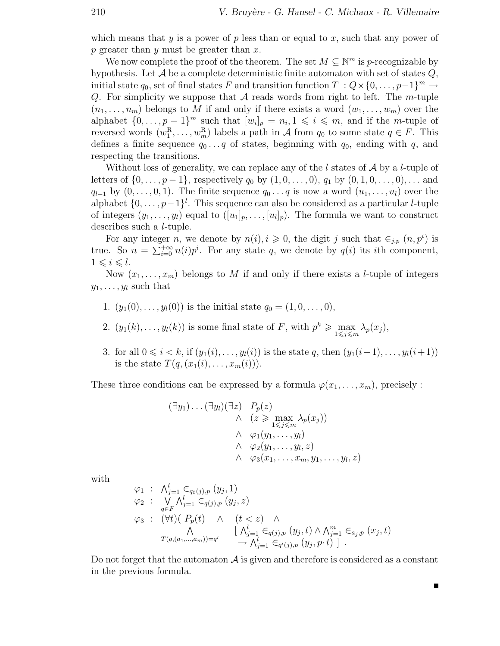which means that y is a power of p less than or equal to x, such that any power of p greater than  $y$  must be greater than  $x$ .

We now complete the proof of the theorem. The set  $M \subseteq \mathbb{N}^m$  is p-recognizable by hypothesis. Let  $\mathcal A$  be a complete deterministic finite automaton with set of states  $Q$ , initial state  $q_0$ , set of final states F and transition function  $T : Q \times \{0, \ldots, p-1\}^m \to$ Q. For simplicity we suppose that  $A$  reads words from right to left. The *m*-tuple  $(n_1,\ldots,n_m)$  belongs to M if and only if there exists a word  $(w_1,\ldots,w_m)$  over the alphabet  $\{0,\ldots,p-1\}^m$  such that  $[w_i]_p = n_i, 1 \leq i \leq m$ , and if the *m*-tuple of reversed words  $(w_1^R, \ldots, w_m^R)$  labels a path in A from  $q_0$  to some state  $q \in F$ . This defines a finite sequence  $q_0 \ldots q$  of states, beginning with  $q_0$ , ending with q, and respecting the transitions.

Without loss of generality, we can replace any of the l states of  $\mathcal A$  by a l-tuple of letters of  $\{0, \ldots, p-1\}$ , respectively  $q_0$  by  $(1, 0, \ldots, 0), q_1$  by  $(0, 1, 0, \ldots, 0), \ldots$  and  $q_{l-1}$  by  $(0,\ldots,0,1)$ . The finite sequence  $q_0\ldots q$  is now a word  $(u_1,\ldots, u_l)$  over the alphabet  $\{0, \ldots, p-1\}^l$ . This sequence can also be considered as a particular *l*-tuple of integers  $(y_1,\ldots,y_l)$  equal to  $([u_1]_p,\ldots,[u_l]_p)$ . The formula we want to construct describes such a l-tuple.

For any integer n, we denote by  $n(i), i \geq 0$ , the digit j such that  $\in_{j,p} (n, p^i)$  is true. So  $n = \sum_{i=0}^{+\infty} n(i)p^i$ . For any state q, we denote by  $q(i)$  its *i*th component,  $1 \leq i \leq l$ .

Now  $(x_1, \ldots, x_m)$  belongs to M if and only if there exists a l-tuple of integers  $y_1,\ldots,y_l$  such that

- 1.  $(y_1(0),...,y_l(0))$  is the initial state  $q_0 = (1,0,...,0),$
- 2.  $(y_1(k),...,y_l(k))$  is some final state of F, with  $p^k \geq \max_{1 \leq j \leq m} \lambda_p(x_j)$ ,
- 3. for all  $0 \le i \le k$ , if  $(y_1(i),...,y_l(i))$  is the state q, then  $(y_1(i+1),...,y_l(i+1))$ is the state  $T(q,(x_1(i),\ldots,x_m(i)))$ .

These three conditions can be expressed by a formula  $\varphi(x_1,\ldots,x_m)$ , precisely :

$$
(\exists y_1) \dots (\exists y_l)(\exists z) \quad P_p(z)
$$
  
\n
$$
\wedge \quad (z \ge \max_{1 \le j \le m} \lambda_p(x_j))
$$
  
\n
$$
\wedge \quad \varphi_1(y_1, \dots, y_l)
$$
  
\n
$$
\wedge \quad \varphi_2(y_1, \dots, y_l, z)
$$
  
\n
$$
\wedge \quad \varphi_3(x_1, \dots, x_m, y_1, \dots, y_l, z)
$$

with

$$
\varphi_1 : \Lambda_{j=1}^l \in_{q_0(j),p} (y_j, 1)
$$
  
\n
$$
\varphi_2 : \bigvee_{q \in F} \Lambda_{j=1}^l \in_{q(j),p} (y_j, z)
$$
  
\n
$$
\varphi_3 : (\forall t) (P_p(t) \wedge (t < z) \wedge
$$
  
\n
$$
\Lambda \qquad [\Lambda_{j=1}^l \in_{q(j),p} (y_j, t) \wedge \Lambda_{j=1}^m \in_{a_j,p} (x_j, t)
$$
  
\n
$$
T(q, (a_1, ..., a_m)) = q' \longrightarrow \Lambda_{j=1}^l \in_{q'(j),p} (y_j, p \cdot t) ].
$$

Do not forget that the automaton  $A$  is given and therefore is considered as a constant in the previous formula.

 $\blacksquare$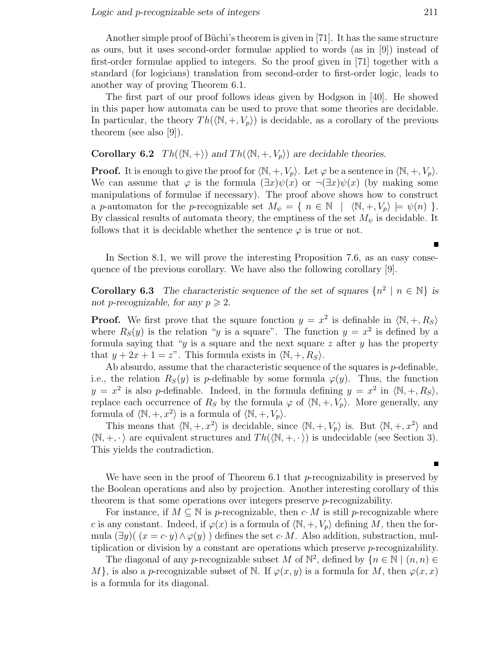Another simple proof of Büchi's theorem is given in [71]. It has the same structure as ours, but it uses second-order formulae applied to words (as in [9]) instead of first-order formulae applied to integers. So the proof given in [71] together with a standard (for logicians) translation from second-order to first-order logic, leads to another way of proving Theorem 6.1.

The first part of our proof follows ideas given by Hodgson in [40]. He showed in this paper how automata can be used to prove that some theories are decidable. In particular, the theory  $Th(\langle\mathbb{N}, +, V_p\rangle)$  is decidable, as a corollary of the previous theorem (see also [9]).

**Corollary 6.2**  $Th(\langle\mathbb{N}, +\rangle)$  *and*  $Th(\langle\mathbb{N}, +, V_p\rangle)$  *are decidable theories.* 

**Proof.** It is enough to give the proof for  $\langle \mathbb{N}, +, V_p \rangle$ . Let  $\varphi$  be a sentence in  $\langle \mathbb{N}, +, V_p \rangle$ . We can assume that  $\varphi$  is the formula  $(\exists x)\psi(x)$  or  $\neg(\exists x)\psi(x)$  (by making some manipulations of formulae if necessary). The proof above shows how to construct a p-automaton for the p-recognizable set  $M_{\psi} = \{ n \in \mathbb{N} \mid \langle \mathbb{N}, +, V_p \rangle \models \psi(n) \}.$ By classical results of automata theory, the emptiness of the set  $M_{\psi}$  is decidable. It follows that it is decidable whether the sentence  $\varphi$  is true or not.

In Section 8.1, we will prove the interesting Proposition 7.6, as an easy consequence of the previous corollary. We have also the following corollary [9].

**Corollary 6.3** *The characteristic sequence of the set of squares*  $\{n^2 \mid n \in \mathbb{N}\}\$ is *not p*-recognizable, for any  $p \geq 2$ .

**Proof.** We first prove that the square fonction  $y = x^2$  is definable in  $\langle \mathbb{N}, +, R_S \rangle$ where  $R_S(y)$  is the relation "y is a square". The function  $y = x^2$  is defined by a formula saying that "y is a square and the next square z after y has the property that  $y + 2x + 1 = z$ ". This formula exists in  $\langle \mathbb{N}, +, R_S \rangle$ .

Ab absurdo, assume that the characteristic sequence of the squares is  $p$ -definable, i.e., the relation  $R_S(y)$  is p-definable by some formula  $\varphi(y)$ . Thus, the function  $y = x^2$  is also p-definable. Indeed, in the formula defining  $y = x^2$  in  $\langle \mathbb{N}, +, R_S \rangle$ , replace each occurrence of  $R_S$  by the formula  $\varphi$  of  $\langle \mathbb{N}, +, V_p \rangle$ . More generally, any formula of  $\langle \mathbb{N}, +, x^2 \rangle$  is a formula of  $\langle \mathbb{N}, +, V_p \rangle$ .

This means that  $\langle \mathbb{N}, +, x^2 \rangle$  is decidable, since  $\langle \mathbb{N}, +, V_p \rangle$  is. But  $\langle \mathbb{N}, +, x^2 \rangle$  and  $\langle \mathbb{N}, +, \cdot \rangle$  are equivalent structures and  $Th(\langle \mathbb{N}, +, \cdot \rangle)$  is undecidable (see Section 3). This yields the contradiction.

We have seen in the proof of Theorem 6.1 that  $p$ -recognizability is preserved by the Boolean operations and also by projection. Another interesting corollary of this theorem is that some operations over integers preserve p-recognizability.

For instance, if  $M \subseteq \mathbb{N}$  is p-recognizable, then  $c \cdot M$  is still p-recognizable where c is any constant. Indeed, if  $\varphi(x)$  is a formula of  $\langle \mathbb{N}, +, V_p \rangle$  defining M, then the formula  $(\exists y)$  ( $(x = c \cdot y) \wedge \varphi(y)$ ) defines the set c· M. Also addition, substraction, multiplication or division by a constant are operations which preserve p-recognizability.

The diagonal of any p-recognizable subset M of  $\mathbb{N}^2$ , defined by  $\{n \in \mathbb{N} \mid (n, n) \in$ M, is also a p-recognizable subset of N. If  $\varphi(x, y)$  is a formula for M, then  $\varphi(x, x)$ is a formula for its diagonal.

 $\blacksquare$ 

 $\blacksquare$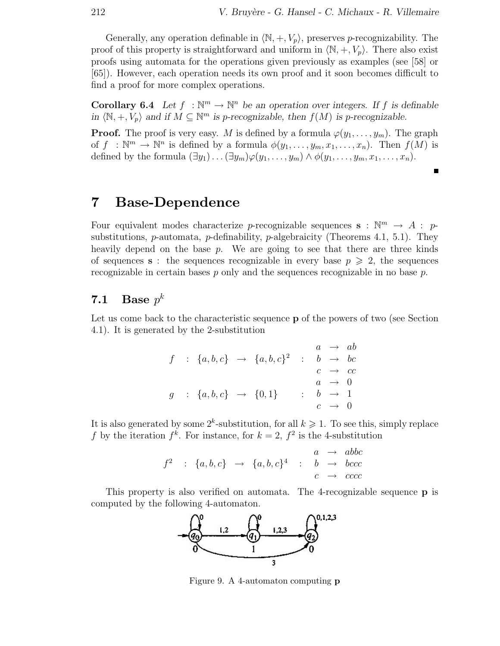Generally, any operation definable in  $\langle \mathbb{N}, +, V_p \rangle$ , preserves p-recognizability. The proof of this property is straightforward and uniform in  $\langle \mathbb{N}, +, V_p \rangle$ . There also exist proofs using automata for the operations given previously as examples (see [58] or [65]). However, each operation needs its own proof and it soon becomes difficult to find a proof for more complex operations.

**Corollary 6.4** *Let*  $f : \mathbb{N}^m \to \mathbb{N}^n$  *be an operation over integers. If*  $f$  *is definable in*  $\langle \mathbb{N}, +, V_p \rangle$  *and if*  $M \subseteq \mathbb{N}^m$  *is p-recognizable, then*  $f(M)$  *is p-recognizable.* 

**Proof.** The proof is very easy. M is defined by a formula  $\varphi(y_1,\ldots,y_m)$ . The graph of  $f : \mathbb{N}^m \to \mathbb{N}^n$  is defined by a formula  $\phi(y_1, \ldots, y_m, x_1, \ldots, x_n)$ . Then  $f(M)$  is defined by the formula  $(\exists y_1) \ldots (\exists y_m) \varphi(y_1, \ldots, y_m) \wedge \varphi(y_1, \ldots, y_m, x_1, \ldots, x_n).$ 

#### $\blacksquare$

# **7 Base-Dependence**

Four equivalent modes characterize p-recognizable sequences **s** :  $\mathbb{N}^m \to A$  : psubstitutions, *p*-automata, *p*-definability, *p*-algebraicity (Theorems 4.1, 5.1). They heavily depend on the base  $p$ . We are going to see that there are three kinds of sequences **s** : the sequences recognizable in every base  $p \geq 2$ , the sequences recognizable in certain bases p only and the sequences recognizable in no base p.

## **7.1** Base  $p^k$

Let us come back to the characteristic sequence **p** of the powers of two (see Section 4.1). It is generated by the 2-substitution

$$
f : \{a, b, c\} \rightarrow \{a, b, c\}^2 : \begin{array}{ccc} a \rightarrow ab \\ b \rightarrow bc \\ c \rightarrow cc \\ a \rightarrow 0 \\ g : \{a, b, c\} \rightarrow \{0, 1\} \\ c \rightarrow 0 \end{array}
$$

It is also generated by some  $2^k$ -substitution, for all  $k \geq 1$ . To see this, simply replace f by the iteration  $f^k$ . For instance, for  $k = 2$ ,  $f^2$  is the 4-substitution

$$
f^{2} : \{a,b,c\} \rightarrow \{a,b,c\}^{4} : \begin{array}{ccc} a & \rightarrow & abbc \\ b & \rightarrow & bccc c \\ c & \rightarrow & cccc \end{array}
$$

This property is also verified on automata. The 4-recognizable sequence **p** is computed by the following 4-automaton.



Figure 9. A 4-automaton computing **p**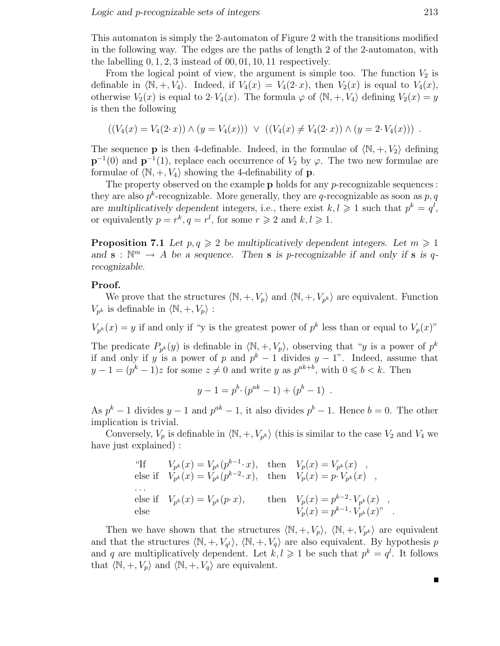This automaton is simply the 2-automaton of Figure 2 with the transitions modified in the following way. The edges are the paths of length 2 of the 2-automaton, with the labelling  $0, 1, 2, 3$  instead of  $00, 01, 10, 11$  respectively.

From the logical point of view, the argument is simple too. The function  $V_2$  is definable in  $\langle \mathbb{N}, +, V_4 \rangle$ . Indeed, if  $V_4(x) = V_4(2 \cdot x)$ , then  $V_2(x)$  is equal to  $V_4(x)$ , otherwise  $V_2(x)$  is equal to 2·  $V_4(x)$ . The formula  $\varphi$  of  $\langle \mathbb{N}, +, V_4 \rangle$  defining  $V_2(x) = y$ is then the following

$$
((V_4(x) = V_4(2 \cdot x)) \wedge (y = V_4(x))) \vee ((V_4(x) \neq V_4(2 \cdot x)) \wedge (y = 2 \cdot V_4(x)))
$$

The sequence **p** is then 4-definable. Indeed, in the formulae of  $\langle \mathbb{N}, +, V_2 \rangle$  defining  $\mathbf{p}^{-1}(0)$  and  $\mathbf{p}^{-1}(1)$ , replace each occurrence of  $V_2$  by  $\varphi$ . The two new formulae are formulae of  $\langle \mathbb{N}, +, V_4 \rangle$  showing the 4-definability of **p**.

The property observed on the example **p** holds for any p-recognizable sequences : they are also  $p^k$ -recognizable. More generally, they are q-recognizable as soon as  $p, q$ are *multiplicatively dependent* integers, i.e., there exist  $k, l \geq 1$  such that  $p^k = q^l$ , or equivalently  $p = r^k$ ,  $q = r^l$ , for some  $r \geq 2$  and  $k, l \geq 1$ .

**Proposition 7.1** *Let*  $p, q \ge 2$  *be multiplicatively dependent integers. Let*  $m \ge 1$ and  $\mathbf{s}: \mathbb{N}^m \to A$  be a sequence. Then **s** is p-recognizable if and only if **s** is q*recognizable.*

#### **Proof.**

We prove that the structures  $\langle \mathbb{N}, +, V_p \rangle$  and  $\langle \mathbb{N}, +, V_{p^k} \rangle$  are equivalent. Function  $V_{p^k}$  is definable in  $\langle \mathbb{N}, +, V_p \rangle$ :

 $V_{p^k}(x) = y$  if and only if "y is the greatest power of  $p^k$  less than or equal to  $V_p(x)$ "

The predicate  $P_{p^k}(y)$  is definable in  $\langle \mathbb{N}, +, V_p \rangle$ , observing that "y is a power of  $p^k$ if and only if y is a power of p and  $p^k - 1$  divides  $y - 1$ ". Indeed, assume that  $y-1=(p^k-1)z$  for some  $z\neq 0$  and write y as  $p^{ak+b}$ , with  $0\leqslant b < k$ . Then

$$
y - 1 = pb \cdot (pak - 1) + (pb - 1) .
$$

As  $p^k - 1$  divides  $y - 1$  and  $p^{ak} - 1$ , it also divides  $p^b - 1$ . Hence  $b = 0$ . The other implication is trivial.

Conversely,  $V_p$  is definable in  $\langle \mathbb{N}, +, V_{p^k} \rangle$  (this is similar to the case  $V_2$  and  $V_4$  we have just explained) :

"If 
$$
V_{p^k}(x) = V_{p^k}(p^{k-1} \cdot x)
$$
, then  $V_p(x) = V_{p^k}(x)$ ,  
else if  $V_{p^k}(x) = V_{p^k}(p^{k-2} \cdot x)$ , then  $V_p(x) = p \cdot V_{p^k}(x)$ ,  
...  
else if  $V_{p^k}(x) = V_{p^k}(p \cdot x)$ , then  $V_p(x) = p^{k-2} \cdot V_{p^k}(x)$ ,  
else  $V_p(x) = p^{k-1} \cdot V_{p^k}(x)$ ".

Then we have shown that the structures  $\langle \mathbb{N}, +, V_p \rangle$ ,  $\langle \mathbb{N}, +, V_{p^k} \rangle$  are equivalent and that the structures  $\langle \mathbb{N}, +, V_{q} \rangle$ ,  $\langle \mathbb{N}, +, V_{q} \rangle$  are also equivalent. By hypothesis p and q are multiplicatively dependent. Let  $k, l \geq 1$  be such that  $p^k = q^l$ . It follows that  $\langle \mathbb{N}, +, V_p \rangle$  and  $\langle \mathbb{N}, +, V_q \rangle$  are equivalent.

 $\blacksquare$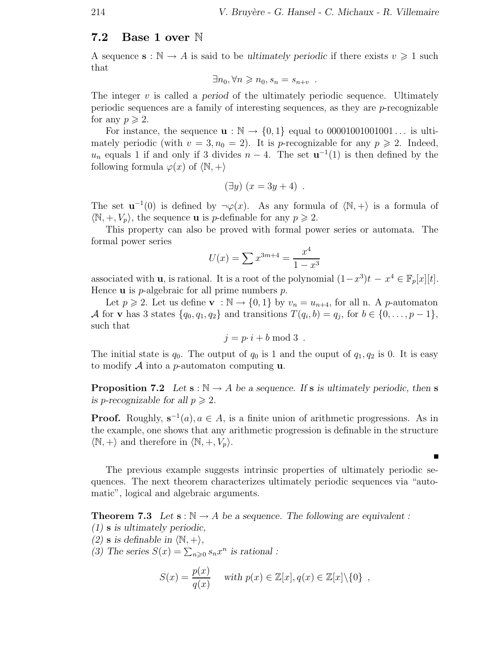### **7.2 Base 1 over** N

A sequence  $\mathbf{s} : \mathbb{N} \to A$  is said to be *ultimately periodic* if there exists  $v \geq 1$  such that

$$
\exists n_0, \forall n \geqslant n_0, s_n = s_{n+v} .
$$

The integer v is called a *period* of the ultimately periodic sequence. Ultimately periodic sequences are a family of interesting sequences, as they are  $p$ -recognizable for any  $p \geqslant 2$ .

For instance, the sequence  $\mathbf{u}: \mathbb{N} \to \{0,1\}$  equal to 00001001001001... is ultimately periodic (with  $v = 3, n_0 = 2$ ). It is *p*-recognizable for any  $p \ge 2$ . Indeed, u<sub>n</sub> equals 1 if and only if 3 divides  $n-4$ . The set **u**<sup>-1</sup>(1) is then defined by the following formula  $\varphi(x)$  of  $\langle \mathbb{N}, + \rangle$ 

$$
(\exists y) (x = 3y + 4) .
$$

The set  $\mathbf{u}^{-1}(0)$  is defined by  $\neg \varphi(x)$ . As any formula of  $\langle \mathbb{N}, + \rangle$  is a formula of  $\langle \mathbb{N}, +, V_p \rangle$ , the sequence **u** is *p*-definable for any  $p \ge 2$ .

This property can also be proved with formal power series or automata. The formal power series

$$
U(x) = \sum x^{3m+4} = \frac{x^4}{1-x^3}
$$

associated with **u**, is rational. It is a root of the polynomial  $(1-x^3)t - x^4 \in \mathbb{F}_p[x][t]$ . Hence **u** is p-algebraic for all prime numbers p.

Let  $p \ge 2$ . Let us define **v** :  $\mathbb{N} \to \{0, 1\}$  by  $v_n = u_{n+4}$ , for all n. A *p*-automaton A for **v** has 3 states  $\{q_0, q_1, q_2\}$  and transitions  $T(q_i, b) = q_j$ , for  $b \in \{0, ..., p-1\}$ , such that

$$
j = p \cdot i + b \mod 3 .
$$

The initial state is  $q_0$ . The output of  $q_0$  is 1 and the ouput of  $q_1, q_2$  is 0. It is easy to modify A into a p-automaton computing **u**.

**Proposition 7.2** *Let*  $s : \mathbb{N} \to A$  *be a sequence. If* **s** *is ultimately periodic, then* **s** *is* p-recognizable for all  $p \geq 2$ .

**Proof.** Roughly,  $s^{-1}(a)$ ,  $a \in A$ , is a finite union of arithmetic progressions. As in the example, one shows that any arithmetic progression is definable in the structure  $\langle \mathbb{N}, +\rangle$  and therefore in  $\langle \mathbb{N}, +, V_p \rangle$ .

 $\blacksquare$ 

The previous example suggests intrinsic properties of ultimately periodic sequences. The next theorem characterizes ultimately periodic sequences via "automatic", logical and algebraic arguments.

**Theorem 7.3** Let  $\mathbf{s} : \mathbb{N} \to A$  be a sequence. The following are equivalent :

*(1)* **s** *is ultimately periodic,*

 $(2)$  **s** *is definable in*  $\langle \mathbb{N}, + \rangle$ *,* 

(3) The series  $S(x) = \sum_{n\geqslant 0} s_n x^n$  is rational :

$$
S(x) = \frac{p(x)}{q(x)} \quad \text{ with } p(x) \in \mathbb{Z}[x], q(x) \in \mathbb{Z}[x] \setminus \{0\} \ ,
$$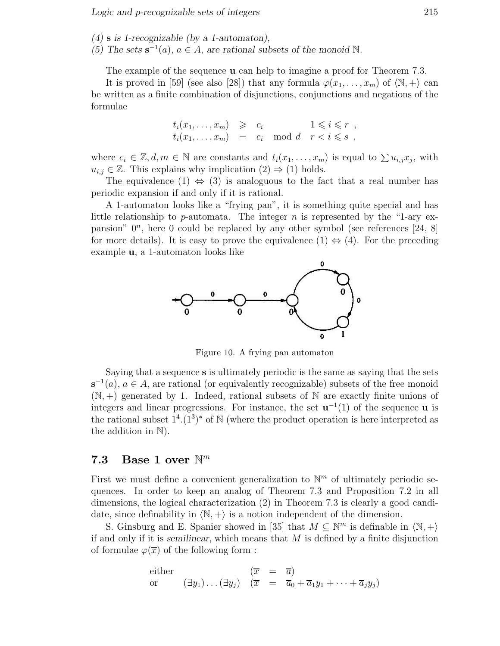- *(4)* **s** *is 1-recognizable (by a 1-automaton),*
- *(5)* The sets  $\mathbf{s}^{-1}(a)$ ,  $a \in A$ , are rational subsets of the monoid N.

The example of the sequence **u** can help to imagine a proof for Theorem 7.3.

It is proved in [59] (see also [28]) that any formula  $\varphi(x_1,\ldots,x_m)$  of  $\langle \mathbb{N}, + \rangle$  can be written as a finite combination of disjunctions, conjunctions and negations of the formulae

$$
t_i(x_1, \ldots, x_m) \geq c_i
$$
  
\n
$$
t_i(x_1, \ldots, x_m) \geq c_i
$$
 mod 
$$
d \quad r < i \leq s
$$

where  $c_i \in \mathbb{Z}, d, m \in \mathbb{N}$  are constants and  $t_i(x_1, \ldots, x_m)$  is equal to  $\sum u_{i,j}x_j$ , with  $u_{i,j} \in \mathbb{Z}$ . This explains why implication  $(2) \Rightarrow (1)$  holds.

The equivalence  $(1) \Leftrightarrow (3)$  is analoguous to the fact that a real number has periodic expansion if and only if it is rational.

A 1-automaton looks like a "frying pan", it is something quite special and has little relationship to p-automata. The integer n is represented by the "1-ary expansion"  $0^n$ , here 0 could be replaced by any other symbol (see references [24, 8] for more details). It is easy to prove the equivalence  $(1) \Leftrightarrow (4)$ . For the preceding example **u**, a 1-automaton looks like



Figure 10. A frying pan automaton

Saying that a sequence **s** is ultimately periodic is the same as saying that the sets  $\mathbf{s}^{-1}(a)$ ,  $a \in A$ , are rational (or equivalently recognizable) subsets of the free monoid  $(N, +)$  generated by 1. Indeed, rational subsets of N are exactly finite unions of integers and linear progressions. For instance, the set  $\mathbf{u}^{-1}(1)$  of the sequence **u** is the rational subset  $1^4.(1^3)^*$  of N (where the product operation is here interpreted as the addition in N).

## **7.3 Base 1 over** N<sup>m</sup>

First we must define a convenient generalization to  $\mathbb{N}^m$  of ultimately periodic sequences. In order to keep an analog of Theorem 7.3 and Proposition 7.2 in all dimensions, the logical characterization (2) in Theorem 7.3 is clearly a good candidate, since definability in  $\langle \mathbb{N}, + \rangle$  is a notion independent of the dimension.

S. Ginsburg and E. Spanier showed in [35] that  $M \subseteq \mathbb{N}^m$  is definable in  $\langle \mathbb{N}, + \rangle$ if and only if it is *semilinear*, which means that M is defined by a finite disjunction of formulae  $\varphi(\overline{x})$  of the following form :

either 
$$
(\overline{x} = \overline{a})
$$
  
or  $(\exists y_1) \dots (\exists y_j) \quad (\overline{x} = \overline{a}_0 + \overline{a}_1 y_1 + \dots + \overline{a}_j y_j)$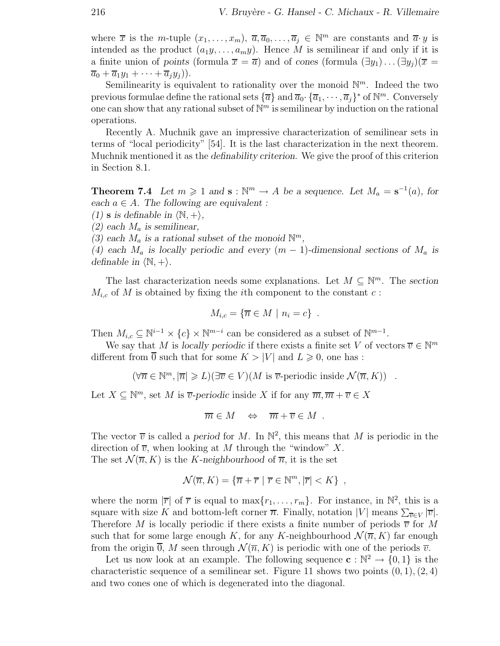where  $\overline{x}$  is the *m*-tuple  $(x_1,...,x_m)$ ,  $\overline{a}, \overline{a}_0,..., \overline{a}_j \in \mathbb{N}^m$  are constants and  $\overline{a} \cdot y$  is intended as the product  $(a_1y, \ldots, a_my)$ . Hence M is semilinear if and only if it is a finite union of *points* (formula  $\overline{x} = \overline{a}$ ) and of cones (formula  $(\exists y_1) \dots (\exists y_i)(\overline{x} =$  $\overline{a}_0 + \overline{a}_1y_1 + \cdots + \overline{a}_jy_j$ ).

Semilinearity is equivalent to rationality over the monoid  $\mathbb{N}^m$ . Indeed the two previous formulae define the rational sets  $\{\overline{a}\}\$  and  $\overline{a}_0$  ·  $\{\overline{a}_1, \dots, \overline{a}_i\}^*$  of  $\mathbb{N}^m$ . Conversely one can show that any rational subset of  $\mathbb{N}^m$  is semilinear by induction on the rational operations.

Recently A. Muchnik gave an impressive characterization of semilinear sets in terms of "local periodicity" [54]. It is the last characterization in the next theorem. Muchnik mentioned it as the *definability criterion*. We give the proof of this criterion in Section 8.1.

**Theorem 7.4** *Let*  $m \ge 1$  *and*  $\mathbf{s} : \mathbb{N}^m \to A$  *be a sequence. Let*  $M_a = \mathbf{s}^{-1}(a)$ *, for* each  $a \in A$ . The following are equivalent :

 $(1)$  **s** *is definable in*  $\langle \mathbb{N}, + \rangle$ *,* 

*(2) each* M<sup>a</sup> *is semilinear,*

(3) each  $M_a$  *is a rational subset of the monoid*  $\mathbb{N}^m$ ,

(4) each  $M_a$  is locally periodic and every  $(m-1)$ -dimensional sections of  $M_a$  is *definable in*  $\langle \mathbb{N}, + \rangle$ *.* 

The last characterization needs some explanations. Let  $M \subseteq \mathbb{N}^m$ . The *section*  $M_{i,c}$  of M is obtained by fixing the *i*th component to the constant  $c$ :

$$
M_{i,c} = \{ \overline{n} \in M \mid n_i = c \} .
$$

Then  $M_{i,c} \subseteq \mathbb{N}^{i-1} \times \{c\} \times \mathbb{N}^{m-i}$  can be considered as a subset of  $\mathbb{N}^{m-1}$ .

We say that M is *locally periodic* if there exists a finite set V of vectors  $\overline{v} \in \mathbb{N}^m$ different from  $\overline{0}$  such that for some  $K > |V|$  and  $L \geq 0$ , one has:

$$
(\forall \overline{n} \in \mathbb{N}^m, |\overline{n}| \geqslant L)(\exists \overline{v} \in V)(M \text{ is } \overline{v}\text{-periodic inside } \mathcal{N}(\overline{n}, K)) .
$$

Let  $X \subseteq \mathbb{N}^m$ , set M is  $\overline{v}$ -periodic inside X if for any  $\overline{m}, \overline{m} + \overline{v} \in X$ 

$$
\overline{m} \in M \quad \Leftrightarrow \quad \overline{m} + \overline{v} \in M \ .
$$

The vector  $\overline{v}$  is called a *period* for M. In  $\mathbb{N}^2$ , this means that M is periodic in the direction of  $\overline{v}$ , when looking at M through the "window" X. The set  $\mathcal{N}(\overline{n}, K)$  is the K-neighbourhood of  $\overline{n}$ , it is the set

$$
\mathcal{N}(\overline{n}, K) = \{ \overline{n} + \overline{r} \mid \overline{r} \in \mathbb{N}^m, |\overline{r}| < K \},
$$

where the norm  $|\overline{r}|$  of  $\overline{r}$  is equal to  $\max\{r_1,\ldots,r_m\}$ . For instance, in  $\mathbb{N}^2$ , this is a square with size K and bottom-left corner  $\overline{n}$ . Finally, notation |V| means  $\sum_{\overline{v} \in V} |\overline{v}|$ . Therefore M is locally periodic if there exists a finite number of periods  $\overline{v}$  for M such that for some large enough K, for any K-neighbourhood  $\mathcal{N}(\overline{n},K)$  far enough from the origin  $\overline{0}$ , M seen through  $\mathcal{N}(\overline{n}, K)$  is periodic with one of the periods  $\overline{v}$ .

Let us now look at an example. The following sequence  $\mathbf{c} : \mathbb{N}^2 \to \{0, 1\}$  is the characteristic sequence of a semilinear set. Figure 11 shows two points  $(0, 1), (2, 4)$ and two cones one of which is degenerated into the diagonal.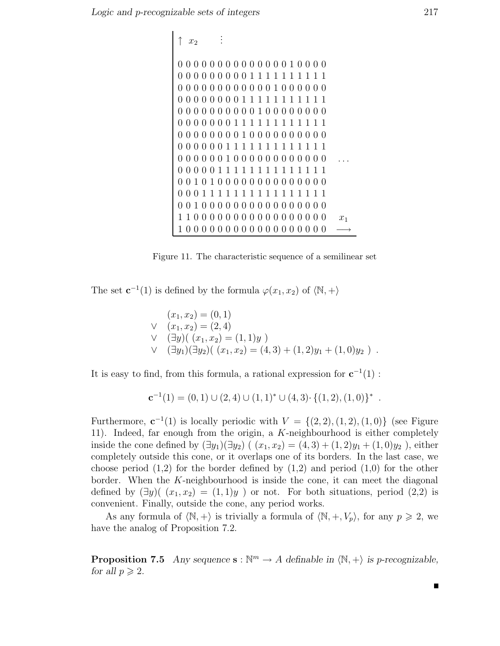```
\uparrow x_2.
      .
      .
0000000000000010000
0000000011111111111
0000000000001000000
0000000011111111111
0000000000100000000
0000000111111111111
0000000010000000000
0000001111111111111
0000001000000000000 ...
0000011111111111111
0010100000000000000
0001111111111111111
0010000000000000000
1100000000000000000 x1
1000000000000000000 →
```
Figure 11. The characteristic sequence of a semilinear set

The set  $\mathbf{c}^{-1}(1)$  is defined by the formula  $\varphi(x_1, x_2)$  of  $\langle \mathbb{N}, + \rangle$ 

$$
(x_1, x_2) = (0, 1)
$$
  
\n
$$
\vee (x_1, x_2) = (2, 4)
$$
  
\n
$$
\vee (\exists y) ((x_1, x_2) = (1, 1)y)
$$
  
\n
$$
\vee (\exists y_1)(\exists y_2) ((x_1, x_2) = (4, 3) + (1, 2)y_1 + (1, 0)y_2).
$$

It is easy to find, from this formula, a rational expression for  $c^{-1}(1)$ :

$$
\mathbf{c}^{-1}(1) = (0,1) \cup (2,4) \cup (1,1)^* \cup (4,3) \cdot \{(1,2), (1,0)\}^*.
$$

Furthermore,  $\mathbf{c}^{-1}(1)$  is locally periodic with  $V = \{(2, 2), (1, 2), (1, 0)\}$  (see Figure 11). Indeed, far enough from the origin, a K-neighbourhood is either completely inside the cone defined by  $(\exists y_1)(\exists y_2)((x_1, x_2) = (4, 3) + (1, 2)y_1 + (1, 0)y_2$ , either completely outside this cone, or it overlaps one of its borders. In the last case, we choose period  $(1,2)$  for the border defined by  $(1,2)$  and period  $(1,0)$  for the other border. When the  $K$ -neighbourhood is inside the cone, it can meet the diagonal defined by  $(\exists y)$   $(x_1, x_2) = (1, 1)y$  or not. For both situations, period  $(2,2)$  is convenient. Finally, outside the cone, any period works.

As any formula of  $\langle \mathbb{N}, + \rangle$  is trivially a formula of  $\langle \mathbb{N}, +, V_p \rangle$ , for any  $p \geq 2$ , we have the analog of Proposition 7.2.

**Proposition 7.5** *Any sequence*  $\mathbf{s}: \mathbb{N}^m \to A$  *definable in*  $\langle \mathbb{N}, + \rangle$  *is p-recognizable, for all*  $p \geqslant 2$ *.*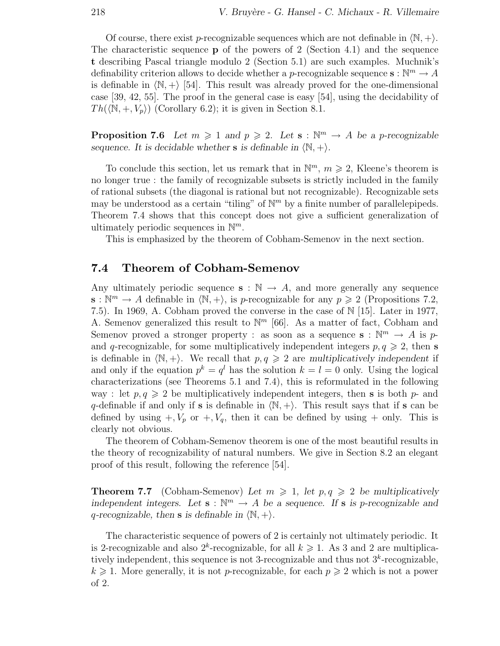Of course, there exist p-recognizable sequences which are not definable in  $\langle \mathbb{N}, + \rangle$ . The characteristic sequence **p** of the powers of 2 (Section 4.1) and the sequence **t** describing Pascal triangle modulo 2 (Section 5.1) are such examples. Muchnik's definability criterion allows to decide whether a *p*-recognizable sequence  $\mathbf{s}: \mathbb{N}^m \to A$ is definable in  $\langle \mathbb{N}, + \rangle$  [54]. This result was already proved for the one-dimensional case [39, 42, 55]. The proof in the general case is easy [54], using the decidability of  $Th(\langle \mathbb{N}, +, V_p \rangle)$  (Corollary 6.2); it is given in Section 8.1.

**Proposition 7.6** *Let*  $m \geq 1$  *and*  $p \geq 2$ *. Let*  $\mathbf{s}: \mathbb{N}^m \to A$  *be a p-recognizable sequence. It is decidable whether* **s** *is definable in*  $\langle \mathbb{N}, + \rangle$ *.* 

To conclude this section, let us remark that in  $\mathbb{N}^m$ ,  $m \geqslant 2$ , Kleene's theorem is no longer true : the family of recognizable subsets is strictly included in the family of rational subsets (the diagonal is rational but not recognizable). Recognizable sets may be understood as a certain "tiling" of  $\mathbb{N}^m$  by a finite number of parallelepipeds. Theorem 7.4 shows that this concept does not give a sufficient generalization of ultimately periodic sequences in  $\mathbb{N}^m$ .

This is emphasized by the theorem of Cobham-Semenov in the next section.

## **7.4 Theorem of Cobham-Semenov**

Any ultimately periodic sequence  $\mathbf{s}: \mathbb{N} \to A$ , and more generally any sequence **s** :  $\mathbb{N}^m \to A$  definable in  $\langle \mathbb{N}, + \rangle$ , is p-recognizable for any  $p \geq 2$  (Propositions 7.2, 7.5). In 1969, A. Cobham proved the converse in the case of N [15]. Later in 1977, A. Semenov generalized this result to  $\mathbb{N}^m$  [66]. As a matter of fact, Cobham and Semenov proved a stronger property : as soon as a sequence  $\mathbf{s}: \mathbb{N}^m \to A$  is pand q-recognizable, for some multiplicatively independent integers  $p, q \geq 2$ , then **s** is definable in  $\langle \mathbb{N}, + \rangle$ . We recall that  $p, q \geq 2$  are *multiplicatively independent* if and only if the equation  $p^k = q^l$  has the solution  $k = l = 0$  only. Using the logical characterizations (see Theorems 5.1 and 7.4), this is reformulated in the following way : let  $p, q \geqslant 2$  be multiplicatively independent integers, then **s** is both p- and q-definable if and only if **s** is definable in  $\langle \mathbb{N}, + \rangle$ . This result says that if **s** can be defined by using  $+, V_p$  or  $+, V_q$ , then it can be defined by using  $+$  only. This is clearly not obvious.

The theorem of Cobham-Semenov theorem is one of the most beautiful results in the theory of recognizability of natural numbers. We give in Section 8.2 an elegant proof of this result, following the reference [54].

**Theorem 7.7** (Cobham-Semenov) Let  $m \geq 1$ , let  $p, q \geq 2$  be multiplicatively *independent integers.* Let  $\mathbf{s} : \mathbb{N}^m \to A$  *be a sequence.* If **s** *is* p-recognizable and q-recognizable, then **s** is definable in  $\langle \mathbb{N}, + \rangle$ .

The characteristic sequence of powers of 2 is certainly not ultimately periodic. It is 2-recognizable and also  $2^k$ -recognizable, for all  $k \geq 1$ . As 3 and 2 are multiplicatively independent, this sequence is not 3-recognizable and thus not  $3^k$ -recognizable,  $k \geq 1$ . More generally, it is not p-recognizable, for each  $p \geq 2$  which is not a power of 2.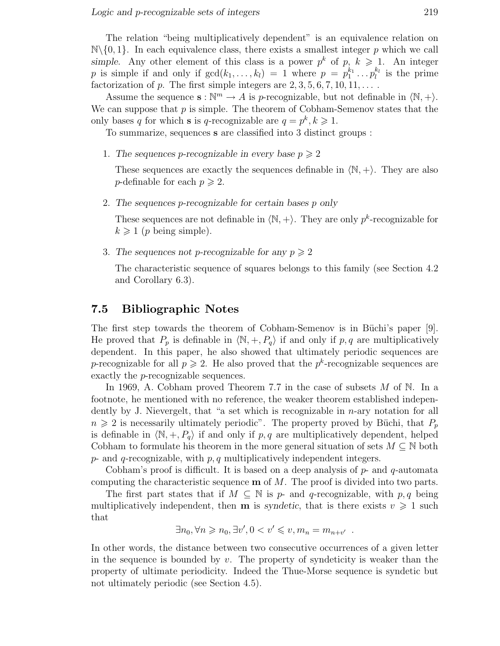The relation "being multiplicatively dependent" is an equivalence relation on  $\mathbb{N}\setminus\{0,1\}$ . In each equivalence class, there exists a smallest integer p which we call *simple*. Any other element of this class is a power  $p^k$  of  $p, k \geq 1$ . An integer p is simple if and only if  $gcd(k_1,...,k_l) = 1$  where  $p = p_1^{k_1} ... p_l^{k_l}$  is the prime factorization of p. The first simple integers are  $2, 3, 5, 6, 7, 10, 11, \ldots$ .

Assume the sequence  $\mathbf{s} : \mathbb{N}^m \to A$  is *p*-recognizable, but not definable in  $\langle \mathbb{N}, + \rangle$ . We can suppose that  $p$  is simple. The theorem of Cobham-Semenov states that the only bases q for which **s** is q-recognizable are  $q = p^k, k \ge 1$ .

To summarize, sequences **s** are classified into 3 distinct groups :

1. The sequences *p*-recognizable in every base  $p \geq 2$ 

These sequences are exactly the sequences definable in  $\langle N, +\rangle$ . They are also *p*-definable for each  $p \geq 2$ .

2. *The sequences* p*-recognizable for certain bases* p *only*

These sequences are not definable in  $\langle \mathbb{N}, + \rangle$ . They are only p<sup>k</sup>-recognizable for  $k \geqslant 1$  (p being simple).

3. The sequences not *p*-recognizable for any  $p \geq 2$ 

The characteristic sequence of squares belongs to this family (see Section 4.2 and Corollary 6.3).

## **7.5 Bibliographic Notes**

The first step towards the theorem of Cobham-Semenov is in Büchi's paper  $[9]$ . He proved that  $P_p$  is definable in  $\langle \mathbb{N}, +, P_q \rangle$  if and only if p, q are multiplicatively dependent. In this paper, he also showed that ultimately periodic sequences are p-recognizable for all  $p \ge 2$ . He also proved that the  $p^k$ -recognizable sequences are exactly the p-recognizable sequences.

In 1969, A. Cobham proved Theorem 7.7 in the case of subsets  $M$  of  $\mathbb N$ . In a footnote, he mentioned with no reference, the weaker theorem established independently by J. Nievergelt, that "a set which is recognizable in n-ary notation for all  $n \geq 2$  is necessarily ultimately periodic". The property proved by Büchi, that  $P_p$ is definable in  $\langle \mathbb{N}, +, P_q \rangle$  if and only if p, q are multiplicatively dependent, helped Cobham to formulate his theorem in the more general situation of sets  $M \subseteq \mathbb{N}$  both  $p$ - and q-recognizable, with  $p, q$  multiplicatively independent integers.

Cobham's proof is difficult. It is based on a deep analysis of  $p$ - and  $q$ -automata computing the characteristic sequence **m** of M. The proof is divided into two parts.

The first part states that if  $M \subseteq \mathbb{N}$  is p- and q-recognizable, with p, q being multiplicatively independent, then **m** is *syndetic*, that is there exists  $v \ge 1$  such that

$$
\exists n_0, \forall n \geqslant n_0, \exists v', 0 < v' \leqslant v, m_n = m_{n+v'}.
$$

In other words, the distance between two consecutive occurrences of a given letter in the sequence is bounded by  $v$ . The property of syndeticity is weaker than the property of ultimate periodicity. Indeed the Thue-Morse sequence is syndetic but not ultimately periodic (see Section 4.5).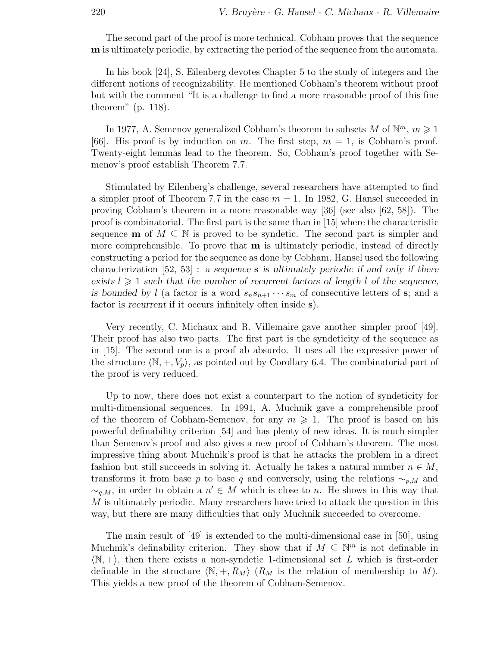The second part of the proof is more technical. Cobham proves that the sequence **m** is ultimately periodic, by extracting the period of the sequence from the automata.

In his book [24], S. Eilenberg devotes Chapter 5 to the study of integers and the different notions of recognizability. He mentioned Cobham's theorem without proof but with the comment "It is a challenge to find a more reasonable proof of this fine theorem" (p. 118).

In 1977, A. Semenov generalized Cobham's theorem to subsets M of  $\mathbb{N}^m$ ,  $m \geq 1$ [66]. His proof is by induction on m. The first step,  $m = 1$ , is Cobham's proof. Twenty-eight lemmas lead to the theorem. So, Cobham's proof together with Semenov's proof establish Theorem 7.7.

Stimulated by Eilenberg's challenge, several researchers have attempted to find a simpler proof of Theorem 7.7 in the case  $m = 1$ . In 1982, G. Hansel succeeded in proving Cobham's theorem in a more reasonable way [36] (see also [62, 58]). The proof is combinatorial. The first part is the same than in [15] where the characteristic sequence **m** of  $M \subseteq \mathbb{N}$  is proved to be syndetic. The second part is simpler and more comprehensible. To prove that **m** is ultimately periodic, instead of directly constructing a period for the sequence as done by Cobham, Hansel used the following characterization [52, 53] : *a sequence* **s** *is ultimately periodic if and only if there*  $e$ *exists*  $l \geq 1$  *such that the number of recurrent factors of length* l *of the sequence,* is bounded by l (a factor is a word  $s_n s_{n+1} \cdots s_m$  of consecutive letters of **s**; and a factor is *recurrent* if it occurs infinitely often inside **s**).

Very recently, C. Michaux and R. Villemaire gave another simpler proof [49]. Their proof has also two parts. The first part is the syndeticity of the sequence as in [15]. The second one is a proof ab absurdo. It uses all the expressive power of the structure  $\langle \mathbb{N}, +, V_p \rangle$ , as pointed out by Corollary 6.4. The combinatorial part of the proof is very reduced.

Up to now, there does not exist a counterpart to the notion of syndeticity for multi-dimensional sequences. In 1991, A. Muchnik gave a comprehensible proof of the theorem of Cobham-Semenov, for any  $m \geqslant 1$ . The proof is based on his powerful definability criterion [54] and has plenty of new ideas. It is much simpler than Semenov's proof and also gives a new proof of Cobham's theorem. The most impressive thing about Muchnik's proof is that he attacks the problem in a direct fashion but still succeeds in solving it. Actually he takes a natural number  $n \in M$ , transforms it from base p to base q and conversely, using the relations  $\sim_{p,M}$  and  $\sim_{q,M}$ , in order to obtain a  $n' \in M$  which is close to n. He shows in this way that  $M$  is ultimately periodic. Many researchers have tried to attack the question in this way, but there are many difficulties that only Muchnik succeeded to overcome.

The main result of [49] is extended to the multi-dimensional case in [50], using Muchnik's definability criterion. They show that if  $M \subseteq \mathbb{N}^m$  is not definable in  $\langle \mathbb{N}, + \rangle$ , then there exists a non-syndetic 1-dimensional set L which is first-order definable in the structure  $\langle \mathbb{N}, +, R_M \rangle$   $(R_M$  is the relation of membership to M). This yields a new proof of the theorem of Cobham-Semenov.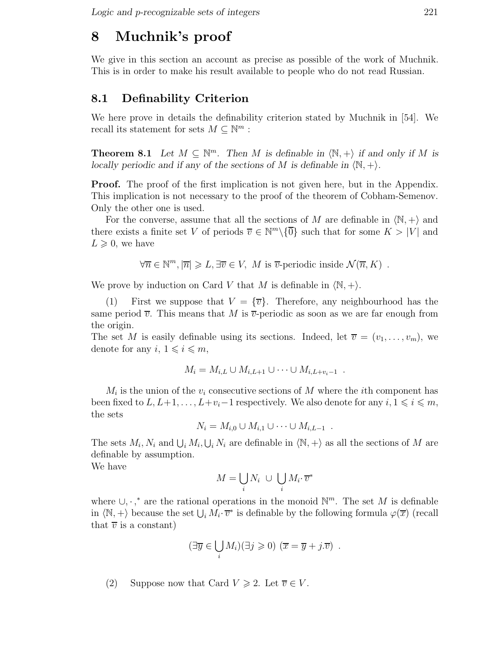# **8 Muchnik's proof**

We give in this section an account as precise as possible of the work of Muchnik. This is in order to make his result available to people who do not read Russian.

## **8.1 Definability Criterion**

We here prove in details the definability criterion stated by Muchnik in [54]. We recall its statement for sets  $M \subseteq \mathbb{N}^m$ :

**Theorem 8.1** *Let*  $M \subseteq \mathbb{N}^m$ . Then M is definable in  $\langle \mathbb{N}, + \rangle$  if and only if M is *locally periodic and if any of the sections of* M *is definable in*  $\langle \mathbb{N}, + \rangle$ *.* 

**Proof.** The proof of the first implication is not given here, but in the Appendix. This implication is not necessary to the proof of the theorem of Cobham-Semenov. Only the other one is used.

For the converse, assume that all the sections of M are definable in  $\langle \mathbb{N}, + \rangle$  and there exists a finite set V of periods  $\overline{v} \in \mathbb{N}^m \setminus \{\overline{0}\}\$  such that for some  $K > |V|$  and  $L \geqslant 0$ , we have

 $\forall \overline{n} \in \mathbb{N}^m, |\overline{n}| \geq L, \exists \overline{v} \in V, M \text{ is } \overline{v} \text{-periodic inside } \mathcal{N}(\overline{n}, K)$ .

We prove by induction on Card V that M is definable in  $\langle \mathbb{N}, + \rangle$ .

(1) First we suppose that  $V = \{\overline{v}\}\$ . Therefore, any neighbourhood has the same period  $\overline{v}$ . This means that M is  $\overline{v}$ -periodic as soon as we are far enough from the origin.

The set M is easily definable using its sections. Indeed, let  $\overline{v} = (v_1, \ldots, v_m)$ , we denote for any  $i, 1 \leq i \leq m$ ,

$$
M_i = M_{i,L} \cup M_{i,L+1} \cup \cdots \cup M_{i,L+v_i-1} .
$$

 $M_i$  is the union of the  $v_i$  consecutive sections of M where the *i*th component has been fixed to  $L, L+1, \ldots, L+v_i-1$  respectively. We also denote for any  $i, 1 \leq i \leq m$ , the sets

 $N_i = M_{i,0} \cup M_{i,1} \cup \cdots \cup M_{i,L-1}$ .

The sets  $M_i$ ,  $N_i$  and  $\bigcup_i M_i$ ,  $\bigcup_i N_i$  are definable in  $\langle \mathbb{N}, + \rangle$  as all the sections of M are definable by assumption.

We have

$$
M = \bigcup_i N_i \cup \bigcup_i M_i \cdot \overline{v}^*
$$

where  $\cup, \cdot,^*$  are the rational operations in the monoid  $\mathbb{N}^m$ . The set M is definable in  $\langle \mathbb{N}, + \rangle$  because the set  $\bigcup_i M_i \cdot \overline{v}^*$  is definable by the following formula  $\varphi(\overline{x})$  (recall that  $\overline{v}$  is a constant)

$$
(\exists \overline{y} \in \bigcup_i M_i)(\exists j \geqslant 0) (\overline{x} = \overline{y} + j.\overline{v}) .
$$

(2) Suppose now that Card  $V \ge 2$ . Let  $\overline{v} \in V$ .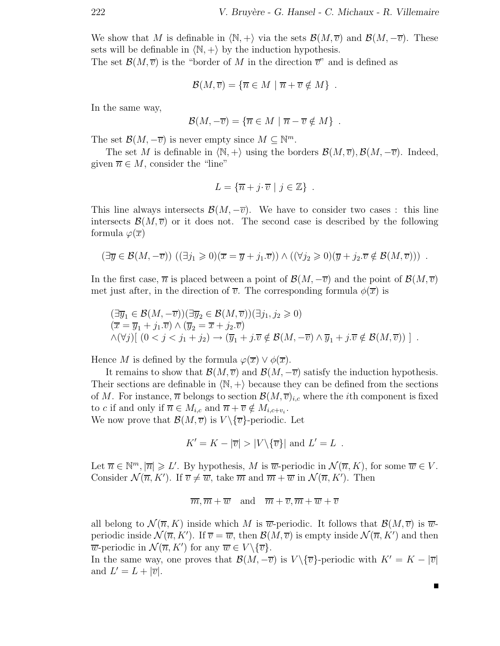We show that M is definable in  $\langle N, +\rangle$  via the sets  $\mathcal{B}(M, \overline{v})$  and  $\mathcal{B}(M, -\overline{v})$ . These sets will be definable in  $\langle \mathbb{N}, + \rangle$  by the induction hypothesis.

The set  $\mathcal{B}(M,\overline{v})$  is the "border of M in the direction  $\overline{v}$ " and is defined as

$$
\mathcal{B}(M,\overline{v}) = \{ \overline{n} \in M \mid \overline{n} + \overline{v} \notin M \} .
$$

In the same way,

$$
\mathcal{B}(M, -\overline{v}) = \{ \overline{n} \in M \mid \overline{n} - \overline{v} \notin M \} .
$$

The set  $\mathcal{B}(M, -\overline{v})$  is never empty since  $M \subseteq \mathbb{N}^m$ .

The set M is definable in  $\langle \mathbb{N}, + \rangle$  using the borders  $\mathcal{B}(M, \overline{v}), \mathcal{B}(M, -\overline{v})$ . Indeed, given  $\overline{n} \in M$ , consider the "line"

$$
L = \{ \overline{n} + j \cdot \overline{v} \mid j \in \mathbb{Z} \} .
$$

This line always intersects  $\mathcal{B}(M, -\overline{v})$ . We have to consider two cases : this line intersects  $\mathcal{B}(M,\overline{v})$  or it does not. The second case is described by the following formula  $\varphi(\overline{x})$ 

$$
(\exists \overline{y} \in \mathcal{B}(M, -\overline{v})) ((\exists j_1 \geq 0)(\overline{x} = \overline{y} + j_1.\overline{v})) \wedge ((\forall j_2 \geq 0)(\overline{y} + j_2.\overline{v} \notin \mathcal{B}(M, \overline{v}))) .
$$

In the first case,  $\overline{n}$  is placed between a point of  $\mathcal{B}(M, -\overline{v})$  and the point of  $\mathcal{B}(M, \overline{v})$ met just after, in the direction of  $\overline{v}$ . The corresponding formula  $\phi(\overline{x})$  is

$$
(\exists \overline{y}_1 \in \mathcal{B}(M, -\overline{v}))(\exists \overline{y}_2 \in \mathcal{B}(M, \overline{v}))(\exists j_1, j_2 \geq 0)
$$
  
\n
$$
(\overline{x} = \overline{y}_1 + j_1.\overline{v}) \wedge (\overline{y}_2 = \overline{x} + j_2.\overline{v})
$$
  
\n
$$
\wedge (\forall j) [ (0 < j < j_1 + j_2) \rightarrow (\overline{y}_1 + j.\overline{v} \notin \mathcal{B}(M, -\overline{v}) \wedge \overline{y}_1 + j.\overline{v} \notin \mathcal{B}(M, \overline{v})) ].
$$

Hence M is defined by the formula  $\varphi(\overline{x}) \vee \varphi(\overline{x})$ .

It remains to show that  $\mathcal{B}(M, \overline{v})$  and  $\mathcal{B}(M, -\overline{v})$  satisfy the induction hypothesis. Their sections are definable in  $\langle N, +\rangle$  because they can be defined from the sections of M. For instance,  $\overline{n}$  belongs to section  $\mathcal{B}(M, \overline{v})_{i,c}$  where the *i*th component is fixed to c if and only if  $\overline{n} \in M_{i,c}$  and  $\overline{n} + \overline{v} \notin M_{i,c+v_i}$ . We now prove that  $\mathcal{B}(M,\overline{v})$  is  $V \setminus {\overline{v}}$ -periodic. Let

$$
K' = K - |\overline{v}| > |V \setminus {\overline{v}}| \text{ and } L' = L .
$$

Let  $\overline{n} \in \mathbb{N}^m, |\overline{n}| \geq L'$ . By hypothesis, M is  $\overline{w}$ -periodic in  $\mathcal{N}(\overline{n}, K)$ , for some  $\overline{w} \in V$ . Consider  $\mathcal{N}(\overline{n}, K')$ . If  $\overline{v} \neq \overline{w}$ , take  $\overline{m}$  and  $\overline{m} + \overline{w}$  in  $\mathcal{N}(\overline{n}, K')$ . Then

$$
\overline{m}, \overline{m} + \overline{w}
$$
 and  $\overline{m} + \overline{v}, \overline{m} + \overline{w} + \overline{v}$ 

all belong to  $\mathcal{N}(\overline{n}, K)$  inside which M is  $\overline{w}$ -periodic. It follows that  $\mathcal{B}(M, \overline{v})$  is  $\overline{w}$ periodic inside  $\mathcal{N}(\overline{n}, K')$ . If  $\overline{v} = \overline{w}$ , then  $\mathcal{B}(M, \overline{v})$  is empty inside  $\mathcal{N}(\overline{n}, K')$  and then  $\overline{w}$ -periodic in  $\mathcal{N}(\overline{n}, K')$  for any  $\overline{w} \in V \setminus {\overline{v}}$ .

In the same way, one proves that  $\mathcal{B}(M, -\overline{v})$  is  $V \setminus {\overline{v}}$ -periodic with  $K' = K - |\overline{v}|$ and  $L' = L + |\overline{v}|$ .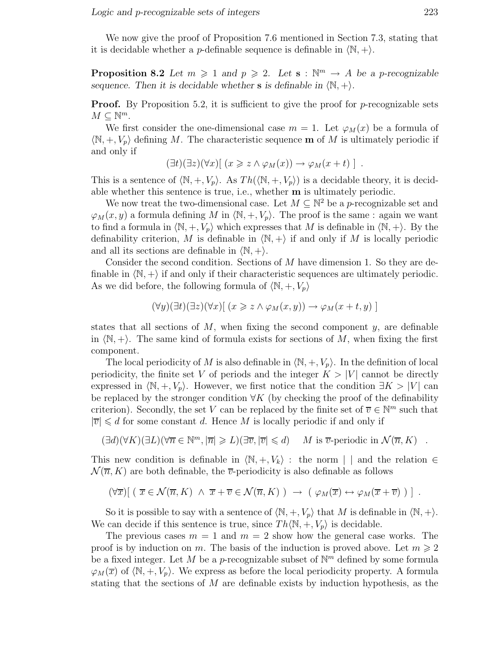We now give the proof of Proposition 7.6 mentioned in Section 7.3, stating that it is decidable whether a *p*-definable sequence is definable in  $\langle \mathbb{N}, + \rangle$ .

**Proposition 8.2** *Let*  $m \geq 1$  *and*  $p \geq 2$ *. Let*  $s : \mathbb{N}^m \to A$  *be a p-recognizable sequence. Then it is decidable whether* **s** *is definable in*  $\langle \mathbb{N}, + \rangle$ *.* 

**Proof.** By Proposition 5.2, it is sufficient to give the proof for  $p$ -recognizable sets  $M \subseteq \mathbb{N}^m$ .

We first consider the one-dimensional case  $m = 1$ . Let  $\varphi_M(x)$  be a formula of  $\langle \mathbb{N}, +, V_p \rangle$  defining M. The characteristic sequence **m** of M is ultimately periodic if and only if

$$
(\exists t)(\exists z)(\forall x)[(x \geq z \land \varphi_M(x)) \to \varphi_M(x+t)].
$$

This is a sentence of  $\langle \mathbb{N}, +, V_p \rangle$ . As  $Th(\langle \mathbb{N}, +, V_p \rangle)$  is a decidable theory, it is decidable whether this sentence is true, i.e., whether **m** is ultimately periodic.

We now treat the two-dimensional case. Let  $M \subseteq \mathbb{N}^2$  be a p-recognizable set and  $\varphi_M(x,y)$  a formula defining M in  $\langle \mathbb{N}, +, V_p \rangle$ . The proof is the same : again we want to find a formula in  $\langle \mathbb{N}, +, V_p \rangle$  which expresses that M is definable in  $\langle \mathbb{N}, + \rangle$ . By the definability criterion, M is definable in  $\langle \mathbb{N}, + \rangle$  if and only if M is locally periodic and all its sections are definable in  $\langle \mathbb{N}, + \rangle$ .

Consider the second condition. Sections of M have dimension 1. So they are definable in  $\langle \mathbb{N}, + \rangle$  if and only if their characteristic sequences are ultimately periodic. As we did before, the following formula of  $\langle \mathbb{N}, +, V_p \rangle$ 

$$
(\forall y)(\exists t)(\exists z)(\forall x)[ (x \geq z \land \varphi_M(x,y)) \to \varphi_M(x+t,y)]
$$

states that all sections of  $M$ , when fixing the second component  $y$ , are definable in  $\langle \mathbb{N}, + \rangle$ . The same kind of formula exists for sections of M, when fixing the first component.

The local periodicity of M is also definable in  $\langle \mathbb{N}, +, V_p \rangle$ . In the definition of local periodicity, the finite set V of periods and the integer  $K > |V|$  cannot be directly expressed in  $\langle \mathbb{N}, +, V_p \rangle$ . However, we first notice that the condition  $\exists K > |V|$  can be replaced by the stronger condition  $\forall K$  (by checking the proof of the definability criterion). Secondly, the set V can be replaced by the finite set of  $\overline{v} \in \mathbb{N}^m$  such that  $|\overline{v}| \le d$  for some constant d. Hence M is locally periodic if and only if

$$
(\exists d)(\forall K)(\exists L)(\forall \overline{n} \in \mathbb{N}^m, |\overline{n}| \geqslant L)(\exists \overline{v}, |\overline{v}| \leqslant d) \quad M \text{ is } \overline{v}\text{-periodic in } \mathcal{N}(\overline{n}, K) \quad .
$$

This new condition is definable in  $\langle \mathbb{N}, +, V_k \rangle$ : the norm | | and the relation ∈  $\mathcal{N}(\overline{n},K)$  are both definable, the v-periodicity is also definable as follows

$$
(\forall \overline{x})\left[ \left( \overline{x} \in \mathcal{N}(\overline{n}, K) \land \overline{x} + \overline{v} \in \mathcal{N}(\overline{n}, K) \right) \rightarrow (\varphi_M(\overline{x}) \leftrightarrow \varphi_M(\overline{x} + \overline{v}) ) \right].
$$

So it is possible to say with a sentence of  $\langle \mathbb{N}, +, V_p \rangle$  that M is definable in  $\langle \mathbb{N}, + \rangle$ . We can decide if this sentence is true, since  $Th\langle\mathbb{N}, +, V_p\rangle$  is decidable.

The previous cases  $m = 1$  and  $m = 2$  show how the general case works. The proof is by induction on m. The basis of the induction is proved above. Let  $m \geqslant 2$ be a fixed integer. Let M be a p-recognizable subset of  $\mathbb{N}^m$  defined by some formula  $\varphi_M(\overline{x})$  of  $\langle \mathbb{N}, +, V_p \rangle$ . We express as before the local periodicity property. A formula stating that the sections of M are definable exists by induction hypothesis, as the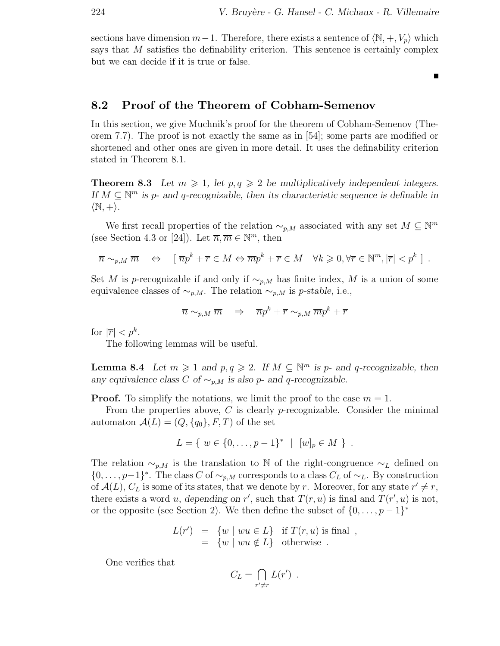sections have dimension  $m-1$ . Therefore, there exists a sentence of  $\langle \mathbb{N}, +, V_p \rangle$  which says that M satisfies the definability criterion. This sentence is certainly complex but we can decide if it is true or false.

 $\blacksquare$ 

## **8.2 Proof of the Theorem of Cobham-Semenov**

In this section, we give Muchnik's proof for the theorem of Cobham-Semenov (Theorem 7.7). The proof is not exactly the same as in [54]; some parts are modified or shortened and other ones are given in more detail. It uses the definability criterion stated in Theorem 8.1.

**Theorem 8.3** Let  $m \geq 1$ , let  $p, q \geq 2$  be multiplicatively independent integers. *If*  $M \subseteq \mathbb{N}^m$  *is* p- and q-recognizable, then its characteristic sequence is definable in  $\langle \mathbb{N}, + \rangle$ .

We first recall properties of the relation  $\sim_{p,M}$  associated with any set  $M \subseteq \mathbb{N}^m$ (see Section 4.3 or [24]). Let  $\overline{n}, \overline{m} \in \mathbb{N}^m$ , then

$$
\overline{n} \sim_{p,M} \overline{m} \quad \Leftrightarrow \quad [\overline{np}^k + \overline{r} \in M \Leftrightarrow \overline{mp}^k + \overline{r} \in M \quad \forall k \geqslant 0, \forall \overline{r} \in \mathbb{N}^m, |\overline{r}| < p^k].
$$

Set M is p-recognizable if and only if  $\sim_{p,M}$  has finite index, M is a union of some equivalence classes of  $\sim_{p,M}$ . The relation  $\sim_{p,M}$  is p-stable, i.e.,

$$
\overline{n} \sim_{p,M} \overline{m} \quad \Rightarrow \quad \overline{n}p^k + \overline{r} \sim_{p,M} \overline{m}p^k + \overline{r}
$$

for  $|\overline{r}| < p^k$ .

The following lemmas will be useful.

**Lemma 8.4** *Let*  $m \geq 1$  *and*  $p, q \geq 2$ *. If*  $M \subseteq \mathbb{N}^m$  *is*  $p$ *- and*  $q$ *-recognizable, then* any equivalence class C of  $\sim_{p,M}$  is also p- and q-recognizable.

**Proof.** To simplify the notations, we limit the proof to the case  $m = 1$ .

From the properties above, C is clearly  $p$ -recognizable. Consider the minimal automaton  $\mathcal{A}(L)=(Q,\{q_0\},F,T)$  of the set

$$
L = \{ w \in \{0, \ldots, p-1\}^* \mid [w]_p \in M \} .
$$

The relation  $\sim_{p,M}$  is the translation to N of the right-congruence  $\sim_L$  defined on  $\{0,\ldots,p-1\}^*$ . The class C of  $\sim_{p,M}$  corresponds to a class  $C_L$  of  $\sim_L$ . By construction of  $\mathcal{A}(L)$ ,  $C_L$  is some of its states, that we denote by r. Moreover, for any state  $r' \neq r$ , there exists a word u, depending on r', such that  $T(r, u)$  is final and  $T(r', u)$  is not, or the opposite (see Section 2). We then define the subset of  $\{0,\ldots,p-1\}^*$ 

$$
L(r') = \{w \mid wu \in L\} \text{ if } T(r, u) \text{ is final },
$$
  
=  $\{w \mid wu \notin L\}$  otherwise.

One verifies that

$$
C_L = \bigcap_{r' \neq r} L(r') .
$$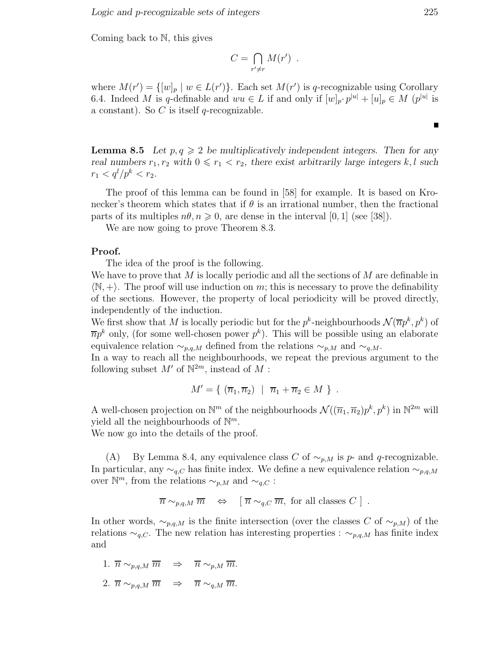Coming back to N, this gives

$$
C = \bigcap_{r' \neq r} M(r') .
$$

where  $M(r') = \{ [w]_p \mid w \in L(r') \}$ . Each set  $M(r')$  is q-recognizable using Corollary 6.4. Indeed M is q-definable and  $wu \in L$  if and only if  $[w]_p \cdot p^{|u|} + [u]_p \in M$   $(p^{|u|})$  is a constant). So  $C$  is itself q-recognizable.

**Lemma 8.5** *Let*  $p, q \ge 2$  *be multiplicatively independent integers. Then for any real numbers*  $r_1, r_2$  *with*  $0 \le r_1 < r_2$ *, there exist arbitrarily large integers* k, l *such*  $r_1 < q^l/p^k < r_2.$ 

The proof of this lemma can be found in [58] for example. It is based on Kronecker's theorem which states that if  $\theta$  is an irrational number, then the fractional parts of its multiples  $n\theta$ ,  $n \geq 0$ , are dense in the interval [0, 1] (see [38]).

We are now going to prove Theorem 8.3.

#### **Proof.**

The idea of the proof is the following.

We have to prove that M is locally periodic and all the sections of M are definable in  $\langle \mathbb{N}, + \rangle$ . The proof will use induction on m; this is necessary to prove the definability of the sections. However, the property of local periodicity will be proved directly, independently of the induction.

We first show that M is locally periodic but for the  $p^k$ -neighbourhoods  $\mathcal{N}(\overline{np}^k, p^k)$  of  $\overline{np}^k$  only, (for some well-chosen power  $p^k$ ). This will be possible using an elaborate equivalence relation  $\sim_{p,q,M}$  defined from the relations  $\sim_{p,M}$  and  $\sim_{q,M}$ .

In a way to reach all the neighbourhoods, we repeat the previous argument to the following subset  $M'$  of  $\mathbb{N}^{2m}$ , instead of  $M$  :

$$
M' = \{ (\overline{n}_1, \overline{n}_2) \mid \overline{n}_1 + \overline{n}_2 \in M \} .
$$

A well-chosen projection on  $\mathbb{N}^m$  of the neighbourhoods  $\mathcal{N}((\overline{n}_1, \overline{n}_2)p^k, p^k)$  in  $\mathbb{N}^{2m}$  will yield all the neighbourhoods of  $\mathbb{N}^m$ .

We now go into the details of the proof.

(A) By Lemma 8.4, any equivalence class C of  $\sim_{p,M}$  is p- and q-recognizable. In particular, any  $\sim_{q,C}$  has finite index. We define a new equivalence relation  $\sim_{p,q,M}$ over  $\mathbb{N}^m$ , from the relations  $\sim_{p,M}$  and  $\sim_{q,C}$ :

$$
\overline{n} \sim_{p,q,M} \overline{m} \quad \Leftrightarrow \quad [\overline{n} \sim_{q,C} \overline{m}, \text{ for all classes } C].
$$

In other words,  $\sim_{p,q,M}$  is the finite intersection (over the classes C of  $\sim_{p,M}$ ) of the relations  $\sim_{q,C}$ . The new relation has interesting properties :  $\sim_{p,q,M}$  has finite index and

- 1.  $\overline{n} \sim_{p,q,M} \overline{m} \Rightarrow \overline{n} \sim_{p,M} \overline{m}$ .
- 2.  $\overline{n} \sim_{p,q,M} \overline{m} \Rightarrow \overline{n} \sim_{q,M} \overline{m}$ .

 $\blacksquare$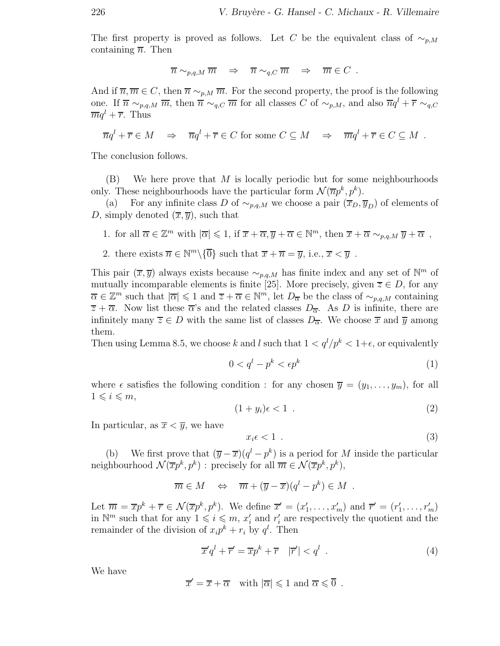The first property is proved as follows. Let C be the equivalent class of  $\sim_{p,M}$ containing  $\overline{n}$ . Then

$$
\overline{n} \sim_{p,q,M} \overline{m} \quad \Rightarrow \quad \overline{n} \sim_{q,C} \overline{m} \quad \Rightarrow \quad \overline{m} \in C \ .
$$

And if  $\overline{n}, \overline{m} \in C$ , then  $\overline{n} \sim_{p,M} \overline{m}$ . For the second property, the proof is the following one. If  $\overline{n} \sim_{p,q,M} \overline{m}$ , then  $\overline{n} \sim_{q,C} \overline{m}$  for all classes C of  $\sim_{p,M}$ , and also  $\overline{n}q^l + \overline{r} \sim_{q,C}$  $\overline{m}q^{l} + \overline{r}$ . Thus

$$
\overline{n}q^{l} + \overline{r} \in M \quad \Rightarrow \quad \overline{n}q^{l} + \overline{r} \in C \text{ for some } C \subseteq M \quad \Rightarrow \quad \overline{m}q^{l} + \overline{r} \in C \subseteq M \quad .
$$

The conclusion follows.

 $(B)$  We here prove that M is locally periodic but for some neighbourhoods only. These neighbourhoods have the particular form  $\mathcal{N}(\overline{np}^k, p^k)$ .

(a) For any infinite class D of  $\sim_{p,q,M}$  we choose a pair  $(\overline{x}_D, \overline{y}_D)$  of elements of D, simply denoted  $(\overline{x}, \overline{y})$ , such that

- 1. for all  $\overline{\alpha} \in \mathbb{Z}^m$  with  $|\overline{\alpha}| \leqslant 1$ , if  $\overline{x} + \overline{\alpha}, \overline{y} + \overline{\alpha} \in \mathbb{N}^m$ , then  $\overline{x} + \overline{\alpha} \sim_{p,q,M} \overline{y} + \overline{\alpha}$ ,
- 2. there exists  $\overline{n} \in \mathbb{N}^m \setminus \{ \overline{0} \}$  such that  $\overline{x} + \overline{n} = \overline{y}$ , i.e.,  $\overline{x} < \overline{y}$ .

This pair  $(\overline{x}, \overline{y})$  always exists because  $\sim_{p,q,M}$  has finite index and any set of N<sup>m</sup> of mutually incomparable elements is finite [25]. More precisely, given  $\overline{z} \in D$ , for any  $\overline{\alpha} \in \mathbb{Z}^m$  such that  $|\overline{\alpha}| \leq 1$  and  $\overline{z} + \overline{\alpha} \in \mathbb{N}^m$ , let  $D_{\overline{\alpha}}$  be the class of  $\sim_{p,q,M}$  containing  $\overline{z} + \overline{\alpha}$ . Now list these  $\overline{\alpha}$ 's and the related classes  $D_{\overline{\alpha}}$ . As D is infinite, there are infinitely many  $\overline{z} \in D$  with the same list of classes  $D_{\overline{\alpha}}$ . We choose  $\overline{x}$  and  $\overline{y}$  among them.

Then using Lemma 8.5, we choose k and l such that  $1 < q^{l}/p^{k} < 1+\epsilon$ , or equivalently

$$
0 < q^l - p^k < \epsilon p^k \tag{1}
$$

where  $\epsilon$  satisfies the following condition : for any chosen  $\overline{y} = (y_1, \ldots, y_m)$ , for all  $1 \leqslant i \leqslant m$ ,

$$
(1+y_i)\epsilon < 1 \tag{2}
$$

In particular, as  $\overline{x} < \overline{y}$ , we have

$$
x_i \epsilon < 1 \tag{3}
$$

(b) We first prove that  $(\overline{y} - \overline{x})(q^{l} - p^{k})$  is a period for M inside the particular neighbourhood  $\mathcal{N}(\overline{x}p^k, p^k)$ : precisely for all  $\overline{m} \in \mathcal{N}(\overline{x}p^k, p^k)$ ,

$$
\overline{m} \in M \quad \Leftrightarrow \quad \overline{m} + (\overline{y} - \overline{x})(q^{l} - p^{k}) \in M \ .
$$

Let  $\overline{m} = \overline{x}p^k + \overline{r} \in \mathcal{N}(\overline{x}p^k, p^k)$ . We define  $\overline{x}' = (x'_1, \ldots, x'_m)$  and  $\overline{r}' = (r'_1, \ldots, r'_m)$ in  $\mathbb{N}^m$  such that for any  $1 \leqslant i \leqslant m$ ,  $x'_i$  and  $r'_i$  are respectively the quotient and the remainder of the division of  $x_i p^k + r_i$  by  $q^l$ . Then

$$
\overline{x}'q^l + \overline{r}' = \overline{x}p^k + \overline{r} \quad |\overline{r}'| < q^l \tag{4}
$$

We have

$$
\overline{x}' = \overline{x} + \overline{\alpha} \quad \text{with } |\overline{\alpha}| \leq 1 \text{ and } \overline{\alpha} \leq 0 .
$$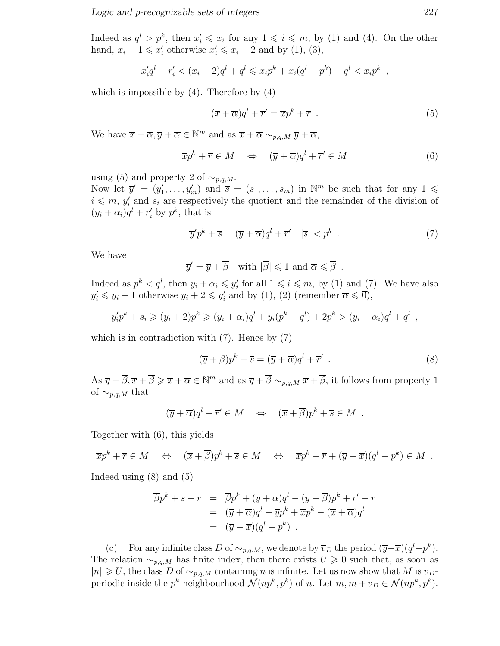Indeed as  $q^l > p^k$ , then  $x'_i \leq x_i$  for any  $1 \leq i \leq m$ , by (1) and (4). On the other hand,  $x_i - 1 \leq x'_i$  otherwise  $x'_i \leq x_i - 2$  and by (1), (3),

$$
x'_i q^l + r'_i < (x_i - 2)q^l + q^l \leq x_i p^k + x_i (q^l - p^k) - q^l < x_i p^k \enspace,
$$

which is impossible by  $(4)$ . Therefore by  $(4)$ 

$$
(\overline{x} + \overline{\alpha})q^{l} + \overline{r}' = \overline{x}p^{k} + \overline{r} \tag{5}
$$

We have  $\overline{x} + \overline{\alpha}, \overline{y} + \overline{\alpha} \in \mathbb{N}^m$  and as  $\overline{x} + \overline{\alpha} \sim_{p,q,M} \overline{y} + \overline{\alpha}$ ,

$$
\overline{x}p^k + \overline{r} \in M \quad \Leftrightarrow \quad (\overline{y} + \overline{\alpha})q^l + \overline{r}' \in M \tag{6}
$$

using (5) and property 2 of  $\sim_{p,q,M}$ .

Now let  $\overline{y}' = (y'_1, \ldots, y'_m)$  and  $\overline{s} = (s_1, \ldots, s_m)$  in  $\mathbb{N}^m$  be such that for any  $1 \leq$  $i \leq m, y'_i$  and  $s_i$  are respectively the quotient and the remainder of the division of  $(y_i + \alpha_i)q^l + r'_i$  by  $p^k$ , that is

$$
\overline{y}'p^k + \overline{s} = (\overline{y} + \overline{\alpha})q^l + \overline{r}' \quad |\overline{s}| < p^k \tag{7}
$$

We have

$$
\overline{y}' = \overline{y} + \overline{\beta} \quad \text{with } |\overline{\beta}| \leqslant 1 \text{ and } \overline{\alpha} \leqslant \overline{\beta} \ .
$$

Indeed as  $p^k < q^l$ , then  $y_i + \alpha_i \leqslant y'_i$  for all  $1 \leqslant i \leqslant m$ , by (1) and (7). We have also  $y'_i \leq y_i + 1$  otherwise  $y_i + 2 \leq y'_i$  and by (1), (2) (remember  $\overline{\alpha} \leq 0$ ),

$$
y_i' p^k + s_i \geq (y_i + 2)p^k \geq (y_i + \alpha_i)q^l + y_i(p^k - q^l) + 2p^k > (y_i + \alpha_i)q^l + q^l,
$$

which is in contradiction with  $(7)$ . Hence by  $(7)$ 

$$
(\overline{y} + \overline{\beta})p^{k} + \overline{s} = (\overline{y} + \overline{\alpha})q^{l} + \overline{r}'
$$
 (8)

As  $\overline{y} + \overline{\beta}, \overline{x} + \overline{\beta} \geq \overline{x} + \overline{\alpha} \in \mathbb{N}^m$  and as  $\overline{y} + \overline{\beta} \sim_{p,q,M} \overline{x} + \overline{\beta}$ , it follows from property 1 of  $\sim_{p,q,M}$  that

$$
(\overline{y} + \overline{\alpha})q^{l} + \overline{r}' \in M \quad \Leftrightarrow \quad (\overline{x} + \overline{\beta})p^{k} + \overline{s} \in M .
$$

Together with (6), this yields

$$
\overline{x}p^k + \overline{r} \in M \quad \Leftrightarrow \quad (\overline{x} + \overline{\beta})p^k + \overline{s} \in M \quad \Leftrightarrow \quad \overline{x}p^k + \overline{r} + (\overline{y} - \overline{x})(q^l - p^k) \in M
$$
.

Indeed using (8) and (5)

$$
\overline{\beta}p^{k} + \overline{s} - \overline{r} = \overline{\beta}p^{k} + (\overline{y} + \overline{\alpha})q^{l} - (\overline{y} + \overline{\beta})p^{k} + \overline{r}' - \overline{r}
$$
  
\n
$$
= (\overline{y} + \overline{\alpha})q^{l} - \overline{y}p^{k} + \overline{x}p^{k} - (\overline{x} + \overline{\alpha})q^{l}
$$
  
\n
$$
= (\overline{y} - \overline{x})(q^{l} - p^{k}).
$$

(c) For any infinite class D of  $\sim_{p,q,M}$ , we denote by  $\overline{v}_D$  the period  $(\overline{y}-\overline{x})(q^l-p^k)$ . The relation  $\sim_{p,q,M}$  has finite index, then there exists  $U \geq 0$  such that, as soon as  $|\overline{n}| \geq U$ , the class D of  $\sim_{p,q,M}$  containing  $\overline{n}$  is infinite. Let us now show that M is  $\overline{v}_D$ periodic inside the  $p^k$ -neighbourhood  $\mathcal{N}(\overline np^k, p^k)$  of  $\overline{n}$ . Let  $\overline{m}, \overline{m} + \overline{v}_D \in \mathcal{N}(\overline{np}^k, p^k)$ .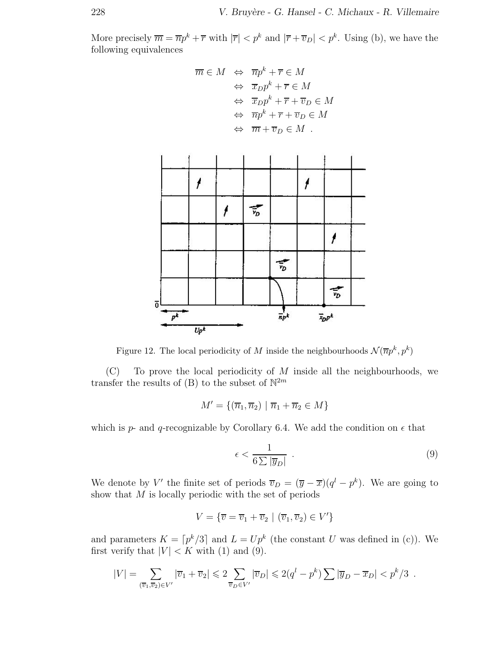More precisely  $\overline{m} = \overline{np}^k + \overline{r}$  with  $|\overline{r}| < p^k$  and  $|\overline{r} + \overline{v}_D| < p^k$ . Using (b), we have the following equivalences

$$
\overline{m} \in M \Leftrightarrow \overline{np}^k + \overline{r} \in M
$$
  
\n
$$
\Leftrightarrow \overline{x}_{DP}^k + \overline{r} \in M
$$
  
\n
$$
\Leftrightarrow \overline{x}_{DP}^k + \overline{r} + \overline{v}_D \in M
$$
  
\n
$$
\Leftrightarrow \overline{np}^k + \overline{r} + \overline{v}_D \in M
$$
  
\n
$$
\Leftrightarrow \overline{m} + \overline{v}_D \in M
$$
.



Figure 12. The local periodicity of  $M$  inside the neighbourhoods  $\mathcal{N}(\overline{n}p^k, p^k)$ 

(C) To prove the local periodicity of M inside all the neighbourhoods, we transfer the results of  $(B)$  to the subset of  $\mathbb{N}^{2m}$ 

$$
M' = \{(\overline{n}_1, \overline{n}_2) \mid \overline{n}_1 + \overline{n}_2 \in M\}
$$

which is p- and q-recognizable by Corollary 6.4. We add the condition on  $\epsilon$  that

$$
\epsilon < \frac{1}{6\sum |\overline{y}_D|} \tag{9}
$$

We denote by V' the finite set of periods  $\overline{v}_D = (\overline{y} - \overline{x})(q^l - p^k)$ . We are going to show that M is locally periodic with the set of periods

$$
V = \{ \overline{v} = \overline{v}_1 + \overline{v}_2 \mid (\overline{v}_1, \overline{v}_2) \in V' \}
$$

and parameters  $K = \lfloor p^k/3 \rfloor$  and  $L = Up^k$  (the constant U was defined in (c)). We first verify that  $|V| < K$  with (1) and (9).

$$
|V| = \sum_{(\overline{v}_1, \overline{v}_2) \in V'} |\overline{v}_1 + \overline{v}_2| \leq 2 \sum_{\overline{v}_D \in V'} |\overline{v}_D| \leq 2(q^l - p^k) \sum |\overline{y}_D - \overline{x}_D| < p^k/3.
$$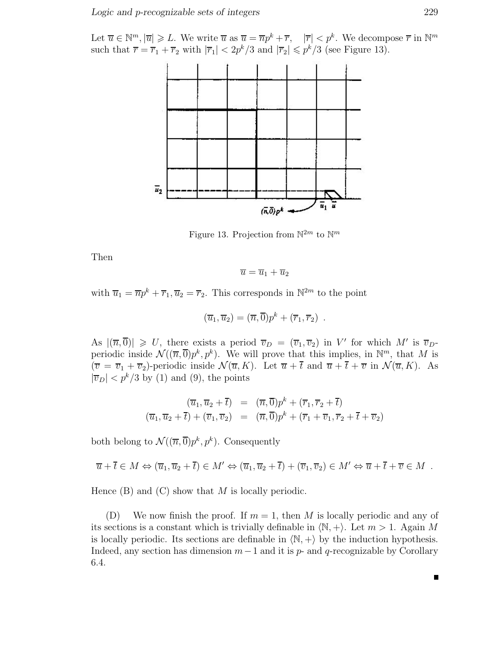Let  $\overline{u} \in \mathbb{N}^m, |\overline{u}| \geq L$ . We write  $\overline{u}$  as  $\overline{u} = \overline{n}p^k + \overline{r}$ ,  $|\overline{r}| < p^k$ . We decompose  $\overline{r}$  in  $\mathbb{N}^m$ such that  $\overline{r} = \overline{r}_1 + \overline{r}_2$  with  $|\overline{r}_1| < 2p^k/3$  and  $|\overline{r}_2| \leqslant p^k/3$  (see Figure 13).



Figure 13. Projection from  $\mathbb{N}^{2m}$  to  $\mathbb{N}^m$ 

Then

 $\overline{u} = \overline{u}_1 + \overline{u}_2$ 

with  $\overline{u}_1 = \overline{n}p^k + \overline{r}_1, \overline{u}_2 = \overline{r}_2$ . This corresponds in  $\mathbb{N}^{2m}$  to the point

$$
(\overline{u}_1, \overline{u}_2) = (\overline{n}, \overline{0})p^k + (\overline{r}_1, \overline{r}_2) .
$$

As  $|(\overline{n}, \overline{0})| \ge U$ , there exists a period  $\overline{v}_D = (\overline{v}_1, \overline{v}_2)$  in V' for which M' is  $\overline{v}_D$ periodic inside  $\mathcal{N}((\overline{n},\overline{0})p^k,p^k)$ . We will prove that this implies, in  $\mathbb{N}^m$ , that M is  $(\overline{v} = \overline{v}_1 + \overline{v}_2)$ -periodic inside  $\mathcal{N}(\overline{u}, K)$ . Let  $\overline{u} + \overline{t}$  and  $\overline{u} + \overline{t} + \overline{v}$  in  $\mathcal{N}(\overline{u}, K)$ . As  $|\overline{v}_D|$  <  $p^k/3$  by (1) and (9), the points

$$
(\overline{u}_1, \overline{u}_2 + \overline{t}) = (\overline{n}, \overline{0})p^k + (\overline{r}_1, \overline{r}_2 + \overline{t})
$$
  

$$
(\overline{u}_1, \overline{u}_2 + \overline{t}) + (\overline{v}_1, \overline{v}_2) = (\overline{n}, \overline{0})p^k + (\overline{r}_1 + \overline{v}_1, \overline{r}_2 + \overline{t} + \overline{v}_2)
$$

both belong to  $\mathcal{N}((\overline{n},\overline{0})p^k,p^k)$ . Consequently

$$
\overline{u} + \overline{t} \in M \Leftrightarrow (\overline{u}_1, \overline{u}_2 + \overline{t}) \in M' \Leftrightarrow (\overline{u}_1, \overline{u}_2 + \overline{t}) + (\overline{v}_1, \overline{v}_2) \in M' \Leftrightarrow \overline{u} + \overline{t} + \overline{v} \in M.
$$

Hence  $(B)$  and  $(C)$  show that M is locally periodic.

(D) We now finish the proof. If  $m = 1$ , then M is locally periodic and any of its sections is a constant which is trivially definable in  $\langle \mathbb{N}, + \rangle$ . Let  $m > 1$ . Again M is locally periodic. Its sections are definable in  $\langle \mathbb{N}, + \rangle$  by the induction hypothesis. Indeed, any section has dimension  $m-1$  and it is p- and q-recognizable by Corollary 6.4.

 $\blacksquare$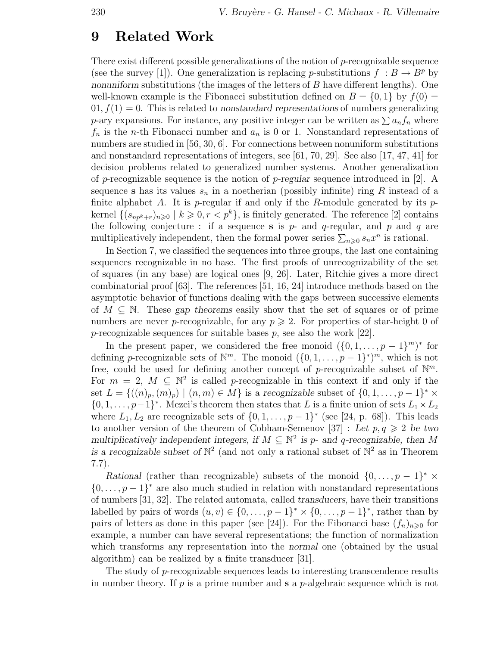# **9 Related Work**

There exist different possible generalizations of the notion of  $p$ -recognizable sequence (see the survey [1]). One generalization is replacing p-substitutions  $f : B \to B^p$  by *nonuniform* substitutions (the images of the letters of B have different lengths). One well-known example is the Fibonacci substitution defined on  $B = \{0, 1\}$  by  $f(0) =$  $01, f(1) = 0$ . This is related to *nonstandard representations* of numbers generalizing p-ary expansions. For instance, any positive integer can be written as  $\sum a_n f_n$  where  $f_n$  is the *n*-th Fibonacci number and  $a_n$  is 0 or 1. Nonstandard representations of numbers are studied in [56, 30, 6]. For connections between nonuniform substitutions and nonstandard representations of integers, see [61, 70, 29]. See also [17, 47, 41] for decision problems related to generalized number systems. Another generalization of p-recognizable sequence is the notion of p*-regular* sequence introduced in [2]. A sequence **s** has its values  $s_n$  in a noetherian (possibly infinite) ring R instead of a finite alphabet A. It is p-regular if and only if the R-module generated by its  $p$ kernel  $\{(s_{np^k+r})_{n\geq 0} \mid k \geq 0, r < p^k\}$ , is finitely generated. The reference [2] contains the following conjecture : if a sequence **s** is  $p$ - and  $q$ -regular, and  $p$  and  $q$  are multiplicatively independent, then the formal power series  $\sum_{n\geqslant 0} s_n x^n$  is rational.

In Section 7, we classified the sequences into three groups, the last one containing sequences recognizable in no base. The first proofs of unrecognizability of the set of squares (in any base) are logical ones [9, 26]. Later, Ritchie gives a more direct combinatorial proof [63]. The references [51, 16, 24] introduce methods based on the asymptotic behavior of functions dealing with the gaps between successive elements of  $M \subseteq \mathbb{N}$ . These *gap theorems* easily show that the set of squares or of prime numbers are never p-recognizable, for any  $p \geq 2$ . For properties of star-height 0 of p-recognizable sequences for suitable bases  $p$ , see also the work [22].

In the present paper, we considered the free monoid  $({0, 1, \ldots, p-1}^m)^*$  for defining p-recognizable sets of  $\mathbb{N}^m$ . The monoid  $({0, 1, \ldots, p-1}^*)^m$ , which is not free, could be used for defining another concept of  $p$ -recognizable subset of  $\mathbb{N}^m$ . For  $m = 2$ ,  $M \subseteq \mathbb{N}^2$  is called p-recognizable in this context if and only if the set  $L = \{((n)_p, (m)_p) \mid (n, m) \in M\}$  is a *recognizable* subset of  $\{0, 1, \ldots, p-1\}^* \times$  $\{0, 1, \ldots, p-1\}^*$ . Mezei's theorem then states that L is a finite union of sets  $L_1 \times L_2$ where  $L_1, L_2$  are recognizable sets of  $\{0, 1, \ldots, p-1\}^*$  (see [24, p. 68]). This leads to another version of the theorem of Cobham-Semenov [37] : Let  $p, q \geq 2$  be two *multiplicatively independent integers, if*  $M \subseteq \mathbb{N}^2$  *is p- and q-recognizable, then* M *is a recognizable subset of*  $\mathbb{N}^2$  (and not only a rational subset of  $\mathbb{N}^2$  as in Theorem 7.7).

*Rational* (rather than recognizable) subsets of the monoid  $\{0,\ldots,p-1\}^*$  ×  $\{0,\ldots,p-1\}^*$  are also much studied in relation with nonstandard representations of numbers [31, 32]. The related automata, called *transducers*, have their transitions labelled by pairs of words  $(u, v) \in \{0, \ldots, p-1\}^* \times \{0, \ldots, p-1\}^*$ , rather than by pairs of letters as done in this paper (see [24]). For the Fibonacci base  $(f_n)_{n\geq 0}$  for example, a number can have several representations; the function of normalization which transforms any representation into the *normal* one (obtained by the usual algorithm) can be realized by a finite transducer [31].

The study of p-recognizable sequences leads to interesting transcendence results in number theory. If p is a prime number and **s** a p-algebraic sequence which is not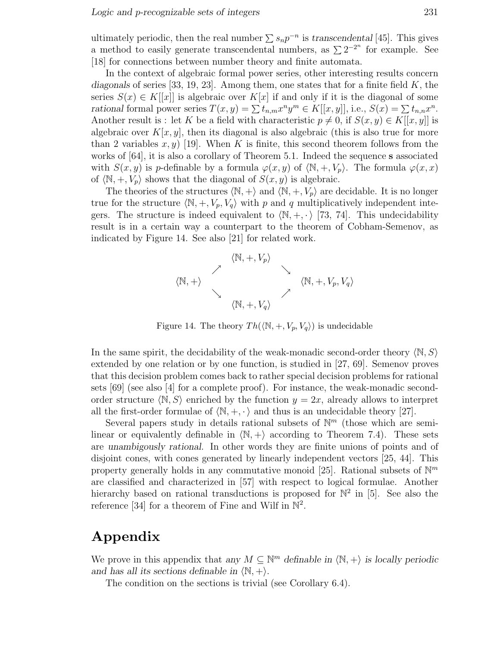ultimately periodic, then the real number  $\sum s_n p^{-n}$  is *transcendental* [45]. This gives a method to easily generate transcendental numbers, as  $\sum 2^{-2^n}$  for example. See [18] for connections between number theory and finite automata.

In the context of algebraic formal power series, other interesting results concern *diagonals* of series [33, 19, 23]. Among them, one states that for a finite field K, the series  $S(x) \in K[[x]]$  is algebraic over  $K[x]$  if and only if it is the diagonal of some *rational* formal power series  $T(x,y) = \sum t_{n,m}x^n y^m \in K[[x,y]],$  i.e.,  $S(x) = \sum t_{n,n}x^n$ . Another result is : let K be a field with characteristic  $p \neq 0$ , if  $S(x,y) \in K[[x,y]]$  is algebraic over  $K[x,y]$ , then its diagonal is also algebraic (this is also true for more than 2 variables  $x, y$  [19]. When K is finite, this second theorem follows from the works of [64], it is also a corollary of Theorem 5.1. Indeed the sequence **s** associated with  $S(x, y)$  is p-definable by a formula  $\varphi(x, y)$  of  $\langle \mathbb{N}, +, V_p \rangle$ . The formula  $\varphi(x, x)$ of  $\langle \mathbb{N}, +, V_p \rangle$  shows that the diagonal of  $S(x, y)$  is algebraic.

The theories of the structures  $\langle \mathbb{N}, +\rangle$  and  $\langle \mathbb{N}, +, V_p \rangle$  are decidable. It is no longer true for the structure  $\langle \mathbb{N}, +, V_p, V_q \rangle$  with p and q multiplicatively independent integers. The structure is indeed equivalent to  $\langle \mathbb{N}, +, \cdot \rangle$  [73, 74]. This undecidability result is in a certain way a counterpart to the theorem of Cobham-Semenov, as indicated by Figure 14. See also [21] for related work.



Figure 14. The theory  $Th(\langle \mathbb{N}, +, V_p, V_q \rangle)$  is undecidable

In the same spirit, the decidability of the weak-monadic second-order theory  $\langle \mathbb{N}, S \rangle$ extended by one relation or by one function, is studied in [27, 69]. Semenov proves that this decision problem comes back to rather special decision problems for rational sets [69] (see also [4] for a complete proof). For instance, the weak-monadic secondorder structure  $\langle \mathbb{N}, S \rangle$  enriched by the function  $y = 2x$ , already allows to interpret all the first-order formulae of  $\langle \mathbb{N}, +, \cdot \rangle$  and thus is an undecidable theory [27].

Several papers study in details rational subsets of  $\mathbb{N}^m$  (those which are semilinear or equivalently definable in  $\langle \mathbb{N}, +\rangle$  according to Theorem 7.4). These sets are *unambigously rational*. In other words they are finite unions of points and of disjoint cones, with cones generated by linearly independent vectors [25, 44]. This property generally holds in any commutative monoid [25]. Rational subsets of  $\mathbb{N}^m$ are classified and characterized in [57] with respect to logical formulae. Another hierarchy based on rational transductions is proposed for  $\mathbb{N}^2$  in [5]. See also the reference [34] for a theorem of Fine and Wilf in  $\mathbb{N}^2$ .

# **Appendix**

We prove in this appendix that any  $M \subseteq \mathbb{N}^m$  definable in  $\langle \mathbb{N}, + \rangle$  is locally periodic and has all its sections definable in  $\langle \mathbb{N}, + \rangle$ .

The condition on the sections is trivial (see Corollary 6.4).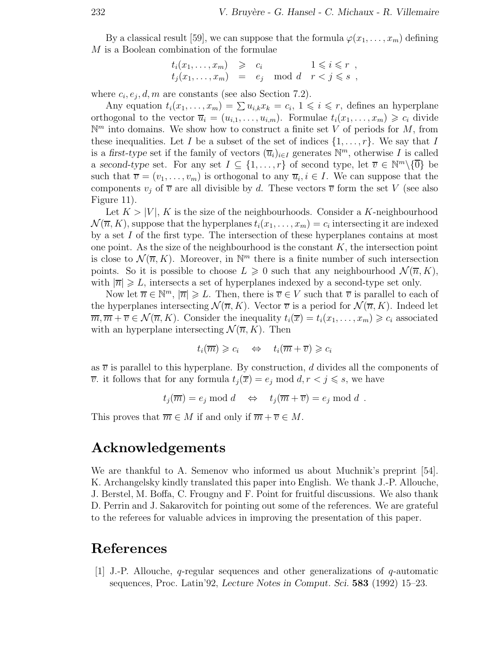By a classical result [59], we can suppose that the formula  $\varphi(x_1,\ldots,x_m)$  defining M is a Boolean combination of the formulae

$$
t_i(x_1, \ldots, x_m) \geq c_i \t 1 \leq i \leq r ,
$$
  

$$
t_j(x_1, \ldots, x_m) = e_j \mod d \quad r < j \leq s ,
$$

where  $c_i, e_j, d, m$  are constants (see also Section 7.2).

Any equation  $t_i(x_1,...,x_m) = \sum u_{i,k}x_k = c_i, 1 \leq i \leq r$ , defines an hyperplane orthogonal to the vector  $\overline{u}_i = (u_{i,1},\ldots,u_{i,m})$ . Formulae  $t_i(x_1,\ldots,x_m) \geq c_i$  divide  $\mathbb{N}^m$  into domains. We show how to construct a finite set V of periods for M, from these inequalities. Let I be a subset of the set of indices  $\{1,\ldots,r\}$ . We say that I is a *first-type* set if the family of vectors  $(\overline{u}_i)_{i\in I}$  generates  $\mathbb{N}^m$ , otherwise I is called a second-type set. For any set  $I \subseteq \{1,\ldots,r\}$  of second type, let  $\overline{v} \in \mathbb{N}^m \setminus \{\overline{0}\}$  be such that  $\overline{v} = (v_1, \ldots, v_m)$  is orthogonal to any  $\overline{u}_i, i \in I$ . We can suppose that the components  $v_i$  of  $\overline{v}$  are all divisible by d. These vectors  $\overline{v}$  form the set V (see also Figure 11).

Let  $K > |V|$ , K is the size of the neighbourhoods. Consider a K-neighbourhood  $\mathcal{N}(\overline{n},K)$ , suppose that the hyperplanes  $t_i(x_1,\ldots,x_m) = c_i$  intersecting it are indexed by a set I of the first type. The intersection of these hyperplanes contains at most one point. As the size of the neighbourhood is the constant  $K$ , the intersection point is close to  $\mathcal{N}(\overline{n}, K)$ . Moreover, in  $\mathbb{N}^m$  there is a finite number of such intersection points. So it is possible to choose  $L \geq 0$  such that any neighbourhood  $\mathcal{N}(\overline{n},K)$ , with  $|\overline{n}| \geqslant L$ , intersects a set of hyperplanes indexed by a second-type set only.

Now let  $\overline{n} \in \mathbb{N}^m$ ,  $|\overline{n}| \geqslant L$ . Then, there is  $\overline{v} \in V$  such that  $\overline{v}$  is parallel to each of the hyperplanes intersecting  $\mathcal{N}(\overline{n}, K)$ . Vector  $\overline{v}$  is a period for  $\mathcal{N}(\overline{n}, K)$ . Indeed let  $\overline{m}, \overline{m} + \overline{v} \in \mathcal{N}(\overline{n}, K)$ . Consider the inequality  $t_i(\overline{x}) = t_i(x_1, \ldots, x_m) \geq c_i$  associated with an hyperplane intersecting  $\mathcal{N}(\overline{n}, K)$ . Then

$$
t_i(\overline{m}) \geqslant c_i \quad \Leftrightarrow \quad t_i(\overline{m} + \overline{v}) \geqslant c_i
$$

as  $\overline{v}$  is parallel to this hyperplane. By construction, d divides all the components of  $\overline{v}$ . it follows that for any formula  $t_j(\overline{x}) = e_j \mod d, r < j \leq s$ , we have

$$
t_j(\overline{m}) = e_j \mod d \iff t_j(\overline{m} + \overline{v}) = e_j \mod d
$$
.

This proves that  $\overline{m} \in M$  if and only if  $\overline{m} + \overline{v} \in M$ .

## **Acknowledgements**

We are thankful to A. Semenov who informed us about Muchnik's preprint [54]. K. Archangelsky kindly translated this paper into English. We thank J.-P. Allouche, J. Berstel, M. Boffa, C. Frougny and F. Point for fruitful discussions. We also thank D. Perrin and J. Sakarovitch for pointing out some of the references. We are grateful to the referees for valuable advices in improving the presentation of this paper.

# **References**

[1] J.-P. Allouche, q-regular sequences and other generalizations of q-automatic sequences, Proc. Latin'92, *Lecture Notes in Comput. Sci.* **583** (1992) 15–23.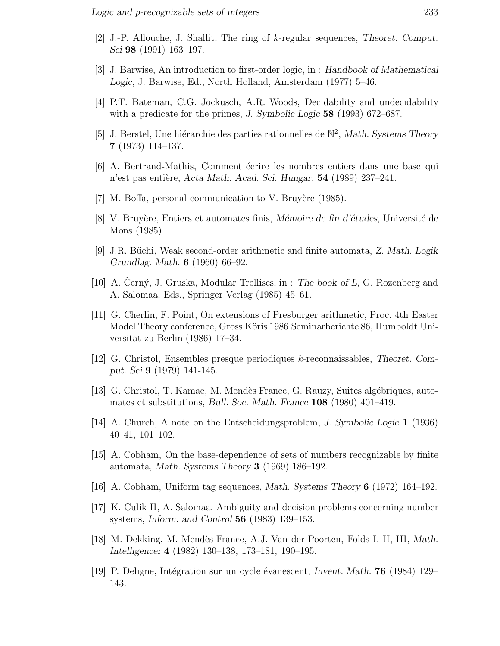- [2] J.-P. Allouche, J. Shallit, The ring of k-regular sequences, *Theoret. Comput. Sci* **98** (1991) 163–197.
- [3] J. Barwise, An introduction to first-order logic, in : *Handbook of Mathematical Logic*, J. Barwise, Ed., North Holland, Amsterdam (1977) 5–46.
- [4] P.T. Bateman, C.G. Jockusch, A.R. Woods, Decidability and undecidability with a predicate for the primes, *J. Symbolic Logic* **58** (1993) 672–687.
- [5] J. Berstel, Une hiérarchie des parties rationnelles de  $\mathbb{N}^2$ , *Math. Systems Theory* **7** (1973) 114–137.
- [6] A. Bertrand-Mathis, Comment ´ecrire les nombres entiers dans une base qui n'est pas enti`ere, *Acta Math. Acad. Sci. Hungar.* **54** (1989) 237–241.
- [7] M. Boffa, personal communication to V. Bruyère (1985).
- [8] V. Bruy`ere, Entiers et automates finis, *M´emoire de fin d'´etudes*, Universit´e de Mons (1985).
- [9] J.R. B¨uchi, Weak second-order arithmetic and finite automata, *Z. Math. Logik Grundlag. Math.* **6** (1960) 66–92.
- [10] A. Cerný, J. Gruska, Modular Trellises, in: *The book of L*, G. Rozenberg and A. Salomaa, Eds., Springer Verlag (1985) 45–61.
- [11] G. Cherlin, F. Point, On extensions of Presburger arithmetic, Proc. 4th Easter Model Theory conference, Gross Köris 1986 Seminarberichte 86, Humboldt Universität zu Berlin (1986) 17–34.
- [12] G. Christol, Ensembles presque periodiques k-reconnaissables, *Theoret. Comput. Sci* **9** (1979) 141-145.
- [13] G. Christol, T. Kamae, M. Mendès France, G. Rauzy, Suites algébriques, automates et substitutions, *Bull. Soc. Math. France* **108** (1980) 401–419.
- [14] A. Church, A note on the Entscheidungsproblem, *J. Symbolic Logic* **1** (1936) 40–41, 101–102.
- [15] A. Cobham, On the base-dependence of sets of numbers recognizable by finite automata, *Math. Systems Theory* **3** (1969) 186–192.
- [16] A. Cobham, Uniform tag sequences, *Math. Systems Theory* **6** (1972) 164–192.
- [17] K. Culik II, A. Salomaa, Ambiguity and decision problems concerning number systems, *Inform. and Control* **56** (1983) 139–153.
- [18] M. Dekking, M. Mend`es-France, A.J. Van der Poorten, Folds I, II, III, *Math. Intelligencer* **4** (1982) 130–138, 173–181, 190–195.
- [19] P. Deligne, Int´egration sur un cycle ´evanescent, *Invent. Math.* **76** (1984) 129– 143.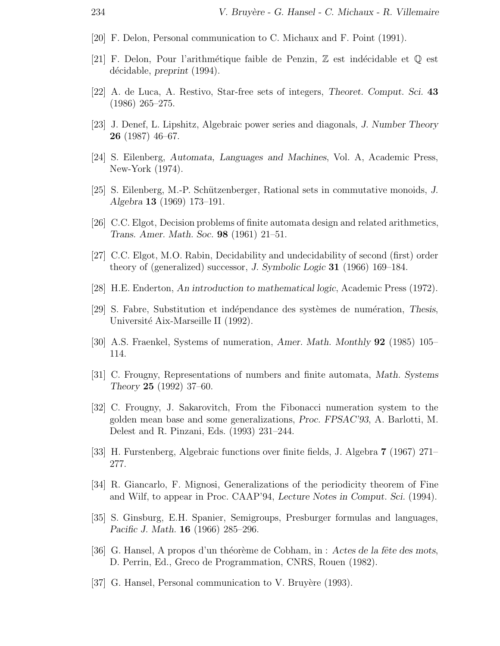- [20] F. Delon, Personal communication to C. Michaux and F. Point (1991).
- [21] F. Delon, Pour l'arithmétique faible de Penzin,  $\mathbb Z$  est indécidable et  $\mathbb Q$  est d´ecidable, *preprint* (1994).
- [22] A. de Luca, A. Restivo, Star-free sets of integers, *Theoret. Comput. Sci.* **43** (1986) 265–275.
- [23] J. Denef, L. Lipshitz, Algebraic power series and diagonals, *J. Number Theory* **26** (1987) 46–67.
- [24] S. Eilenberg, *Automata, Languages and Machines*, Vol. A, Academic Press, New-York (1974).
- [25] S. Eilenberg, M.-P. Schützenberger, Rational sets in commutative monoids, *J. Algebra* **13** (1969) 173–191.
- [26] C.C. Elgot, Decision problems of finite automata design and related arithmetics, *Trans. Amer. Math. Soc.* **98** (1961) 21–51.
- [27] C.C. Elgot, M.O. Rabin, Decidability and undecidability of second (first) order theory of (generalized) successor, *J. Symbolic Logic* **31** (1966) 169–184.
- [28] H.E. Enderton, *An introduction to mathematical logic*, Academic Press (1972).
- [29] S. Fabre, Substitution et ind´ependance des syst`emes de num´eration, *Thesis*, Université Aix-Marseille II (1992).
- [30] A.S. Fraenkel, Systems of numeration, *Amer. Math. Monthly* **92** (1985) 105– 114.
- [31] C. Frougny, Representations of numbers and finite automata, *Math. Systems Theory* **25** (1992) 37–60.
- [32] C. Frougny, J. Sakarovitch, From the Fibonacci numeration system to the golden mean base and some generalizations, *Proc. FPSAC'93*, A. Barlotti, M. Delest and R. Pinzani, Eds. (1993) 231–244.
- [33] H. Furstenberg, Algebraic functions over finite fields, J. Algebra **7** (1967) 271– 277.
- [34] R. Giancarlo, F. Mignosi, Generalizations of the periodicity theorem of Fine and Wilf, to appear in Proc. CAAP'94, *Lecture Notes in Comput. Sci.* (1994).
- [35] S. Ginsburg, E.H. Spanier, Semigroups, Presburger formulas and languages, *Pacific J. Math.* **16** (1966) 285–296.
- [36] G. Hansel, A propos d'un théorème de Cobham, in : *Actes de la fête des mots*, D. Perrin, Ed., Greco de Programmation, CNRS, Rouen (1982).
- [37] G. Hansel, Personal communication to V. Bruyère (1993).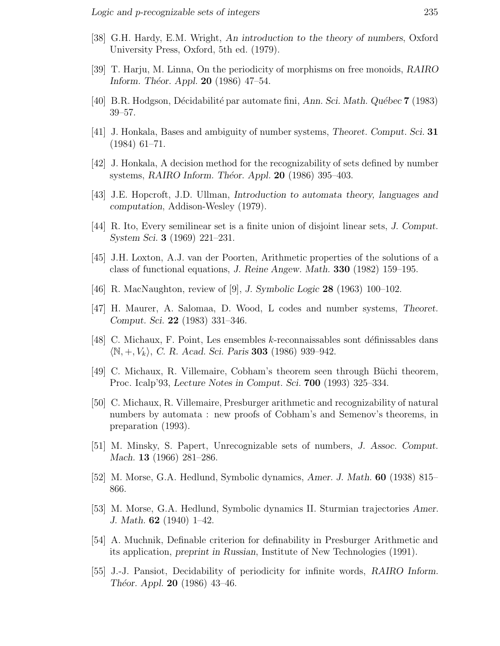- [38] G.H. Hardy, E.M. Wright, *An introduction to the theory of numbers*, Oxford University Press, Oxford, 5th ed. (1979).
- [39] T. Harju, M. Linna, On the periodicity of morphisms on free monoids, *RAIRO Inform. Théor. Appl.* **20** (1986) 47–54.
- [40] B.R. Hodgson, D´ecidabilit´e par automate fini, *Ann. Sci. Math. Qu´ebec* **7** (1983) 39–57.
- [41] J. Honkala, Bases and ambiguity of number systems, *Theoret. Comput. Sci.* **31** (1984) 61–71.
- [42] J. Honkala, A decision method for the recognizability of sets defined by number systems, *RAIRO Inform. Th´eor. Appl.* **20** (1986) 395–403.
- [43] J.E. Hopcroft, J.D. Ullman, *Introduction to automata theory, languages and computation*, Addison-Wesley (1979).
- [44] R. Ito, Every semilinear set is a finite union of disjoint linear sets, *J. Comput. System Sci.* **3** (1969) 221–231.
- [45] J.H. Loxton, A.J. van der Poorten, Arithmetic properties of the solutions of a class of functional equations, *J. Reine Angew. Math.* **330** (1982) 159–195.
- [46] R. MacNaughton, review of [9], *J. Symbolic Logic* **28** (1963) 100–102.
- [47] H. Maurer, A. Salomaa, D. Wood, L codes and number systems, *Theoret. Comput. Sci.* **22** (1983) 331–346.
- [48] C. Michaux, F. Point, Les ensembles  $k$ -reconnaissables sont définissables dans  $\langle \mathbb{N}, +, V_k \rangle$ , *C. R. Acad. Sci. Paris* **303** (1986) 939–942.
- [49] C. Michaux, R. Villemaire, Cobham's theorem seen through Büchi theorem, Proc. Icalp'93, *Lecture Notes in Comput. Sci.* **700** (1993) 325–334.
- [50] C. Michaux, R. Villemaire, Presburger arithmetic and recognizability of natural numbers by automata : new proofs of Cobham's and Semenov's theorems, in preparation (1993).
- [51] M. Minsky, S. Papert, Unrecognizable sets of numbers, *J. Assoc. Comput. Mach.* **13** (1966) 281–286.
- [52] M. Morse, G.A. Hedlund, Symbolic dynamics, *Amer. J. Math.* **60** (1938) 815– 866.
- [53] M. Morse, G.A. Hedlund, Symbolic dynamics II. Sturmian trajectories *Amer. J. Math.* **62** (1940) 1–42.
- [54] A. Muchnik, Definable criterion for definability in Presburger Arithmetic and its application, *preprint in Russian*, Institute of New Technologies (1991).
- [55] J.-J. Pansiot, Decidability of periodicity for infinite words, *RAIRO Inform. Th´eor. Appl.* **20** (1986) 43–46.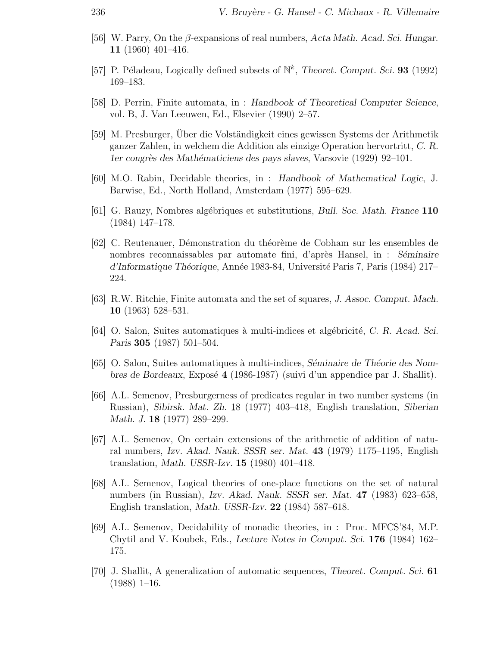- [56] W. Parry, On the β-expansions of real numbers, *Acta Math. Acad. Sci. Hungar.* **11** (1960) 401–416.
- [57] P. Péladeau, Logically defined subsets of  $\mathbb{N}^k$ , *Theoret. Comput. Sci.* **93** (1992) 169–183.
- [58] D. Perrin, Finite automata, in : *Handbook of Theoretical Computer Science*, vol. B, J. Van Leeuwen, Ed., Elsevier (1990) 2–57.
- [59] M. Presburger, Uber die Volständigkeit eines gewissen Systems der Arithmetik ganzer Zahlen, in welchem die Addition als einzige Operation hervortritt, *C. R. 1er congr`es des Math´ematiciens des pays slaves*, Varsovie (1929) 92–101.
- [60] M.O. Rabin, Decidable theories, in : *Handbook of Mathematical Logic*, J. Barwise, Ed., North Holland, Amsterdam (1977) 595–629.
- [61] G. Rauzy, Nombres alg´ebriques et substitutions, *Bull. Soc. Math. France* **110** (1984) 147–178.
- [62] C. Reutenauer, D´emonstration du th´eor`eme de Cobham sur les ensembles de nombres reconnaissables par automate fini, d'après Hansel, in : *Séminaire d'Informatique Théorique*, Année 1983-84, Université Paris 7, Paris (1984) 217– 224.
- [63] R.W. Ritchie, Finite automata and the set of squares, *J. Assoc. Comput. Mach.* **10** (1963) 528–531.
- [64] O. Salon, Suites automatiques `a multi-indices et alg´ebricit´e, *C. R. Acad. Sci. Paris* **305** (1987) 501–504.
- [65] O. Salon, Suites automatiques `a multi-indices, *S´eminaire de Th´eorie des Nombres de Bordeaux*, Exposé 4 (1986-1987) (suivi d'un appendice par J. Shallit).
- [66] A.L. Semenov, Presburgerness of predicates regular in two number systems (in Russian), *Sibirsk. Mat. Zh.* 18 (1977) 403–418, English translation, *Siberian*<br>Math 1, 18 (1077) 980, 900 *Math. J.* **18** (1977) 289–299.
- [67] A.L. Semenov, On certain extensions of the arithmetic of addition of natural numbers, *Izv. Akad. Nauk. SSSR ser. Mat.* **43** (1979) 1175–1195, English translation, *Math. USSR-Izv.* **15** (1980) 401–418.
- [68] A.L. Semenov, Logical theories of one-place functions on the set of natural numbers (in Russian), *Izv. Akad. Nauk. SSSR ser. Mat.* **47** (1983) 623–658, English translation, *Math. USSR-Izv.* **22** (1984) 587–618.
- [69] A.L. Semenov, Decidability of monadic theories, in : Proc. MFCS'84, M.P. Chytil and V. Koubek, Eds., *Lecture Notes in Comput. Sci.* **176** (1984) 162– 175.
- [70] J. Shallit, A generalization of automatic sequences, *Theoret. Comput. Sci.* **61** (1988) 1–16.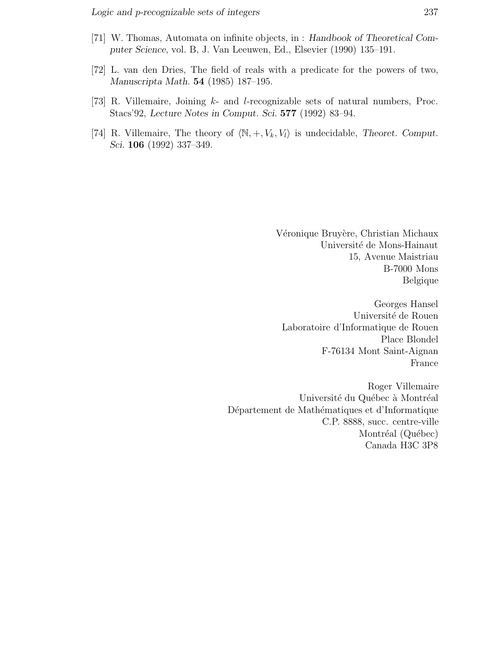- [71] W. Thomas, Automata on infinite objects, in : *Handbook of Theoretical Computer Science*, vol. B, J. Van Leeuwen, Ed., Elsevier (1990) 135–191.
- [72] L. van den Dries, The field of reals with a predicate for the powers of two, *Manuscripta Math.* **54** (1985) 187–195.
- [73] R. Villemaire, Joining k- and l-recognizable sets of natural numbers, Proc. Stacs'92, *Lecture Notes in Comput. Sci.* **577** (1992) 83–94.
- [74] R. Villemaire, The theory of  $\langle \mathbb{N}, +, V_k, V_l \rangle$  is undecidable, *Theoret. Comput. Sci.* **106** (1992) 337–349.

Véronique Bruyère, Christian Michaux Université de Mons-Hainaut 15, Avenue Maistriau B-7000 Mons Belgique

Georges Hansel Université de Rouen Laboratoire d'Informatique de Rouen Place Blondel F-76134 Mont Saint-Aignan France

Roger Villemaire Université du Québec à Montréal Département de Mathématiques et d'Informatique C.P. 8888, succ. centre-ville Montréal (Québec) Canada H3C 3P8